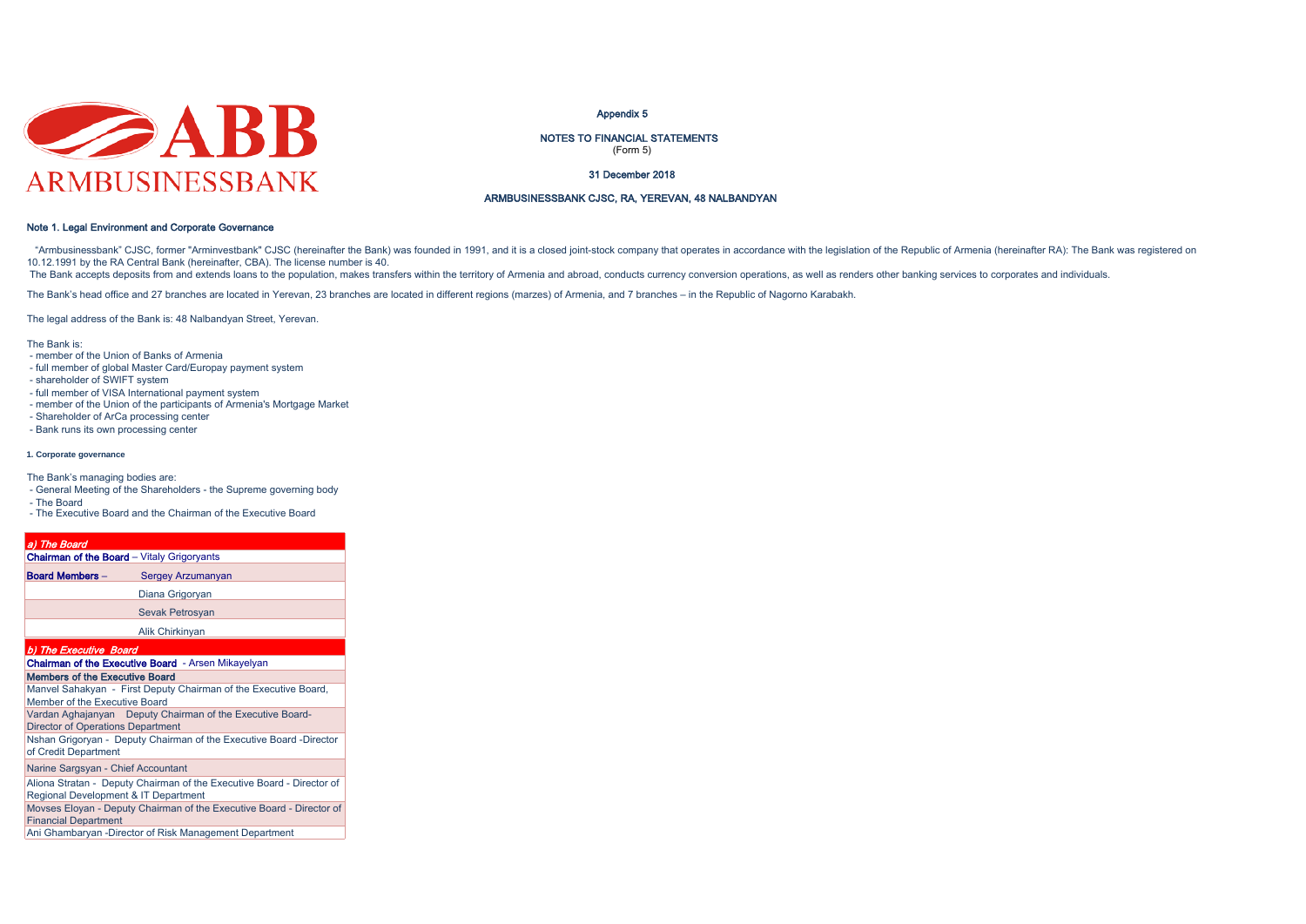

#### Appendix 5

NOTES TO FINANCIAL STATEMENTS (Form 5)

31 December 2018

## ARMBUSINESSBANK CJSC, RA, YEREVAN, 48 NALBANDYAN

## Note 1. Legal Environment and Corporate Governance

"Armbusinessbank" CJSC, former "Arminvestbank" CJSC (hereinafter the Bank) was founded in 1991, and it is a closed ioint-stock company that operates in accordance with the legislation of the Republic of Armenia (hereinafte 10.12.1991 by the RA Central Bank (hereinafter, CBA). The license number is 40.

The Bank accepts deposits from and extends loans to the population, makes transfers within the territory of Armenia and abroad, conducts currency conversion operations, as well as renders other banking services to corporat

The Bank's head office and 27 branches are located in Yerevan, 23 branches are located in different regions (marzes) of Armenia, and 7 branches – in the Republic of Nagorno Karabakh.

The legal address of the Bank is: 48 Nalbandyan Street, Yerevan.

The Bank is:

- member of the Union of Banks of Armenia
- full member of global Master Card/Europay payment system
- shareholder of SWIFT system
- full member of VISA International payment system
- member of the Union of the participants of Armenia's Mortgage Market
- Shareholder of ArCa processing center
- Bank runs its own processing center

#### **1. Corporate governance**

The Bank's managing bodies are:

- General Meeting of the Shareholders the Supreme governing body - The Board
- The Executive Board and the Chairman of the Executive Board
- 

| a) The Board                                                                                                  |
|---------------------------------------------------------------------------------------------------------------|
| <b>Chairman of the Board</b> - Vitaly Grigoryants                                                             |
| <b>Board Members -</b><br>Sergey Arzumanyan                                                                   |
| Diana Grigoryan                                                                                               |
| Sevak Petrosyan                                                                                               |
| Alik Chirkinyan                                                                                               |
| b) The Executive Board                                                                                        |
| <b>Chairman of the Executive Board</b> - Arsen Mikayelyan                                                     |
| Members of the Executive Board                                                                                |
| Manvel Sahakyan - First Deputy Chairman of the Executive Board,<br>Member of the Executive Board              |
| Vardan Aghajanyan Deputy Chairman of the Executive Board-<br><b>Director of Operations Department</b>         |
| Nshan Grigoryan - Deputy Chairman of the Executive Board -Director<br>of Credit Department                    |
| Narine Sargsyan - Chief Accountant                                                                            |
| Aliona Stratan - Deputy Chairman of the Executive Board - Director of<br>Regional Development & IT Department |
| Movses Eloyan - Deputy Chairman of the Executive Board - Director of<br><b>Financial Department</b>           |

Ani Ghambaryan -Director of Risk Management Department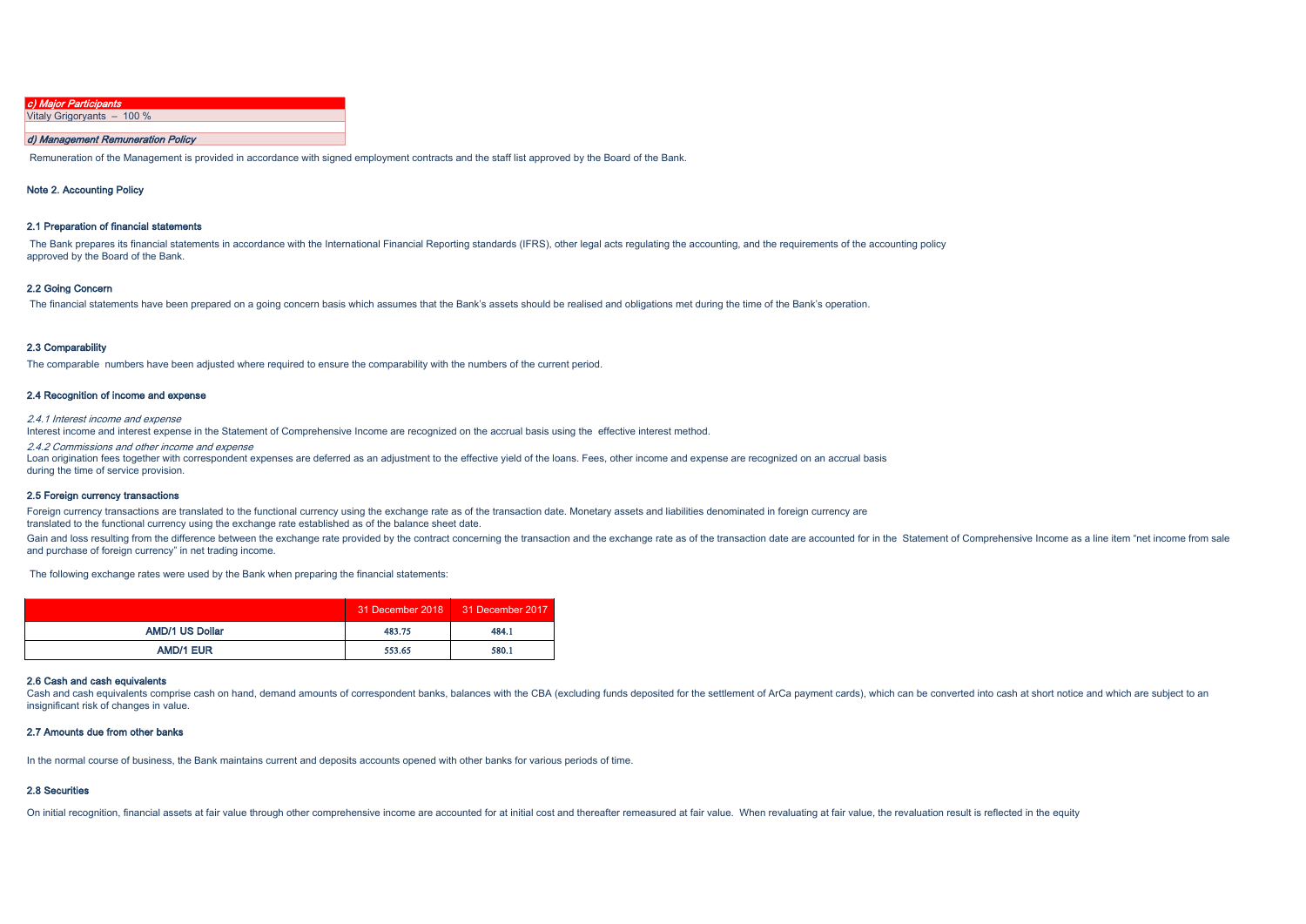| c) Major Participants      |
|----------------------------|
| Vitaly Grigoryants - 100 % |
|                            |

## d) Management Remuneration Policy

Remuneration of the Management is provided in accordance with signed employment contracts and the staff list approved by the Board of the Bank.

#### Note 2. Accounting Policy

#### 2.1 Preparation of financial statements

The Bank prepares its financial statements in accordance with the International Financial Reporting standards (IFRS), other legal acts regulating the accounting, and the requirements of the accounting policy approved by the Board of the Bank.

#### 2.2 Going Concern

The financial statements have been prepared on a going concern basis which assumes that the Bank's assets should be realised and obligations met during the time of the Bank's operation.

#### 2.3 Comparability

The comparable numbers have been adjusted where required to ensure the comparability with the numbers of the current period.

#### 2.4 Recognition of income and expense

2.4.1 Interest income and expense

Interest income and interest expense in the Statement of Comprehensive Income are recognized on the accrual basis using the effective interest method.

2.4.2 Commissions and other income and expense Loan origination fees together with correspondent expenses are deferred as an adjustment to the effective yield of the loans. Fees, other income and expense are recognized on an accrual basis during the time of service provision.

#### 2.5 Foreign currency transactions

Foreign currency transactions are translated to the functional currency using the exchange rate as of the transaction date. Monetary assets and liabilities denominated in foreign currency are translated to the functional currency using the exchange rate established as of the balance sheet date.

Gain and loss resulting from the difference between the exchange rate provided by the contract concerning the transaction and the exchange rate as of the transaction date are accounted for in the Statement of Comprehensive and purchase of foreign currency" in net trading income.

The following exchange rates were used by the Bank when preparing the financial statements:

|                        |        | 31 December 2018 31 December 2017 |
|------------------------|--------|-----------------------------------|
| <b>AMD/1 US Dollar</b> | 483.75 | 484.1                             |
| <b>AMD/1 EUR</b>       | 553.65 | 580.1                             |

#### 2.6 Cash and cash equivalents

Cash and cash equivalents comprise cash on hand, demand amounts of correspondent banks, balances with the CBA (excluding funds deposited for the settlement of ArCa payment cards), which can be converted into cash at short insignificant risk of changes in value.

#### 2.7 Amounts due from other banks

In the normal course of business, the Bank maintains current and deposits accounts opened with other banks for various periods of time.

#### 2.8 Securities

On initial recognition, financial assets at fair value through other comprehensive income are accounted for at initial cost and thereafter remeasured at fair value. When revaluating at fair value, the revaluation result is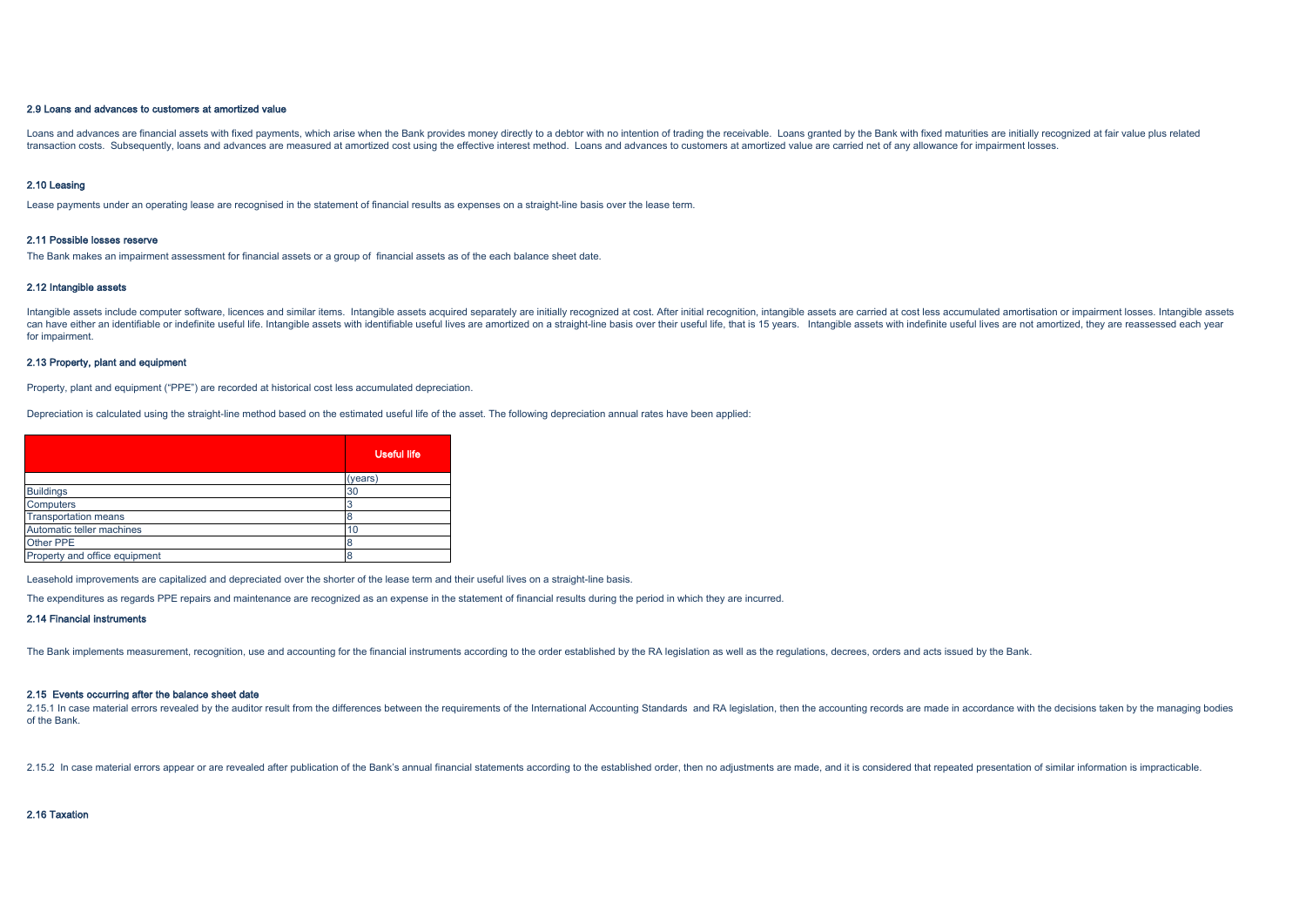## 2.9 Loans and advances to customers at amortized value

Loans and advances are financial assets with fixed payments, which arise when the Bank provides money directly to a debtor with no intention of trading the receivable. Loans granted by the Bank with fixed maturities are in transaction costs. Subsequently, loans and advances are measured at amortized cost using the effective interest method. Loans and advances to customers at amortized value are carried net of any allowance for impairment los

#### 2.10 Leasing

Lease payments under an operating lease are recognised in the statement of financial results as expenses on a straight-line basis over the lease term.

#### 2.11 Possible losses reserve

The Bank makes an impairment assessment for financial assets or a group of financial assets as of the each balance sheet date.

#### 2.12 Intangible assets

Intangible assets include computer software, licences and similar items. Intangible assets acquired separately are initially recognized at cost. After initial recognition, intangible assets are carried at cost less accumul can have either an identifiable or indefinite useful life. Intangible assets with identifiable useful lives are amortized on a straight-line basis over their useful life, that is 15 years. Intangible assets with indefinite for impairment.

#### 2.13 Property, plant and equipment

Property, plant and equipment ("PPE") are recorded at historical cost less accumulated depreciation.

Depreciation is calculated using the straight-line method based on the estimated useful life of the asset. The following depreciation annual rates have been applied:

|                               | <b>Useful life</b> |
|-------------------------------|--------------------|
|                               | (years)            |
| <b>Buildings</b>              | 30                 |
| <b>Computers</b>              |                    |
| <b>Transportation means</b>   |                    |
| Automatic teller machines     | 10                 |
| Other PPE                     |                    |
| Property and office equipment |                    |

Leasehold improvements are capitalized and depreciated over the shorter of the lease term and their useful lives on a straight-line basis.

The expenditures as regards PPE repairs and maintenance are recognized as an expense in the statement of financial results during the period in which they are incurred.

#### 2.14 Financial instruments

The Bank implements measurement, recognition, use and accounting for the financial instruments according to the order established by the RA legislation as well as the regulations, decrees, orders and acts issued by the Ban

#### 2.15 Events occurring after the balance sheet date

2.15.1 In case material errors revealed by the auditor result from the differences between the requirements of the International Accounting Standards and RA legislation, then the accounting records are made in accordance w of the Bank.

2.15.2 In case material errors appear or are revealed after publication of the Bank's annual financial statements according to the established order, then no adjustments are made, and it is considered that repeated present

2.16 Taxation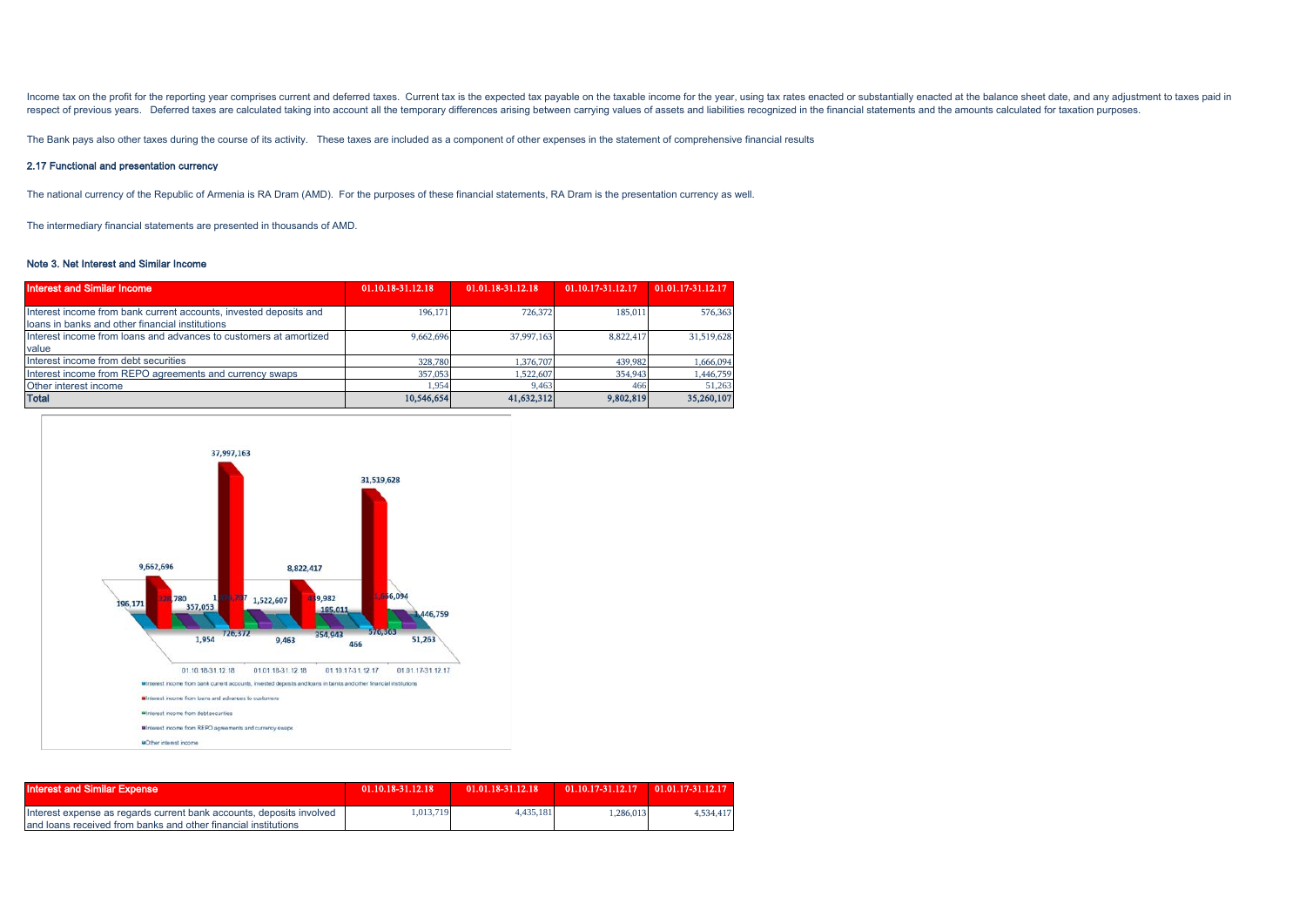Income tax on the profit for the reporting year comprises current and deferred taxes. Current tax is the expected tax payable on the taxable income for the year, using tax rates enacted or substantially enacted at the bala respect of previous years. Deferred taxes are calculated taking into account all the temporary differences arising between carrying values of assets and liabilities recognized in the financial statements and the amounts ca

The Bank pays also other taxes during the course of its activity. These taxes are included as a component of other expenses in the statement of comprehensive financial results

## 2.17 Functional and presentation currency

The national currency of the Republic of Armenia is RA Dram (AMD). For the purposes of these financial statements, RA Dram is the presentation currency as well.

The intermediary financial statements are presented in thousands of AMD.

#### Note 3. Net Interest and Similar Income

| <b>Interest and Similar Income</b>                                | 01.10.18-31.12.18 | 01.01.18-31.12.18 | 01.10.17-31.12.17 | 01.01.17-31.12.17 |
|-------------------------------------------------------------------|-------------------|-------------------|-------------------|-------------------|
|                                                                   |                   |                   |                   |                   |
| Interest income from bank current accounts, invested deposits and | 196,171           | 726,372           | 185,011           | 576,363           |
| loans in banks and other financial institutions                   |                   |                   |                   |                   |
| Interest income from loans and advances to customers at amortized | 9.662.696         | 37,997,163        | 8.822.417         | 31,519,628        |
| value                                                             |                   |                   |                   |                   |
| Interest income from debt securities                              | 328,780           | 1,376,707         | 439,982           | 1,666,094         |
| Interest income from REPO agreements and currency swaps           | 357,053           | 1,522,607         | 354,943           | 1,446,759         |
| Other interest income                                             | 1.954             | 9.463             | 466               | 51.263            |
| <b>Total</b>                                                      | 10,546,654        | 41,632,312        | 9,802,819         | 35,260,107        |



| <b>Interest and Similar Expense</b>                                  | 01.10.18-31.12.18 | 01.01.18-31.12.18 | $01.10.17 - 31.12.17$ $01.01.17 - 31.12.17$ |           |
|----------------------------------------------------------------------|-------------------|-------------------|---------------------------------------------|-----------|
| Interest expense as regards current bank accounts, deposits involved | 1.013.719         | 4.435.181         | 1.286.013                                   | 4,534,417 |
| and loans received from banks and other financial institutions       |                   |                   |                                             |           |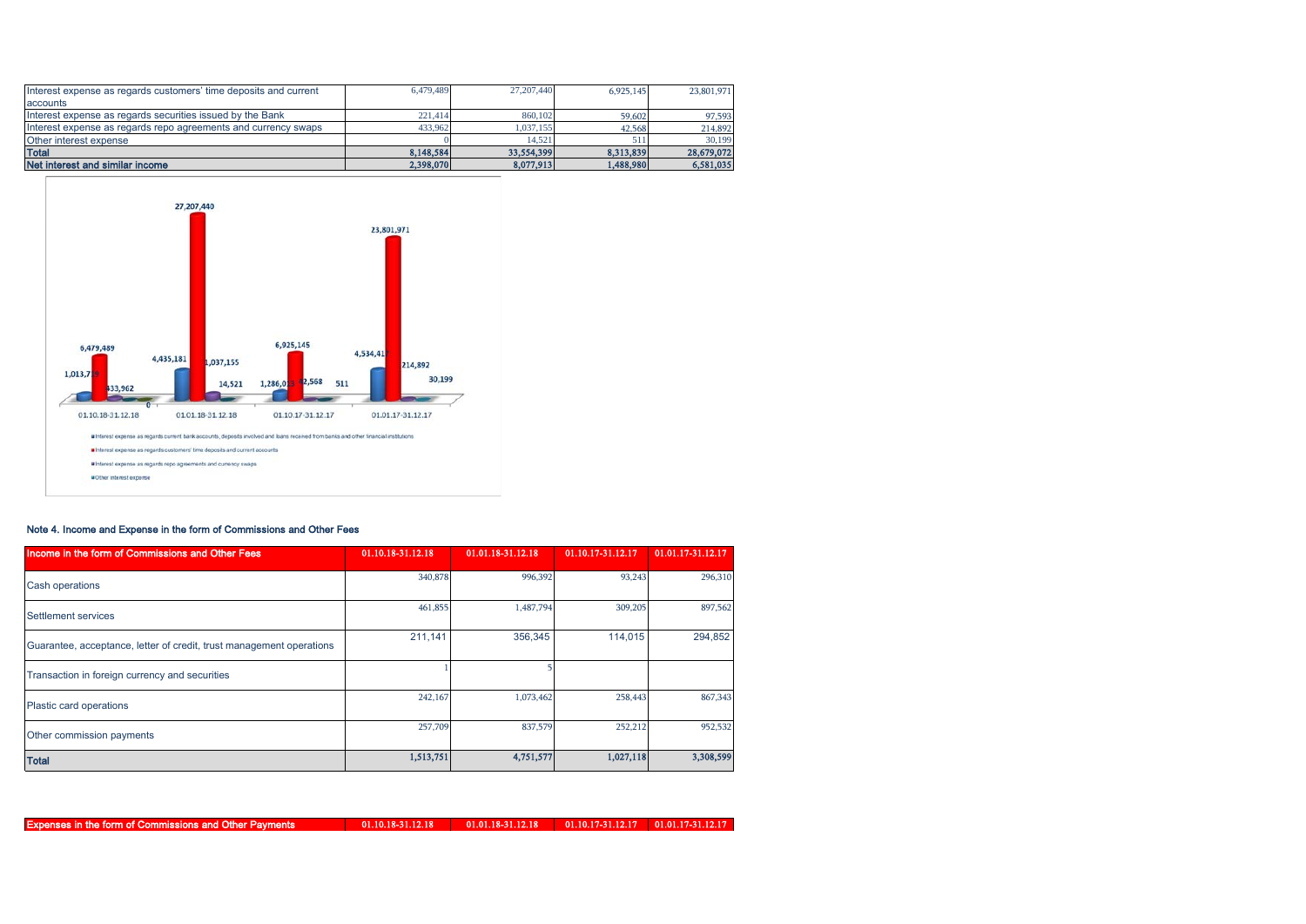| Interest expense as regards customers' time deposits and current | 6.479.489 | 27, 207, 440 | 6.925.145 | 23,801,971 |
|------------------------------------------------------------------|-----------|--------------|-----------|------------|
| accounts                                                         |           |              |           |            |
| Interest expense as regards securities issued by the Bank        | 221.414   | 860,102      | 59,602    | 97,593     |
| Interest expense as regards repo agreements and currency swaps   | 433.962   | 1.037.155    | 42.568    | 214,892    |
| Other interest expense                                           |           | 14.521       | 511       | 30.199     |
| <b>Total</b>                                                     | 8.148.584 | 33,554,399   | 8.313.839 | 28,679,072 |
| Net interest and similar income                                  | 2,398,070 | 8,077,913    | 1.488.980 | 6,581,035  |



## Note 4. Income and Expense in the form of Commissions and Other Fees

| Income in the form of Commissions and Other Fees                     | 01.10.18-31.12.18 | 01.01.18-31.12.18 | 01.10.17-31.12.17 | 01.01.17-31.12.17 |
|----------------------------------------------------------------------|-------------------|-------------------|-------------------|-------------------|
| Cash operations                                                      | 340,878           | 996,392           | 93,243            | 296,310           |
| Settlement services                                                  | 461,855           | 1,487,794         | 309,205           | 897,562           |
| Guarantee, acceptance, letter of credit, trust management operations | 211,141           | 356,345           | 114.015           | 294,852           |
| Transaction in foreign currency and securities                       |                   |                   |                   |                   |
| Plastic card operations                                              | 242,167           | 1,073,462         | 258,443           | 867,343           |
| Other commission payments                                            | 257,709           | 837,579           | 252,212           | 952,532           |
| <b>Total</b>                                                         | 1,513,751         | 4,751,577         | 1,027,118         | 3,308,599         |

Expenses in the form of Commissions and Other Payments

01.10.18-31.12.18 01.01.18-31.12.18 01.10.17-31.12.17 01.01.17-31.12.17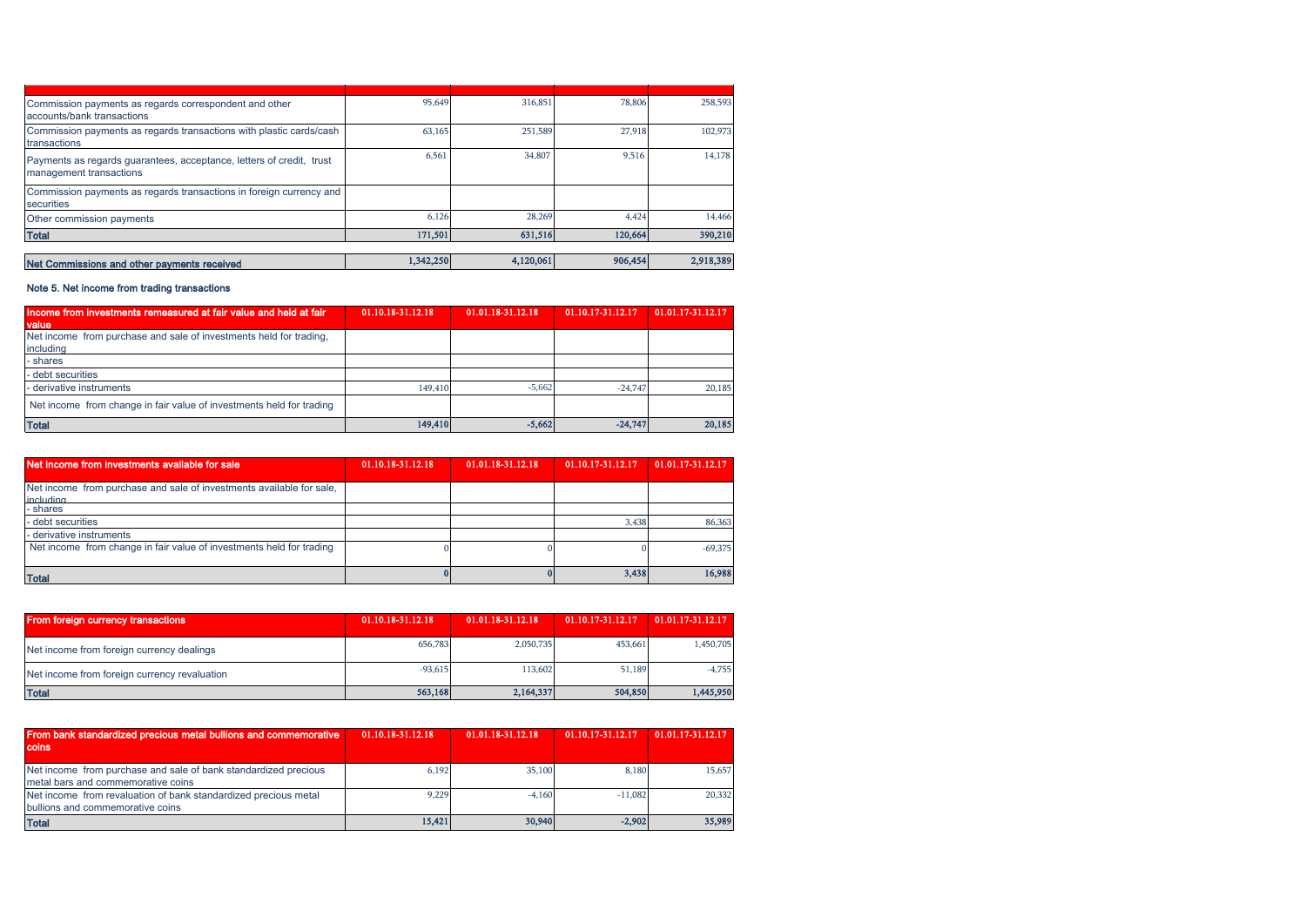| Commission payments as regards correspondent and other<br>accounts/bank transactions            | 95,649    | 316,851   | 78,806  | 258,593   |
|-------------------------------------------------------------------------------------------------|-----------|-----------|---------|-----------|
| Commission payments as regards transactions with plastic cards/cash<br>transactions             | 63,165    | 251,589   | 27,918  | 102,973   |
| Payments as regards guarantees, acceptance, letters of credit, trust<br>management transactions | 6,561     | 34,807    | 9,516   | 14,178    |
| Commission payments as regards transactions in foreign currency and<br>securities               |           |           |         |           |
| Other commission payments                                                                       | 6,126     | 28,269    | 4.424   | 14,466    |
| <b>Total</b>                                                                                    | 171,501   | 631,516   | 120,664 | 390,210   |
|                                                                                                 |           |           |         |           |
| Net Commissions and other payments received                                                     | 1,342,250 | 4,120,061 | 906,454 | 2,918,389 |

# Note 5. Net income from trading transactions

| Income from investments remeasured at fair value and held at fair<br>value      | 01.10.18-31.12.18 | 01.01.18-31.12.18 | 01.10.17-31.12.17 | 01.01.17-31.12.17 |
|---------------------------------------------------------------------------------|-------------------|-------------------|-------------------|-------------------|
| Net income from purchase and sale of investments held for trading,<br>including |                   |                   |                   |                   |
| - shares                                                                        |                   |                   |                   |                   |
| - debt securities                                                               |                   |                   |                   |                   |
| - derivative instruments                                                        | 149,410           | $-5.662$          | $-24.747$         | 20,185            |
| Net income from change in fair value of investments held for trading            |                   |                   |                   |                   |
| <b>Total</b>                                                                    | 149,410           | $-5,662$          | $-24.747$         | 20,185            |

| Net income from investments available for sale                                           | 01.10.18-31.12.18 | 01.01.18-31.12.18 | 01.10.17-31.12.17 | 01.01.17-31.12.17 |
|------------------------------------------------------------------------------------------|-------------------|-------------------|-------------------|-------------------|
| Net income from purchase and sale of investments available for sale,<br><i>including</i> |                   |                   |                   |                   |
| - shares                                                                                 |                   |                   |                   |                   |
| - debt securities                                                                        |                   |                   | 3.438             | 86,363            |
| - derivative instruments                                                                 |                   |                   |                   |                   |
| Net income from change in fair value of investments held for trading                     |                   |                   |                   | $-69,375$         |
| <b>Total</b>                                                                             |                   |                   | 3,438             | 16,988            |

| <b>From foreign currency transactions</b>    | 01.10.18-31.12.18 | 01.01.18-31.12.18 | 01.10.17-31.12.17 | 01.01.17-31.12.17 |
|----------------------------------------------|-------------------|-------------------|-------------------|-------------------|
| Net income from foreign currency dealings    | 656,783           | 2.050.735         | 453.661           | 1,450,705         |
| Net income from foreign currency revaluation | $-93,615$         | 113,602           | 51,189            | $-4.755$          |
| <b>Total</b>                                 | 563,168           | 2,164,337         | 504,850           | 1,445,950         |

| From bank standardized precious metal bullions and commemorative<br><b>coins</b>                      | 01.10.18-31.12.18 | 01.01.18-31.12.18 | 01.10.17-31.12.17 | 01.01.17-31.12.17 |
|-------------------------------------------------------------------------------------------------------|-------------------|-------------------|-------------------|-------------------|
| Net income from purchase and sale of bank standardized precious<br>metal bars and commemorative coins | 6.192             | 35,100            | 8.180             | 15.657            |
| Net income from revaluation of bank standardized precious metal<br>bullions and commemorative coins   | 9.229             | $-4.160$          | $-11,082$         | 20,332            |
| <b>Total</b>                                                                                          | 15.421            | 30,940            | $-2.902$          | 35,989            |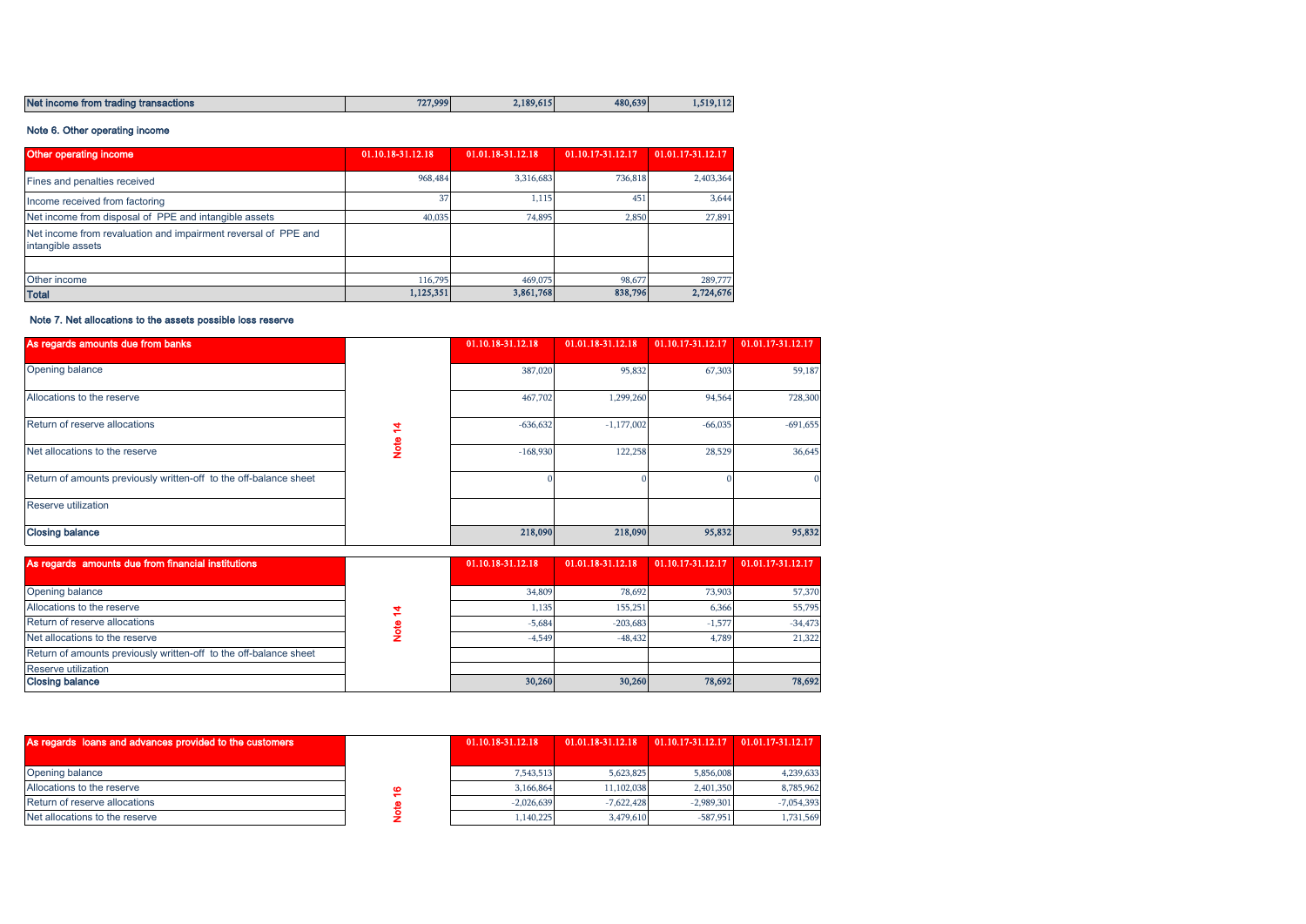| Net income from trading transactions | 727,999 | 2.189.615<br>--- | 480,639 | .,519<br>.<br>--- |
|--------------------------------------|---------|------------------|---------|-------------------|

## Note 6. Other operating income

| Other operating income                                                              | 01.10.18-31.12.18 | 01.01.18-31.12.18 | 01.10.17-31.12.17 | 01.01.17-31.12.17 |
|-------------------------------------------------------------------------------------|-------------------|-------------------|-------------------|-------------------|
| Fines and penalties received                                                        | 968,484           | 3,316,683         | 736,818           | 2,403,364         |
| Income received from factoring                                                      | 37                | 1,115             | 451               | 3,644             |
| Net income from disposal of PPE and intangible assets                               | 40,035            | 74.895            | 2,850             | 27,891            |
| Net income from revaluation and impairment reversal of PPE and<br>intangible assets |                   |                   |                   |                   |
|                                                                                     |                   |                   |                   |                   |
| Other income                                                                        | 116,795           | 469,075           | 98,677            | 289,777           |
| <b>Total</b>                                                                        | 1,125,351         | 3,861,768         | 838,796           | 2,724,676         |

# Note 7. Net allocations to the assets possible loss reserve

| As regards amounts due from banks                                 |   | 01.10.18-31.12.18 | 01.01.18-31.12.18 | 01.10.17-31.12.17 | 01.01.17-31.12.17 |
|-------------------------------------------------------------------|---|-------------------|-------------------|-------------------|-------------------|
| Opening balance                                                   |   | 387,020           | 95,832            | 67,303            | 59,187            |
| Allocations to the reserve                                        |   | 467,702           | 1,299,260         | 94,564            | 728,300           |
| Return of reserve allocations                                     | ₹ | $-636,632$        | $-1,177,002$      | $-66,035$         | $-691,655$        |
| Net allocations to the reserve                                    | 횾 | $-168,930$        | 122,258           | 28,529            | 36,645            |
| Return of amounts previously written-off to the off-balance sheet |   |                   |                   |                   |                   |
| <b>Reserve utilization</b>                                        |   |                   |                   |                   |                   |
| <b>Closing balance</b>                                            |   | 218,090           | 218,090           | 95,832            | 95,832            |

| As regards amounts due from financial institutions                | 01.10.18-31.12.18 | 01.01.18-31.12.18 | 01.10.17-31.12.17 | $01.01.17 - 31.12.17$ |
|-------------------------------------------------------------------|-------------------|-------------------|-------------------|-----------------------|
|                                                                   |                   |                   |                   |                       |
| Opening balance                                                   | 34,809            | 78.692            | 73,903            | 57,370                |
| Allocations to the reserve                                        | 1.135             | 155,251           | 6.366             | 55,795                |
| Return of reserve allocations                                     | $-5.684$          | $-203,683$        | $-1.577$          | $-34,473$             |
| Net allocations to the reserve                                    | $-4.549$          | $-48,432$         | 4.789             | 21,322                |
| Return of amounts previously written-off to the off-balance sheet |                   |                   |                   |                       |
| <b>Reserve utilization</b>                                        |                   |                   |                   |                       |
| <b>Closing balance</b>                                            | 30,260            | 30,260            | 78,692            | 78,692                |

| As regards loans and advances provided to the customers | 01.10.18-31.12.18 | 01.01.18-31.12.18 |              | $01.10.17 - 31.12.17$ 01.01.17-31.12.17 |
|---------------------------------------------------------|-------------------|-------------------|--------------|-----------------------------------------|
|                                                         |                   |                   |              |                                         |
| Opening balance                                         | 7.543.513         | 5.623.825         | 5,856,008    | 4,239,633                               |
| Allocations to the reserve                              | 3.166.864         | 11.102.038        | 2.401.350    | 8,785,962                               |
| Return of reserve allocations                           | $-2.026639$       | $-7.622.428$      | $-2.989.301$ | $-7.054.393$                            |
| Net allocations to the reserve                          | ,140,225          | 3.479.610         | $-587.951$   | 1,731,569                               |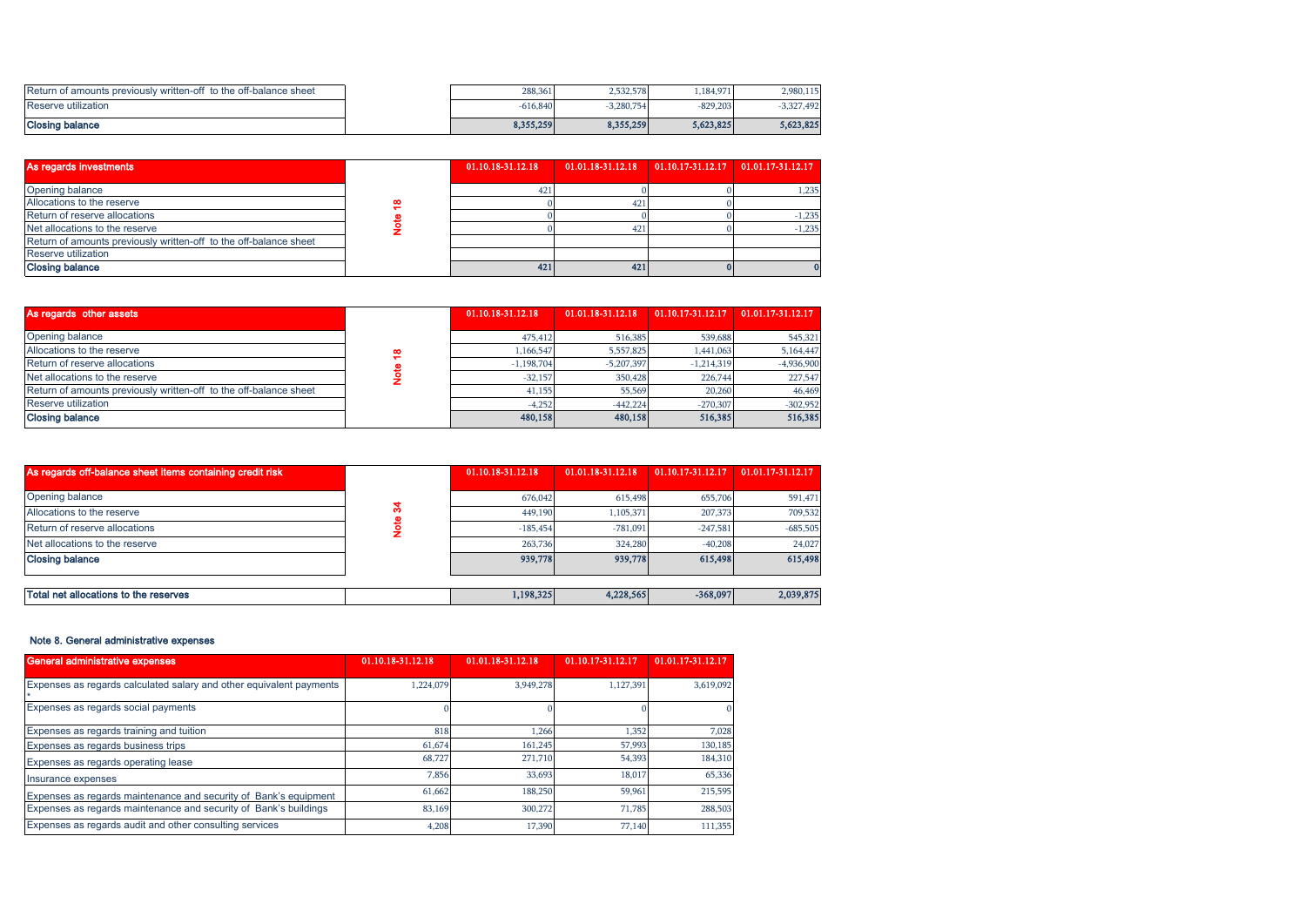| Return of amounts previously written-off to the off-balance sheet | 288,361    | 2.532.578 | 1,184,971  | 2,980,115    |
|-------------------------------------------------------------------|------------|-----------|------------|--------------|
| Reserve utilization                                               | $-616.840$ | 3.280.754 | $-829.203$ | $-3,327,492$ |
| Closing balance                                                   | 8,355,259  | 8,355,259 | 5,623,825  | 5.623.825    |

| Return of amounts previously written-off to the off-balance sheet |             | 288,361           | 2,532,578         | 1,184,971         | 2,980,115             |
|-------------------------------------------------------------------|-------------|-------------------|-------------------|-------------------|-----------------------|
| Reserve utilization                                               |             | $-616,840$        | $-3,280,754$      | $-829,203$        | $-3,327,492$          |
| <b>Closing balance</b>                                            |             | 8,355,259         | 8,355,259         | 5,623,825         | 5,623,825             |
|                                                                   |             |                   |                   |                   |                       |
| As regards investments                                            |             | 01.10.18-31.12.18 | 01.01.18-31.12.18 | 01.10.17-31.12.17 | 01.01.17-31.12.17     |
| Opening balance                                                   |             | 421               |                   |                   | 1,235                 |
| Allocations to the reserve                                        | e,          |                   | 42 <sup>2</sup>   |                   |                       |
| Return of reserve allocations                                     |             |                   |                   |                   | $-1,235$              |
| Net allocations to the reserve                                    | Note        |                   | 42 <sup>2</sup>   |                   | $-1,235$              |
| Return of amounts previously written-off to the off-balance sheet |             |                   |                   |                   |                       |
| Reserve utilization                                               |             |                   |                   |                   |                       |
| <b>Closing balance</b>                                            |             | 421               | 421               |                   |                       |
|                                                                   |             |                   |                   |                   |                       |
| As regards other assets                                           |             | 01.10.18-31.12.18 | 01.01.18-31.12.18 | 01.10.17-31.12.17 | $01.01.17 - 31.12.17$ |
| Opening balance                                                   |             | 475,412           | 516,385           | 539,688           | 545,321               |
| Allocations to the reserve                                        | ₽           | 1,166,547         | 5,557,825         | 1,441,063         | 5,164,447             |
| Return of reserve allocations                                     |             | $-1,198,704$      | $-5,207,397$      | $-1,214,319$      | $-4,936,900$          |
| Net allocations to the reserve                                    | <b>Note</b> | $-32,157$         | 350,428           | 226,744           | 227,547               |

| As regards other assets                                           |   | 01.10.18-31.12.18 | 01.01.18-31.12.18 | 01.10.17-31.12.17 | 01.01.17-31.12.17 |
|-------------------------------------------------------------------|---|-------------------|-------------------|-------------------|-------------------|
| Opening balance                                                   |   | 475,412           | 516,385           | 539,688           | 545,321           |
| Allocations to the reserve                                        | œ | 1.166.547         | 5,557,825         | 1,441,063         | 5,164,447         |
| Return of reserve allocations                                     |   | $-1,198,704$      | $-5.207.397$      | $-1,214,319$      | $-4,936,900$      |
| Net allocations to the reserve                                    |   | $-32.157$         | 350,428           | 226.744           | 227,547           |
| Return of amounts previously written-off to the off-balance sheet |   | 41,155            | 55,569            | 20,260            | 46,469            |
| Reserve utilization                                               |   | $-4.252$          | $-442,224$        | $-270,307$        | $-302,952$        |
| <b>Closing balance</b>                                            |   | 480,158           | 480,158           | 516,385           | 516,385           |

| As regards off-balance sheet items containing credit risk |  | 01.10.18-31.12.18 | 01.01.18-31.12.18 | 01.10.17-31.12.17 | 01.01.17-31.12.17 |
|-----------------------------------------------------------|--|-------------------|-------------------|-------------------|-------------------|
|                                                           |  |                   |                   |                   |                   |
| Opening balance                                           |  | 676.042           | 615,498           | 655,706           | 591,471           |
| Allocations to the reserve                                |  | 449,190           | 1,105,371         | 207,373           | 709,532           |
| Return of reserve allocations                             |  | $-185.454$        | $-781.091$        | $-247.581$        | $-685,505$        |
| Net allocations to the reserve                            |  | 263,736           | 324,280           | $-40.208$         | 24,027            |
| <b>Closing balance</b>                                    |  | 939,778           | 939,778           | 615,498           | 615,498           |
|                                                           |  |                   |                   |                   |                   |
| Total net allocations to the reserves                     |  | 1,198,325         | 4,228,565         | $-368,097$        | 2,039,875         |

## Note 8. General administrative expenses

| General administrative expenses                                     | 01.10.18-31.12.18 | 01.01.18-31.12.18 | 01.10.17-31.12.17 | 01.01.17-31.12.17 |
|---------------------------------------------------------------------|-------------------|-------------------|-------------------|-------------------|
| Expenses as regards calculated salary and other equivalent payments | 1.224.079         | 3.949.278         | 1.127.391         | 3,619,092         |
| Expenses as regards social payments                                 |                   |                   |                   |                   |
| Expenses as regards training and tuition                            | 818               | 1.266             | 1,352             | 7,028             |
| Expenses as regards business trips                                  | 61,674            | 161.245           | 57,993            | 130,185           |
| Expenses as regards operating lease                                 | 68,727            | 271,710           | 54,393            | 184,310           |
| Insurance expenses                                                  | 7,856             | 33,693            | 18.017            | 65,336            |
| Expenses as regards maintenance and security of Bank's equipment    | 61,662            | 188,250           | 59,961            | 215,595           |
| Expenses as regards maintenance and security of Bank's buildings    | 83,169            | 300,272           | 71.785            | 288,503           |
| Expenses as regards audit and other consulting services             | 4,208             | 17,390            | 77,140            | 111,355           |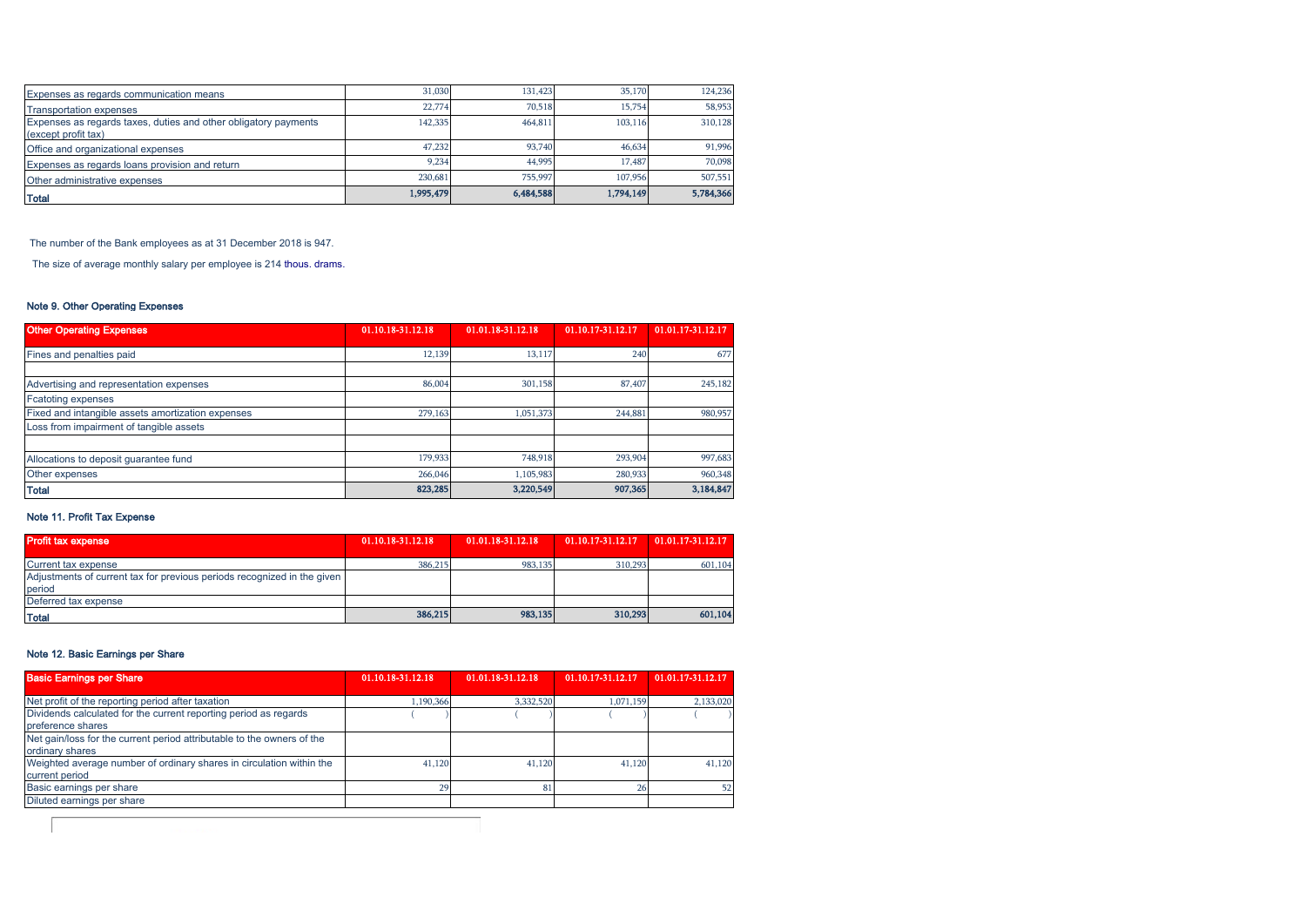| Expenses as regards communication means                                                | 31,030    | 131.423   | 35,170    | 124,236   |
|----------------------------------------------------------------------------------------|-----------|-----------|-----------|-----------|
| <b>Transportation expenses</b>                                                         | 22,774    | 70.518    | 15,754    | 58,953    |
| Expenses as regards taxes, duties and other obligatory payments<br>(except profit tax) | 142,335   | 464,811   | 103,116   | 310,128   |
| Office and organizational expenses                                                     | 47.232    | 93,740    | 46.634    | 91,996    |
| Expenses as regards loans provision and return                                         | 9.234     | 44.995    | 17,487    | 70,098    |
| Other administrative expenses                                                          | 230.681   | 755,997   | 107.956   | 507,551   |
| <b>Total</b>                                                                           | 1,995,479 | 6,484,588 | 1,794,149 | 5,784,366 |

The number of the Bank employees as at 31 December 2018 is 947.

The size of average monthly salary per employee is 214 thous. drams.

## Note 9. Other Operating Expenses

| <b>Other Operating Expenses</b>                   | 01.10.18-31.12.18 | 01.01.18-31.12.18 | 01.10.17-31.12.17 | 01.01.17-31.12.17 |
|---------------------------------------------------|-------------------|-------------------|-------------------|-------------------|
| Fines and penalties paid                          | 12.139            | 13.117            | 240               | 677               |
|                                                   |                   |                   |                   |                   |
| Advertising and representation expenses           | 86,004            | 301.158           | 87,407            | 245,182           |
| <b>Fcatoting expenses</b>                         |                   |                   |                   |                   |
| Fixed and intangible assets amortization expenses | 279,163           | 1.051.373         | 244,881           | 980,957           |
| Loss from impairment of tangible assets           |                   |                   |                   |                   |
| Allocations to deposit guarantee fund             | 179.933           | 748.918           | 293,904           | 997,683           |
| Other expenses                                    | 266,046           | 1.105.983         | 280,933           | 960,348           |
| <b>Total</b>                                      | 823,285           | 3,220,549         | 907,365           | 3,184,847         |

## Note 11. Profit Tax Expense

| <b>Profit tax expense</b>                                               | 01.10.18-31.12.18 | 01.01.18-31.12.18 | 01.10.17-31.12.17 | 01.01.17-31.12.17 |
|-------------------------------------------------------------------------|-------------------|-------------------|-------------------|-------------------|
| <b>Current tax expense</b>                                              | 386,215           | 983,135           | 310.293           | 601,104           |
| Adjustments of current tax for previous periods recognized in the given |                   |                   |                   |                   |
| period                                                                  |                   |                   |                   |                   |
| Deferred tax expense                                                    |                   |                   |                   |                   |
| <b>Total</b>                                                            | 386,215           | 983.135           | 310,293           | 601.104           |

## Note 12. Basic Earnings per Share

| <b>Basic Earnings per Share</b>                                                           | 01.10.18-31.12.18 | 01.01.18-31.12.18 | 01.10.17-31.12.17 | 01.01.17-31.12.17 |
|-------------------------------------------------------------------------------------------|-------------------|-------------------|-------------------|-------------------|
| Net profit of the reporting period after taxation                                         | 1,190,366         | 3,332,520         | 1,071,159         | 2,133,020         |
| Dividends calculated for the current reporting period as regards<br>preference shares     |                   |                   |                   |                   |
| Net gain/loss for the current period attributable to the owners of the<br>ordinary shares |                   |                   |                   |                   |
| Weighted average number of ordinary shares in circulation within the<br>current period    | 41,120            | 41,120            | 41,120            | 41,120            |
| Basic earnings per share                                                                  | 29                |                   |                   | 52                |
| Diluted earnings per share                                                                |                   |                   |                   |                   |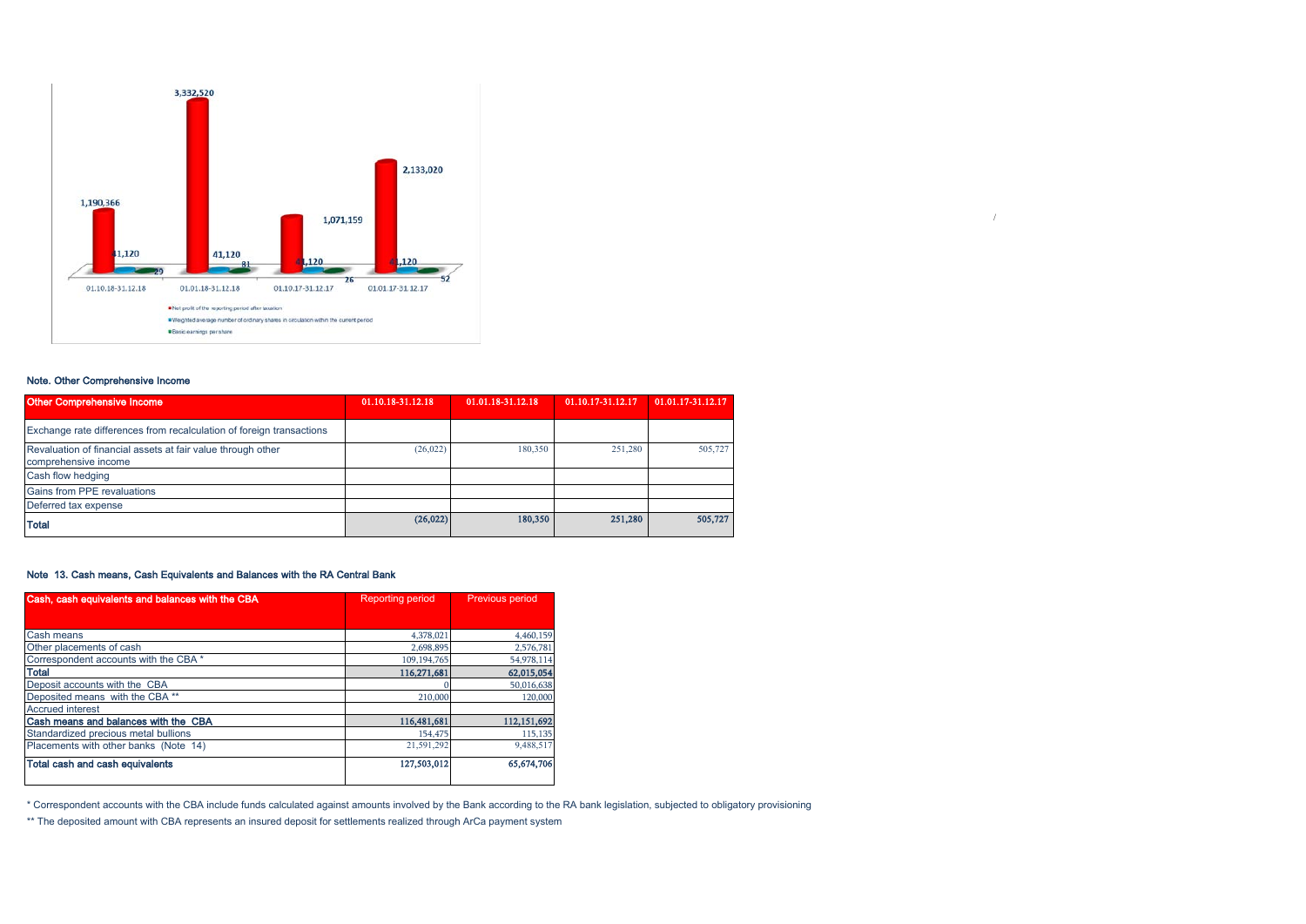

## Note. Other Comprehensive Income

| Other Comprehensive Income                                                          | 01.10.18-31.12.18 | 01.01.18-31.12.18 | 01.10.17-31.12.17 | 01.01.17-31.12.17 |
|-------------------------------------------------------------------------------------|-------------------|-------------------|-------------------|-------------------|
| Exchange rate differences from recalculation of foreign transactions                |                   |                   |                   |                   |
| Revaluation of financial assets at fair value through other<br>comprehensive income | (26, 022)         | 180,350           | 251,280           | 505,727           |
| Cash flow hedging                                                                   |                   |                   |                   |                   |
| Gains from PPE revaluations                                                         |                   |                   |                   |                   |
| Deferred tax expense                                                                |                   |                   |                   |                   |
| <b>Total</b>                                                                        | (26, 022)         | 180,350           | 251,280           | 505,727           |

/

## Note 13. Cash means, Cash Equivalents and Balances with the RA Central Bank

| Cash, cash equivalents and balances with the CBA<br><b>Reporting period</b> |             | <b>Previous period</b> |  |  |
|-----------------------------------------------------------------------------|-------------|------------------------|--|--|
|                                                                             |             |                        |  |  |
| Cash means                                                                  | 4,378,021   | 4,460,159              |  |  |
| Other placements of cash                                                    | 2.698.895   | 2,576,781              |  |  |
| Correspondent accounts with the CBA *                                       | 109.194.765 | 54,978,114             |  |  |
| <b>Total</b>                                                                | 116,271,681 | 62,015,054             |  |  |
| Deposit accounts with the CBA                                               |             | 50,016,638             |  |  |
| Deposited means with the CBA**                                              | 210,000     | 120,000                |  |  |
| <b>Accrued interest</b>                                                     |             |                        |  |  |
| Cash means and balances with the CBA                                        | 116,481,681 | 112,151,692            |  |  |
| Standardized precious metal bullions                                        | 154,475     | 115,135                |  |  |
| Placements with other banks (Note 14)                                       | 21,591,292  | 9,488,517              |  |  |
| Total cash and cash equivalents                                             | 127,503,012 | 65,674,706             |  |  |

\* Correspondent accounts with the CBA include funds calculated against amounts involved by the Bank according to the RA bank legislation, subjected to obligatory provisioning

\*\* The deposited amount with CBA represents an insured deposit for settlements realized through ArCa payment system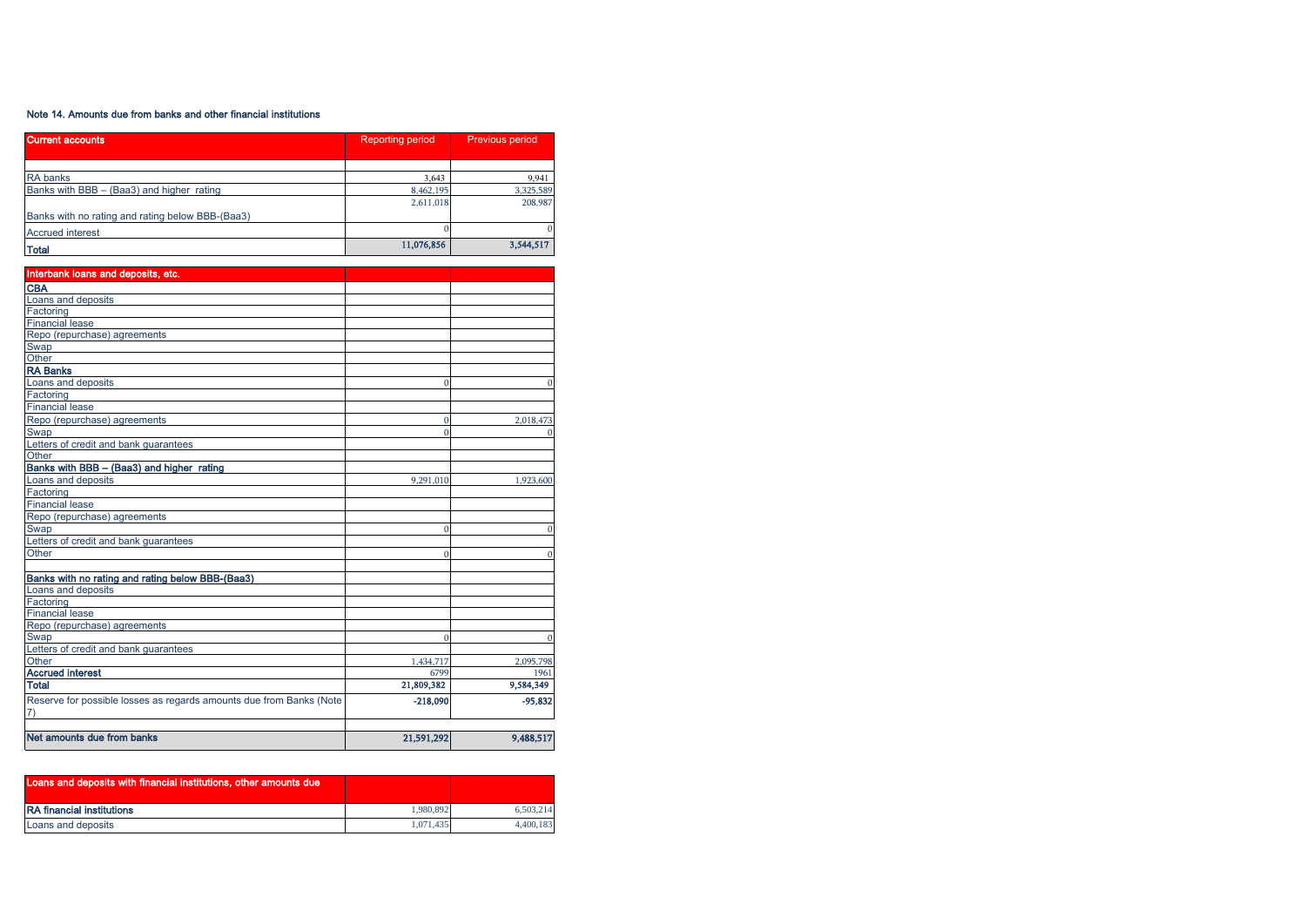## Note 14. Amounts due from banks and other financial institutions

| <b>Current accounts</b>                          | <b>Reporting period</b> | Previous period |  |
|--------------------------------------------------|-------------------------|-----------------|--|
|                                                  |                         |                 |  |
| <b>RA</b> banks                                  | 3.643                   | 9,941           |  |
| Banks with BBB - (Baa3) and higher rating        | 8,462,195               | 3,325,589       |  |
|                                                  | 2,611,018               | 208,987         |  |
| Banks with no rating and rating below BBB-(Baa3) |                         |                 |  |
| <b>Accrued interest</b>                          |                         |                 |  |
| <b>Total</b>                                     | 11,076,856              | 3,544,517       |  |

| Interbank loans and deposits, etc.                                  |            |             |
|---------------------------------------------------------------------|------------|-------------|
| <b>CBA</b>                                                          |            |             |
| Loans and deposits                                                  |            |             |
| Factoring                                                           |            |             |
| <b>Financial lease</b>                                              |            |             |
| Repo (repurchase) agreements                                        |            |             |
| Swap                                                                |            |             |
| Other                                                               |            |             |
| <b>RA Banks</b>                                                     |            |             |
| Loans and deposits                                                  | $\Omega$   | $\Omega$    |
| Factoring                                                           |            |             |
| <b>Financial lease</b>                                              |            |             |
| Repo (repurchase) agreements                                        | $\Omega$   | 2,018,473   |
| Swap                                                                | $\Omega$   | $\mathbf 0$ |
| Letters of credit and bank guarantees                               |            |             |
| Other                                                               |            |             |
| Banks with BBB - (Baa3) and higher rating                           |            |             |
| Loans and deposits                                                  | 9,291,010  | 1,923,600   |
| Factoring                                                           |            |             |
| <b>Financial lease</b>                                              |            |             |
| Repo (repurchase) agreements                                        |            |             |
| Swap                                                                | $\Omega$   | $\mathbf 0$ |
| Letters of credit and bank guarantees                               |            |             |
| Other                                                               | $\Omega$   | $\Omega$    |
|                                                                     |            |             |
| Banks with no rating and rating below BBB-(Baa3)                    |            |             |
| Loans and deposits                                                  |            |             |
| Factoring                                                           |            |             |
| <b>Financial lease</b>                                              |            |             |
| Repo (repurchase) agreements                                        |            |             |
| Swap                                                                | $\Omega$   | $\mathbf 0$ |
| Letters of credit and bank guarantees                               |            |             |
| Other                                                               | 1,434,717  | 2,095,798   |
| <b>Accrued interest</b>                                             | 6799       | 1961        |
| <b>Total</b>                                                        | 21,809,382 | 9,584,349   |
| Reserve for possible losses as regards amounts due from Banks (Note | $-218,090$ | $-95,832$   |
| 7)                                                                  |            |             |
|                                                                     |            |             |
| Net amounts due from banks                                          | 21,591,292 | 9,488,517   |

| Loans and deposits with financial institutions, other amounts due |           |           |
|-------------------------------------------------------------------|-----------|-----------|
| <b>RA</b> financial institutions                                  | 1.980.892 | 6.503.214 |
| Loans and deposits                                                | 1.071.435 | 4.400.183 |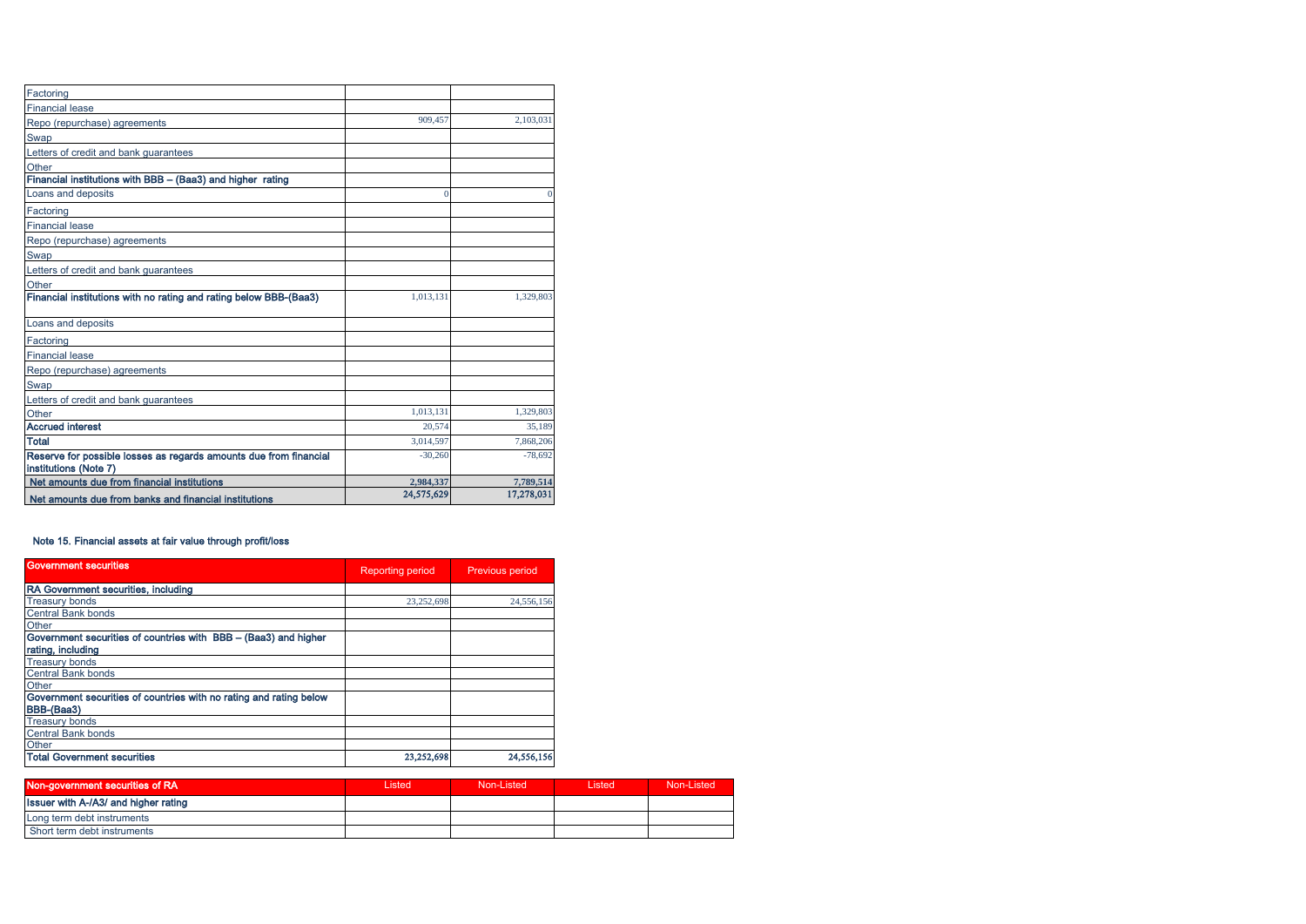| Net amounts due from banks and financial institutions                                      | 24,575,629 | 17,278,031 |
|--------------------------------------------------------------------------------------------|------------|------------|
| Net amounts due from financial institutions                                                | 2,984,337  | 7,789,514  |
| Reserve for possible losses as regards amounts due from financial<br>institutions (Note 7) | $-30,260$  | $-78,692$  |
| <b>Total</b>                                                                               | 3,014,597  | 7.868.206  |
| <b>Accrued interest</b>                                                                    | 20.574     | 35.189     |
| Other                                                                                      | 1.013.131  | 1,329,803  |
| Letters of credit and bank guarantees                                                      |            |            |
| Swap                                                                                       |            |            |
| Repo (repurchase) agreements                                                               |            |            |
| <b>Financial lease</b>                                                                     |            |            |
| Factoring                                                                                  |            |            |
| Loans and deposits                                                                         |            |            |
| Financial institutions with no rating and rating below BBB-(Baa3)                          | 1,013,131  | 1,329,803  |
| Other                                                                                      |            |            |
| Letters of credit and bank guarantees                                                      |            |            |
| Swap                                                                                       |            |            |
| Repo (repurchase) agreements                                                               |            |            |
| <b>Financial lease</b>                                                                     |            |            |
| Factoring                                                                                  |            |            |
| Loans and deposits                                                                         | $\Omega$   |            |
| Financial institutions with BBB - (Baa3) and higher rating                                 |            |            |
| Other                                                                                      |            |            |
| Letters of credit and bank guarantees                                                      |            |            |
| Swap                                                                                       |            |            |
| Repo (repurchase) agreements                                                               | 909.457    | 2.103.031  |
| <b>Financial lease</b>                                                                     |            |            |
| Factoring                                                                                  |            |            |

## Note 15. Financial assets at fair value through profit/loss

| <b>Government securities</b>                                       | <b>Reporting period</b> | Previous period |  |
|--------------------------------------------------------------------|-------------------------|-----------------|--|
| RA Government securities, including                                |                         |                 |  |
| <b>Treasury bonds</b>                                              | 23,252,698              | 24,556,156      |  |
| <b>Central Bank bonds</b>                                          |                         |                 |  |
| Other                                                              |                         |                 |  |
| Government securities of countries with BBB - (Baa3) and higher    |                         |                 |  |
| rating, including                                                  |                         |                 |  |
| <b>Treasury bonds</b>                                              |                         |                 |  |
| <b>Central Bank bonds</b>                                          |                         |                 |  |
| Other                                                              |                         |                 |  |
| Government securities of countries with no rating and rating below |                         |                 |  |
| BBB-(Baa3)                                                         |                         |                 |  |
| <b>Treasury bonds</b>                                              |                         |                 |  |
| Central Bank bonds                                                 |                         |                 |  |
| Other                                                              |                         |                 |  |
| <b>Total Government securities</b>                                 | 23,252,698              | 24,556,156      |  |

| Non-government securities of RA      | Listed | Non-Listed | Listed | Non-Listed |
|--------------------------------------|--------|------------|--------|------------|
| Issuer with A-/A3/ and higher rating |        |            |        |            |
| Long term debt instruments           |        |            |        |            |
| Short term debt instruments          |        |            |        |            |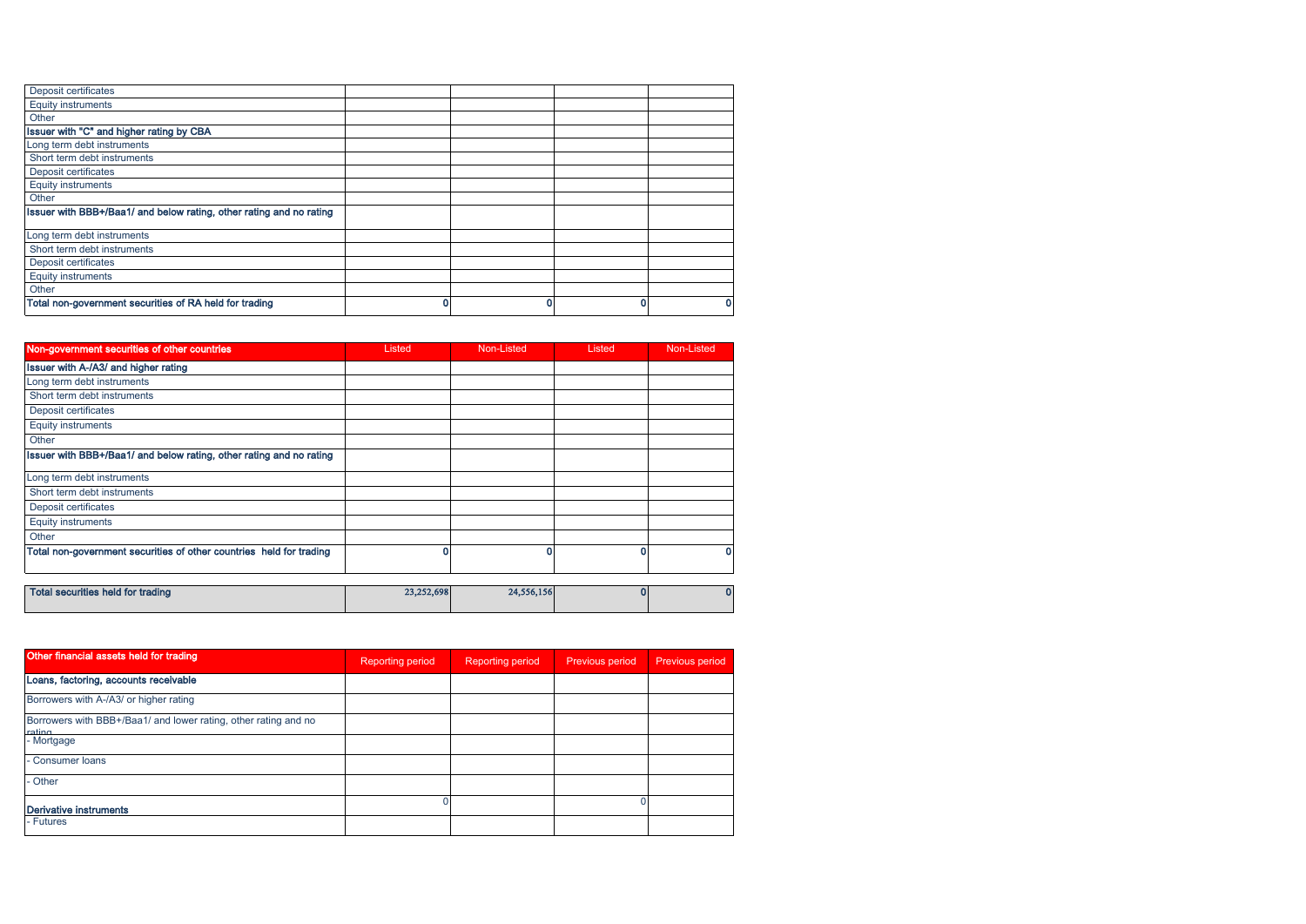| Deposit certificates                                                |  |   |
|---------------------------------------------------------------------|--|---|
| <b>Equity instruments</b>                                           |  |   |
| Other                                                               |  |   |
| Issuer with "C" and higher rating by CBA                            |  |   |
| Long term debt instruments                                          |  |   |
| Short term debt instruments                                         |  |   |
| Deposit certificates                                                |  |   |
| <b>Equity instruments</b>                                           |  |   |
| Other                                                               |  |   |
| Issuer with BBB+/Baa1/ and below rating, other rating and no rating |  |   |
| Long term debt instruments                                          |  |   |
| Short term debt instruments                                         |  |   |
| Deposit certificates                                                |  |   |
| <b>Equity instruments</b>                                           |  |   |
| Other                                                               |  |   |
| Total non-government securities of RA held for trading              |  | 0 |
|                                                                     |  |   |

| Non-government securities of other countries                        | Listed     | Non-Listed | Listed | Non-Listed |
|---------------------------------------------------------------------|------------|------------|--------|------------|
| Issuer with A-/A3/ and higher rating                                |            |            |        |            |
| Long term debt instruments                                          |            |            |        |            |
| Short term debt instruments                                         |            |            |        |            |
| Deposit certificates                                                |            |            |        |            |
| <b>Equity instruments</b>                                           |            |            |        |            |
| Other                                                               |            |            |        |            |
| Issuer with BBB+/Baa1/ and below rating, other rating and no rating |            |            |        |            |
| Long term debt instruments                                          |            |            |        |            |
| Short term debt instruments                                         |            |            |        |            |
| Deposit certificates                                                |            |            |        |            |
| <b>Equity instruments</b>                                           |            |            |        |            |
| Other                                                               |            |            |        |            |
| Total non-government securities of other countries held for trading | 0          |            |        |            |
| <b>Total securities held for trading</b>                            | 23,252,698 | 24,556,156 |        | 0          |
|                                                                     |            |            |        |            |

| Other financial assets held for trading                                   | <b>Reporting period</b> | <b>Reporting period</b> | <b>Previous period</b> | Previous period |
|---------------------------------------------------------------------------|-------------------------|-------------------------|------------------------|-----------------|
| Loans, factoring, accounts receivable                                     |                         |                         |                        |                 |
| Borrowers with A-/A3/ or higher rating                                    |                         |                         |                        |                 |
| Borrowers with BBB+/Baa1/ and lower rating, other rating and no<br>roting |                         |                         |                        |                 |
| - Mortgage                                                                |                         |                         |                        |                 |
| - Consumer loans                                                          |                         |                         |                        |                 |
| Other                                                                     |                         |                         |                        |                 |
| <b>Derivative instruments</b>                                             |                         |                         |                        |                 |
| - Futures                                                                 |                         |                         |                        |                 |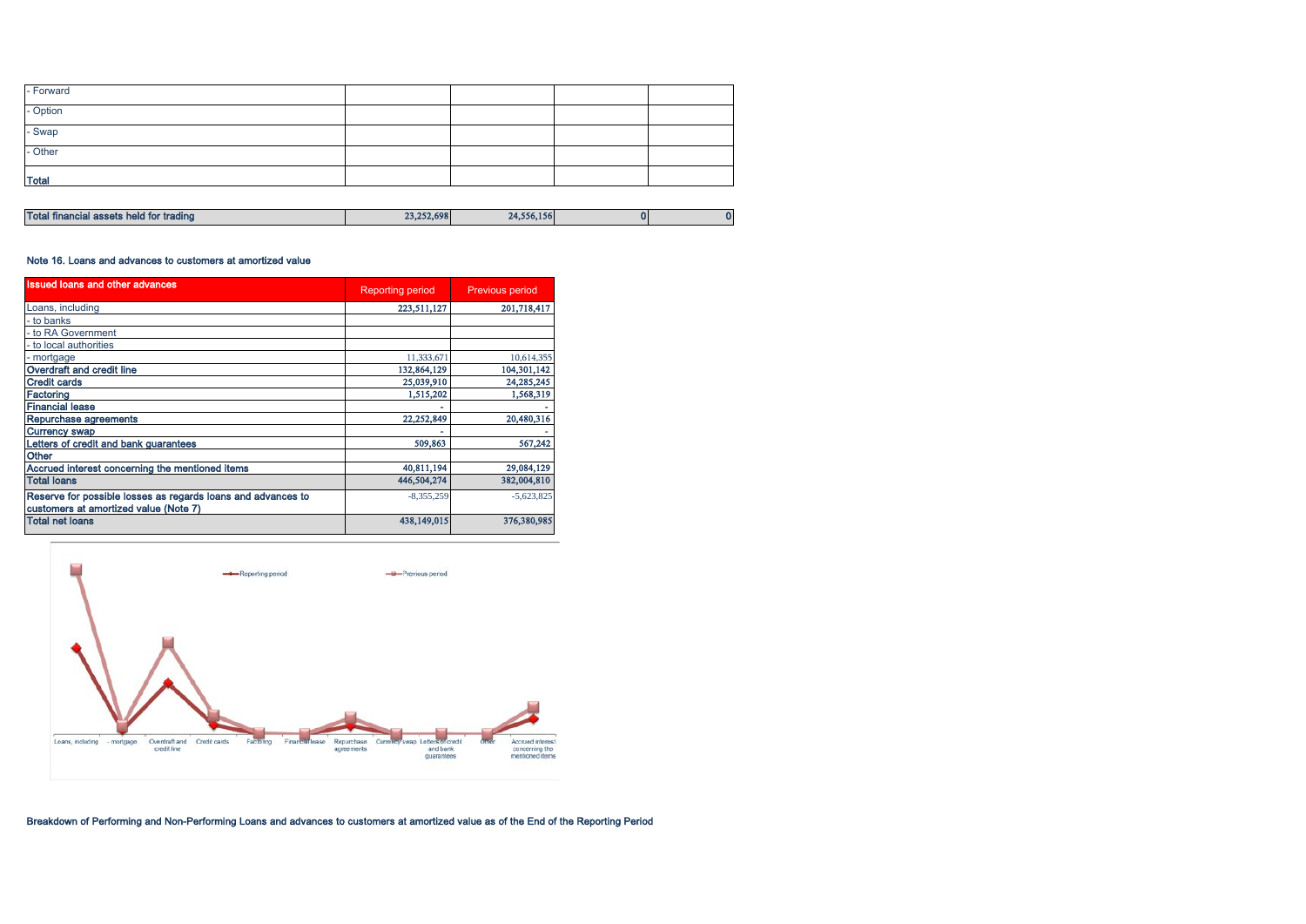| - Forward          |  |  |
|--------------------|--|--|
| - Option<br>- Swap |  |  |
|                    |  |  |
| - Other            |  |  |
| <b>Total</b>       |  |  |

| <b>Tota</b><br><sup>.</sup> trading<br><b>nei</b><br>-----<br>.u tor :<br>111<br>.<br><b>CONTRACTOR</b> | 23.252.698 | 788488<br>556.156<br>14. |  |
|---------------------------------------------------------------------------------------------------------|------------|--------------------------|--|

#### Note 16. Loans and advances to customers at amortized value

| <b>Issued loans and other advances</b>                                                                | <b>Reporting period</b> | <b>Previous period</b> |  |
|-------------------------------------------------------------------------------------------------------|-------------------------|------------------------|--|
| Loans, including                                                                                      | 223,511,127             | 201,718,417            |  |
| - to banks                                                                                            |                         |                        |  |
| - to RA Government                                                                                    |                         |                        |  |
| - to local authorities                                                                                |                         |                        |  |
| - mortgage                                                                                            | 11,333,671              | 10,614,355             |  |
| Overdraft and credit line                                                                             | 132,864,129             | 104,301,142            |  |
| <b>Credit cards</b>                                                                                   | 25,039,910              | 24,285,245             |  |
| Factoring                                                                                             | 1,515,202               | 1,568,319              |  |
| <b>Financial lease</b>                                                                                |                         |                        |  |
| Repurchase agreements                                                                                 | 22,252,849              | 20,480,316             |  |
| <b>Currency swap</b>                                                                                  |                         |                        |  |
| Letters of credit and bank guarantees                                                                 | 509,863                 | 567,242                |  |
| Other                                                                                                 |                         |                        |  |
| Accrued interest concerning the mentioned items                                                       | 40,811,194              | 29,084,129             |  |
| Total Ioans                                                                                           | 446,504,274             | 382,004,810            |  |
| Reserve for possible losses as regards loans and advances to<br>customers at amortized value (Note 7) | $-8,355,259$            | $-5,623,825$           |  |
| <b>Total net loans</b>                                                                                | 438.149.015             | 376,380,985            |  |



Breakdown of Performing and Non-Performing Loans and advances to customers at amortized value as of the End of the Reporting Period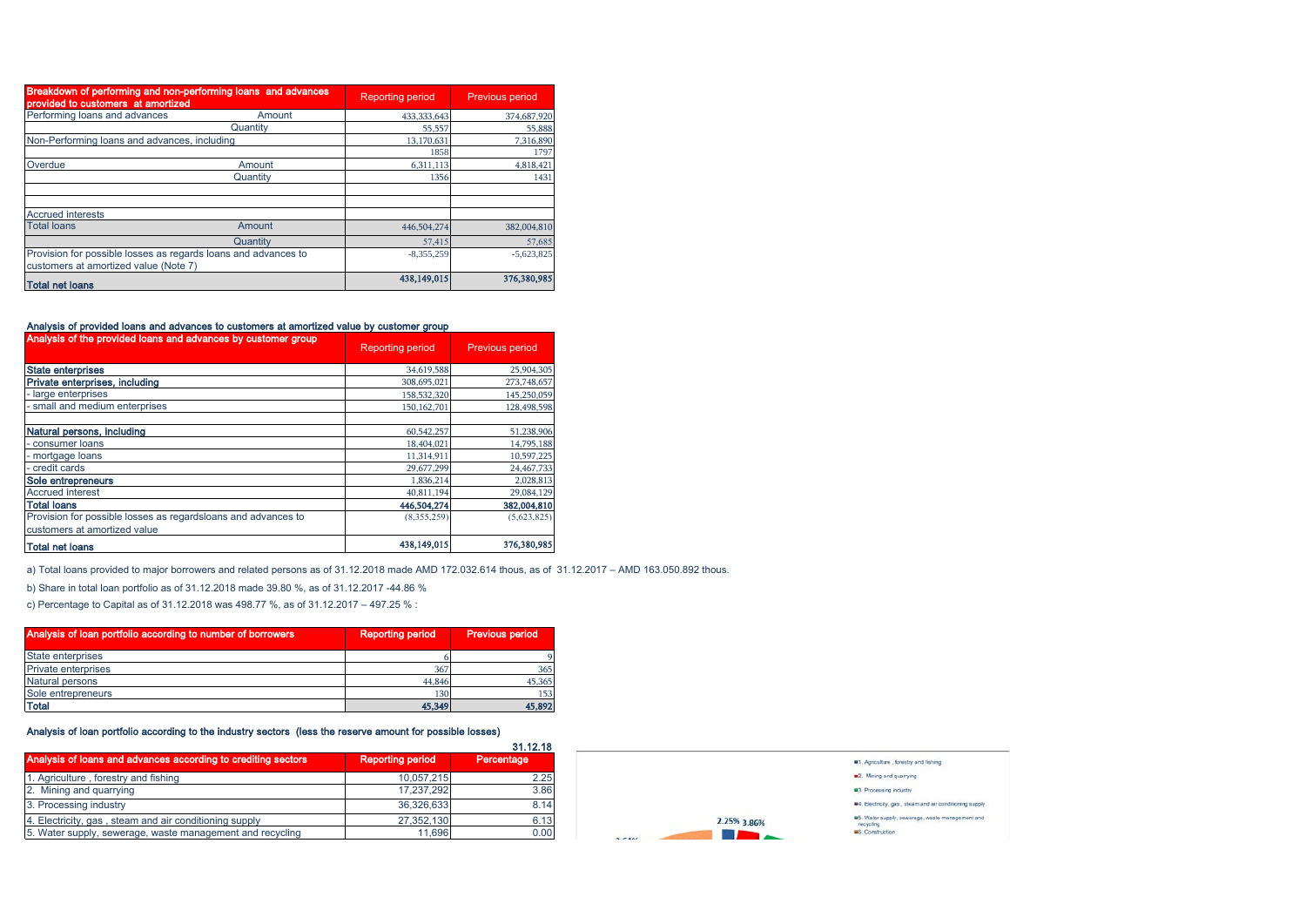| Breakdown of performing and non-performing loans and advances<br>provided to customers at amortized     |          | <b>Reporting period</b> | Previous period |
|---------------------------------------------------------------------------------------------------------|----------|-------------------------|-----------------|
| Performing loans and advances                                                                           | Amount   | 433, 333, 643           | 374,687,920     |
|                                                                                                         | Quantity | 55,557                  | 55,888          |
| Non-Performing loans and advances, including                                                            |          | 13,170,631              | 7,316,890       |
|                                                                                                         |          | 1858                    | 1797            |
| Overdue                                                                                                 | Amount   | 6,311,113               | 4,818,421       |
|                                                                                                         | Quantity | 1356                    | 1431            |
|                                                                                                         |          |                         |                 |
| <b>Accrued interests</b>                                                                                |          |                         |                 |
| <b>Total loans</b>                                                                                      | Amount   | 446,504,274             | 382,004,810     |
|                                                                                                         | Quantity | 57.415                  | 57,685          |
| Provision for possible losses as regards loans and advances to<br>customers at amortized value (Note 7) |          | $-8,355,259$            | $-5,623,825$    |
| <b>Total net loans</b>                                                                                  |          | 438,149,015             | 376,380,985     |

## Analysis of provided loans and advances to customers at amortized value by customer group

| Analysis of the provided loans and advances by customer group | <b>Reporting period</b> | Previous period |
|---------------------------------------------------------------|-------------------------|-----------------|
| <b>State enterprises</b>                                      | 34,619,588              | 25,904,305      |
| Private enterprises, including                                | 308,695,021             | 273,748,657     |
| - large enterprises                                           | 158,532,320             | 145,250,059     |
| small and medium enterprises                                  | 150,162,701             | 128,498,598     |
| Natural persons, including                                    | 60,542,257              | 51,238,906      |
| - consumer loans                                              | 18,404,021              | 14,795,188      |
| - mortgage loans                                              | 11,314,911              | 10,597,225      |
| - credit cards                                                | 29,677,299              | 24,467,733      |
| Sole entrepreneurs                                            | 1,836,214               | 2,028,813       |
| <b>Accrued interest</b>                                       | 40,811,194              | 29,084,129      |
| <b>Total loans</b>                                            | 446,504,274             | 382,004,810     |
| Provision for possible losses as regardsloans and advances to | (8.355.259)             | (5.623.825)     |
| customers at amortized value                                  |                         |                 |
| <b>Total net loans</b>                                        | 438,149,015             | 376,380,985     |

a) Total loans provided to major borrowers and related persons as of 31.12.2018 made AMD 172.032.614 thous, as of 31.12.2017 – AMD 163.050.892 thous.

b) Share in total loan portfolio as of 31.12.2018 made 39.80 %, as of 31.12.2017 -44.86 %

c) Percentage to Capital as of 31.12.2018 was 498.77 %, as of 31.12.2017 – 497.25 % :

| Analysis of loan portfolio according to number of borrowers | <b>Reporting period</b> | <b>Previous period</b> |
|-------------------------------------------------------------|-------------------------|------------------------|
| <b>State enterprises</b>                                    |                         |                        |
| <b>Private enterprises</b>                                  | 367                     | 365                    |
| <b>Natural persons</b>                                      | 44.846                  | 45,365                 |
| Sole entrepreneurs                                          | 130                     | 153                    |
| <b>Total</b>                                                | 45,349                  | 45,892                 |

## Analysis of loan portfolio according to the industry sectors (less the reserve amount for possible losses)

|                                                               |                         | 31.12.18   |
|---------------------------------------------------------------|-------------------------|------------|
| Analysis of loans and advances according to crediting sectors | <b>Reporting period</b> | Percentage |
| 1. Agriculture, forestry and fishing                          | 10.057.215              | 2.25       |
| 2. Mining and quarrying                                       | 17.237.292              | 3.86       |
| 3. Processing industry                                        | 36.326.633              | 8.14       |
| 4. Electricity, gas, steam and air conditioning supply        | 27,352,130              | 6.13       |
| 5. Water supply, sewerage, waste management and recycling     | 11.696                  | 0.00       |

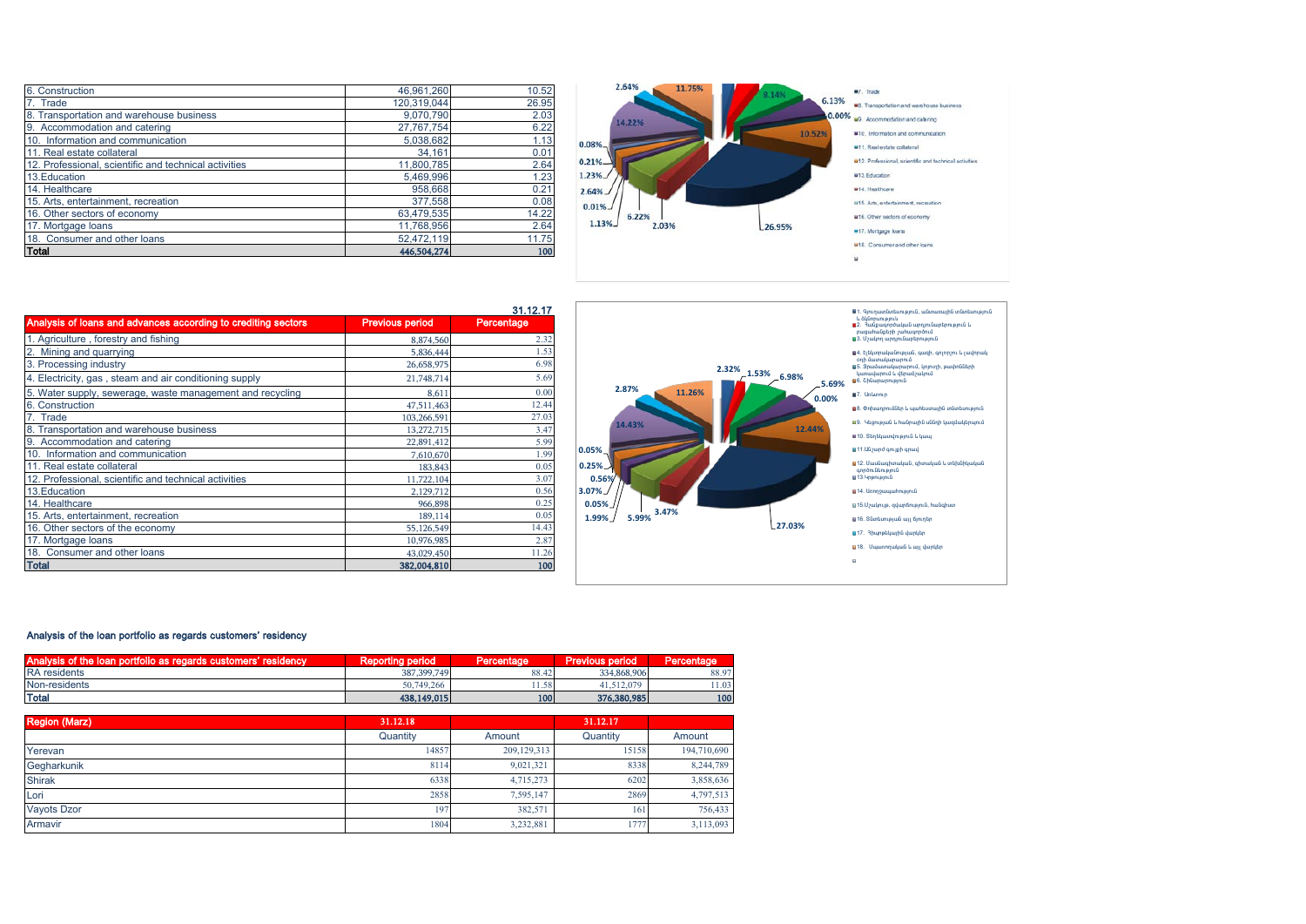| 6. Construction                                       | 46.961.260  | 10.52 |
|-------------------------------------------------------|-------------|-------|
| 7. Trade                                              | 120.319.044 | 26.95 |
| 8. Transportation and warehouse business              | 9,070,790   | 2.03  |
| 9. Accommodation and catering                         | 27,767,754  | 6.22  |
| 10. Information and communication                     | 5,038,682   | 1.13  |
| 11. Real estate collateral                            | 34,161      | 0.01  |
| 12. Professional, scientific and technical activities | 11,800,785  | 2.64  |
| 13. Education                                         | 5.469.996   | 1.23  |
| 14. Healthcare                                        | 958,668     | 0.21  |
| 15. Arts, entertainment, recreation                   | 377,558     | 0.08  |
| 16. Other sectors of economy                          | 63,479,535  | 14.22 |
| 17. Mortgage loans                                    | 11,768,956  | 2.64  |
| 18. Consumer and other loans                          | 52,472,119  | 11.75 |
| Total                                                 | 446,504,274 | 100   |



|                                                               |                        | 31.12.17   |
|---------------------------------------------------------------|------------------------|------------|
| Analysis of loans and advances according to crediting sectors | <b>Previous period</b> | Percentage |
| 1. Agriculture, forestry and fishing                          | 8,874,560              | 2.32       |
| 2. Mining and quarrying                                       | 5,836,444              | 1.53       |
| 3. Processing industry                                        | 26,658,975             | 6.98       |
| 4. Electricity, gas, steam and air conditioning supply        | 21,748,714             | 5.69       |
| 5. Water supply, sewerage, waste management and recycling     | 8,611                  | 0.00       |
| 6. Construction                                               | 47,511,463             | 12.44      |
| 7. Trade                                                      | 103,266,591            | 27.03      |
| 8. Transportation and warehouse business                      | 13,272,715             | 3.47       |
| 9. Accommodation and catering                                 | 22,891,412             | 5.99       |
| 10. Information and communication                             | 7,610,670              | 1.99       |
| 11. Real estate collateral                                    | 183,843                | 0.05       |
| 12. Professional, scientific and technical activities         | 11,722,104             | 3.07       |
| 13. Education                                                 | 2,129,712              | 0.56       |
| 14. Healthcare                                                | 966,898                | 0.25       |
| 15. Arts, entertainment, recreation                           | 189,114                | 0.05       |
| 16. Other sectors of the economy                              | 55,126,549             | 14.43      |
| 17. Mortgage loans                                            | 10,976,985             | 2.87       |
| 18. Consumer and other loans                                  | 43,029,450             | 11.26      |
| <b>Total</b>                                                  | 382,004,810            | 100        |



#### Analysis of the loan portfolio as regards customers' residency

| Analysis of the loan por<br>residency<br>ortfolio as regards customers' | <b>Reporting period</b> | Percentage | <b>Previous period</b> | Percentage |
|-------------------------------------------------------------------------|-------------------------|------------|------------------------|------------|
| <b>RA</b> residents                                                     | 387, 399, 749           | 88.42      | 334,868,906            | 88.97      |
| Non-residents                                                           | 50,749,266              | 11.58      | 11.512.079             | 0.1.03     |
| Total                                                                   | 438,149,015             | 100        | 376,380,985            | 100        |

31.12.17

| <b>Region (Marz)</b> | 31.12.18 |             | 31.12.17 |             |
|----------------------|----------|-------------|----------|-------------|
|                      | Quantity | Amount      | Quantity | Amount      |
| Yerevan              | 14857    | 209,129,313 | 15158    | 194,710,690 |
| Gegharkunik          | 8114     | 9,021,321   | 8338     | 8,244,789   |
| <b>Shirak</b>        | 6338     | 4,715,273   | 6202     | 3,858,636   |
| Lori                 | 2858     | 7,595,147   | 2869     | 4,797,513   |
| <b>Vayots Dzor</b>   | 197      | 382,571     | 161      | 756,433     |
| Armavir              | 1804     | 3,232,881   | 1777     | 3,113,093   |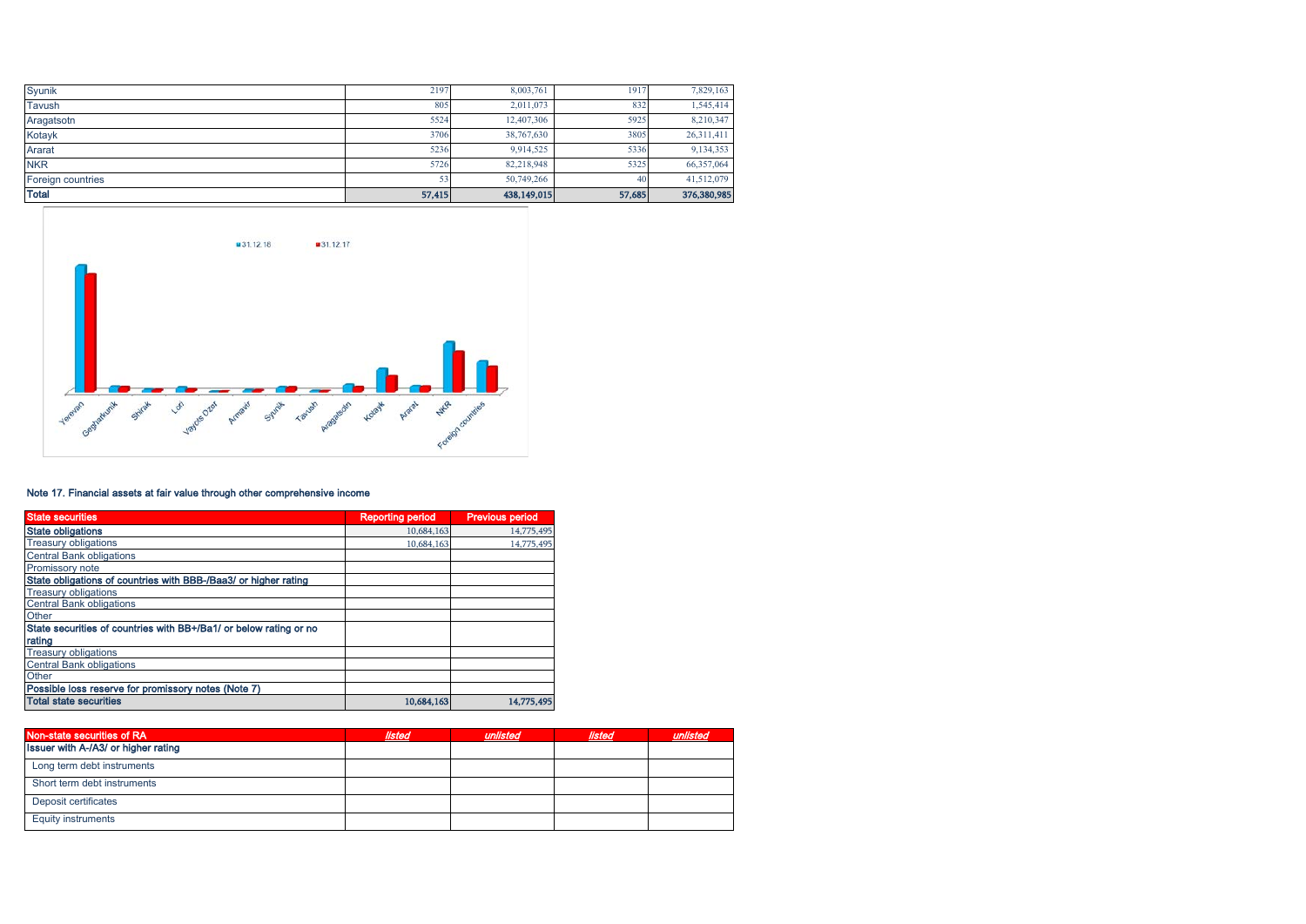| Syunik            | 2197   | 8,003,761   | 1917   | 7,829,163   |
|-------------------|--------|-------------|--------|-------------|
| Tavush            | 805    | 2.011.073   | 832    | 1,545,414   |
| Aragatsotn        | 5524   | 12,407,306  | 5925   | 8,210,347   |
| Kotayk            | 3706   | 38,767,630  | 3805   | 26,311,411  |
| Ararat            | 5236   | 9,914,525   | 5336   | 9,134,353   |
| <b>NKR</b>        | 5726   | 82,218,948  | 5325   | 66,357,064  |
| Foreign countries |        | 50,749,266  | 40     | 41,512,079  |
| <b>Total</b>      | 57,415 | 438,149,015 | 57,685 | 376,380,985 |



## Note 17. Financial assets at fair value through other comprehensive income

| <b>State securities</b>                                           | <b>Reporting period</b> | <b>Previous period</b> |
|-------------------------------------------------------------------|-------------------------|------------------------|
| <b>State obligations</b>                                          | 10,684,163              | 14,775,495             |
| <b>Treasury obligations</b>                                       | 10.684.163              | 14,775,495             |
| <b>Central Bank obligations</b>                                   |                         |                        |
| Promissory note                                                   |                         |                        |
| State obligations of countries with BBB-/Baa3/ or higher rating   |                         |                        |
| <b>Treasury obligations</b>                                       |                         |                        |
| <b>Central Bank obligations</b>                                   |                         |                        |
| Other                                                             |                         |                        |
| State securities of countries with BB+/Ba1/ or below rating or no |                         |                        |
| rating                                                            |                         |                        |
| <b>Treasury obligations</b>                                       |                         |                        |
| <b>Central Bank obligations</b>                                   |                         |                        |
| Other                                                             |                         |                        |
| Possible loss reserve for promissory notes (Note 7)               |                         |                        |
| <b>Total state securities</b>                                     | 10,684,163              | 14,775,495             |

| Non-state securities of RA          | listed | unlisted | listed |  |
|-------------------------------------|--------|----------|--------|--|
| Issuer with A-/A3/ or higher rating |        |          |        |  |
| Long term debt instruments          |        |          |        |  |
| Short term debt instruments         |        |          |        |  |
| Deposit certificates                |        |          |        |  |
| <b>Equity instruments</b>           |        |          |        |  |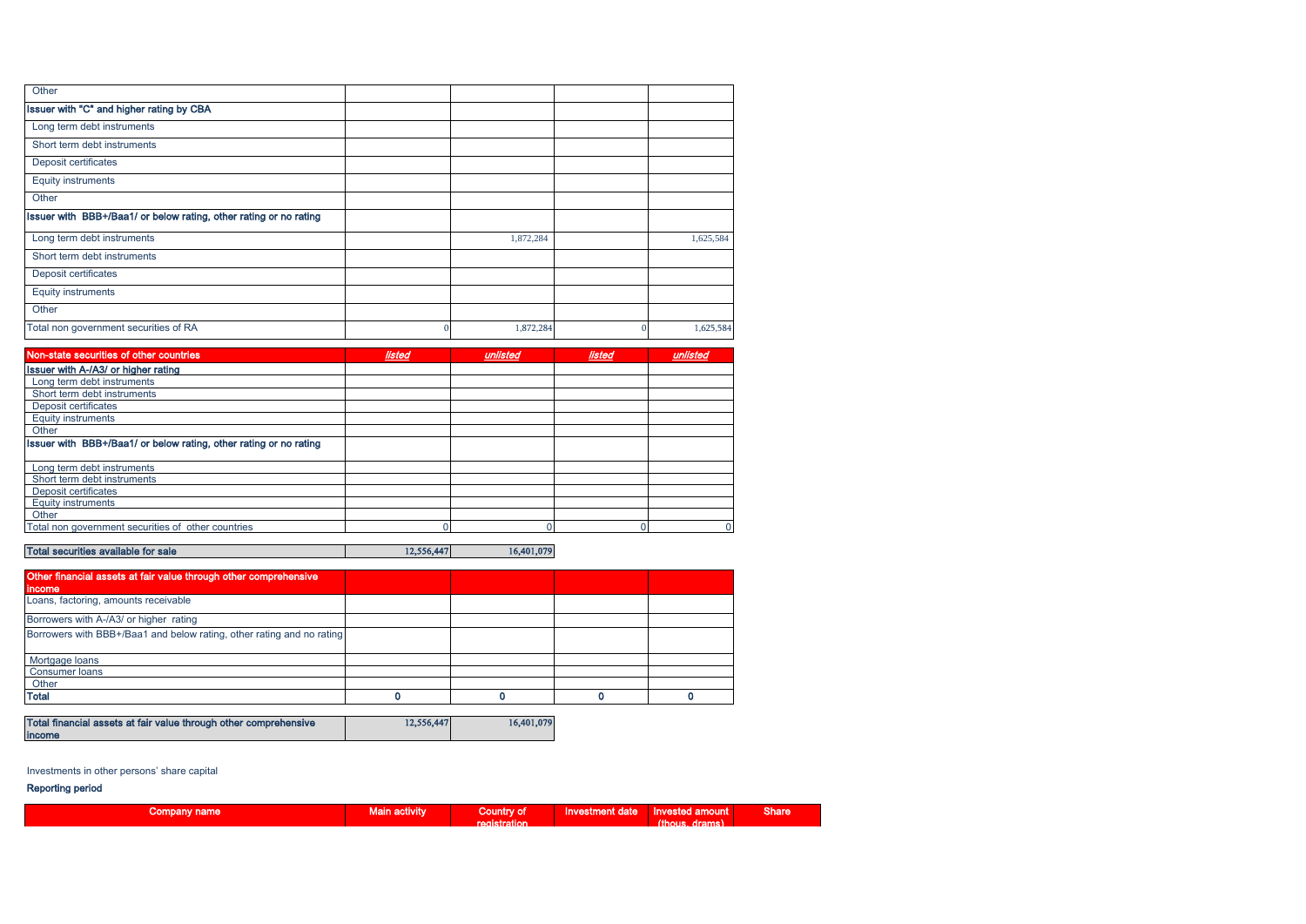| Other                                                             |   |           |           |
|-------------------------------------------------------------------|---|-----------|-----------|
| Issuer with "C" and higher rating by CBA                          |   |           |           |
| Long term debt instruments                                        |   |           |           |
| Short term debt instruments                                       |   |           |           |
| Deposit certificates                                              |   |           |           |
| <b>Equity instruments</b>                                         |   |           |           |
| Other                                                             |   |           |           |
| Issuer with BBB+/Baa1/ or below rating, other rating or no rating |   |           |           |
| Long term debt instruments                                        |   | 1,872,284 | 1,625,584 |
| Short term debt instruments                                       |   |           |           |
| Deposit certificates                                              |   |           |           |
| <b>Equity instruments</b>                                         |   |           |           |
| Other                                                             |   |           |           |
| Total non government securities of RA                             | 0 | 1,872,284 | 1,625,584 |

| Non-state securities of other countries                           | <b>listed</b> | unlisted | <b>listed</b> | unlisted |
|-------------------------------------------------------------------|---------------|----------|---------------|----------|
| Issuer with A-/A3/ or higher rating                               |               |          |               |          |
| Long term debt instruments                                        |               |          |               |          |
| Short term debt instruments                                       |               |          |               |          |
| Deposit certificates                                              |               |          |               |          |
| <b>Equity instruments</b>                                         |               |          |               |          |
| Other                                                             |               |          |               |          |
| Issuer with BBB+/Baa1/ or below rating, other rating or no rating |               |          |               |          |
| Long term debt instruments                                        |               |          |               |          |
| Short term debt instruments                                       |               |          |               |          |
| Deposit certificates                                              |               |          |               |          |
| <b>Equity instruments</b>                                         |               |          |               |          |
| Other                                                             |               |          |               |          |
| Total non government securities of other countries                |               |          |               |          |
|                                                                   |               |          |               |          |

# Total securities available for sale 12,556,447 16,401,079

| Other financial assets at fair value through other comprehensive      |  |  |
|-----------------------------------------------------------------------|--|--|
| income                                                                |  |  |
| Loans, factoring, amounts receivable                                  |  |  |
| Borrowers with A-/A3/ or higher rating                                |  |  |
| Borrowers with BBB+/Baa1 and below rating, other rating and no rating |  |  |
| Mortgage loans                                                        |  |  |
| Consumer loans                                                        |  |  |
| Other                                                                 |  |  |
| <b>Total</b>                                                          |  |  |

| Total financial assets at fair value through other comprehensive | 12.556.447 | 16,401,079 |
|------------------------------------------------------------------|------------|------------|
| income                                                           |            |            |

## Investments in other persons' share capital

#### Reporting period

| Company name | wain activity. | <b>Country of</b>   | <b>Investment date</b> | <b>Invested amount</b> | <b>Share</b> |
|--------------|----------------|---------------------|------------------------|------------------------|--------------|
|              |                | <b>registration</b> |                        | (thous.<br>drams)      |              |
|              |                |                     |                        |                        |              |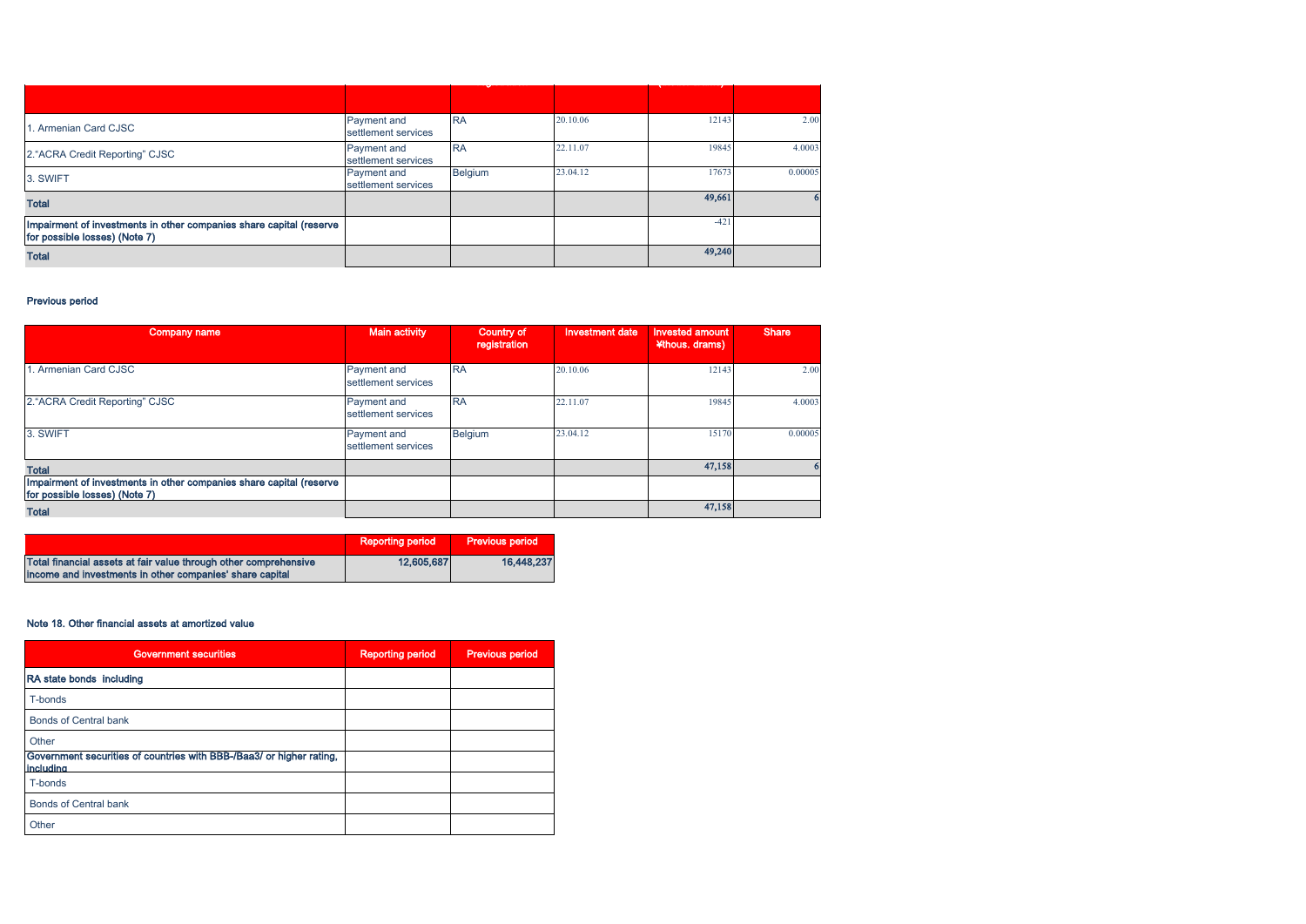| . Armenian Card CJSC                                                                                 | Payment and         | <b>RA</b> | 20.10.06 | 12143  | 2.00    |
|------------------------------------------------------------------------------------------------------|---------------------|-----------|----------|--------|---------|
|                                                                                                      | settlement services |           |          |        |         |
| 2. "ACRA Credit Reporting" CJSC                                                                      | Payment and         | <b>RA</b> | 22.11.07 | 19845  | 4.0003  |
|                                                                                                      | settlement services |           |          |        |         |
| 3. SWIFT                                                                                             | Payment and         | Belgium   | 23.04.12 | 17673  | 0.00005 |
|                                                                                                      | settlement services |           |          |        |         |
| <b>Total</b>                                                                                         |                     |           |          | 49,661 |         |
|                                                                                                      |                     |           |          |        |         |
| Impairment of investments in other companies share capital (reserve<br>for possible losses) (Note 7) |                     |           |          | $-421$ |         |
| <b>Total</b>                                                                                         |                     |           |          | 49,240 |         |
|                                                                                                      |                     |           |          |        |         |

## Previous period

| Company name                                                                                         | <b>Main activity</b>                      | <b>Country of</b><br>registration | <b>Investment date</b> | <b>Invested amount</b><br>¥thous. drams) | <b>Share</b> |
|------------------------------------------------------------------------------------------------------|-------------------------------------------|-----------------------------------|------------------------|------------------------------------------|--------------|
| I. Armenian Card CJSC                                                                                | Payment and<br>settlement services        | <b>RA</b>                         | 20.10.06               | 12143                                    | 2.00         |
| 2. "ACRA Credit Reporting" CJSC                                                                      | Payment and<br>settlement services        | <b>RA</b>                         | 22.11.07               | 19845                                    | 4.0003       |
| 3. SWIFT                                                                                             | <b>Payment</b> and<br>settlement services | Belgium                           | 23.04.12               | 15170                                    | 0.00005      |
| <b>Total</b>                                                                                         |                                           |                                   |                        | 47,158                                   |              |
| Impairment of investments in other companies share capital (reserve<br>for possible losses) (Note 7) |                                           |                                   |                        |                                          |              |
| <b>Total</b>                                                                                         |                                           |                                   |                        | 47,158                                   |              |

|                                                                  | <b>Reporting period</b> | <b>Previous period</b> |
|------------------------------------------------------------------|-------------------------|------------------------|
| Total financial assets at fair value through other comprehensive | 12,605,687              | 16,448,237             |
| income and investments in other companies' share capital         |                         |                        |

## Note 18. Other financial assets at amortized value

| <b>Government securities</b>                                                      | <b>Reporting period</b> | <b>Previous period</b> |
|-----------------------------------------------------------------------------------|-------------------------|------------------------|
| RA state bonds including                                                          |                         |                        |
| T-bonds                                                                           |                         |                        |
| <b>Bonds of Central bank</b>                                                      |                         |                        |
| Other                                                                             |                         |                        |
| Government securities of countries with BBB-/Baa3/ or higher rating,<br>including |                         |                        |
| T-bonds                                                                           |                         |                        |
| <b>Bonds of Central bank</b>                                                      |                         |                        |
| Other                                                                             |                         |                        |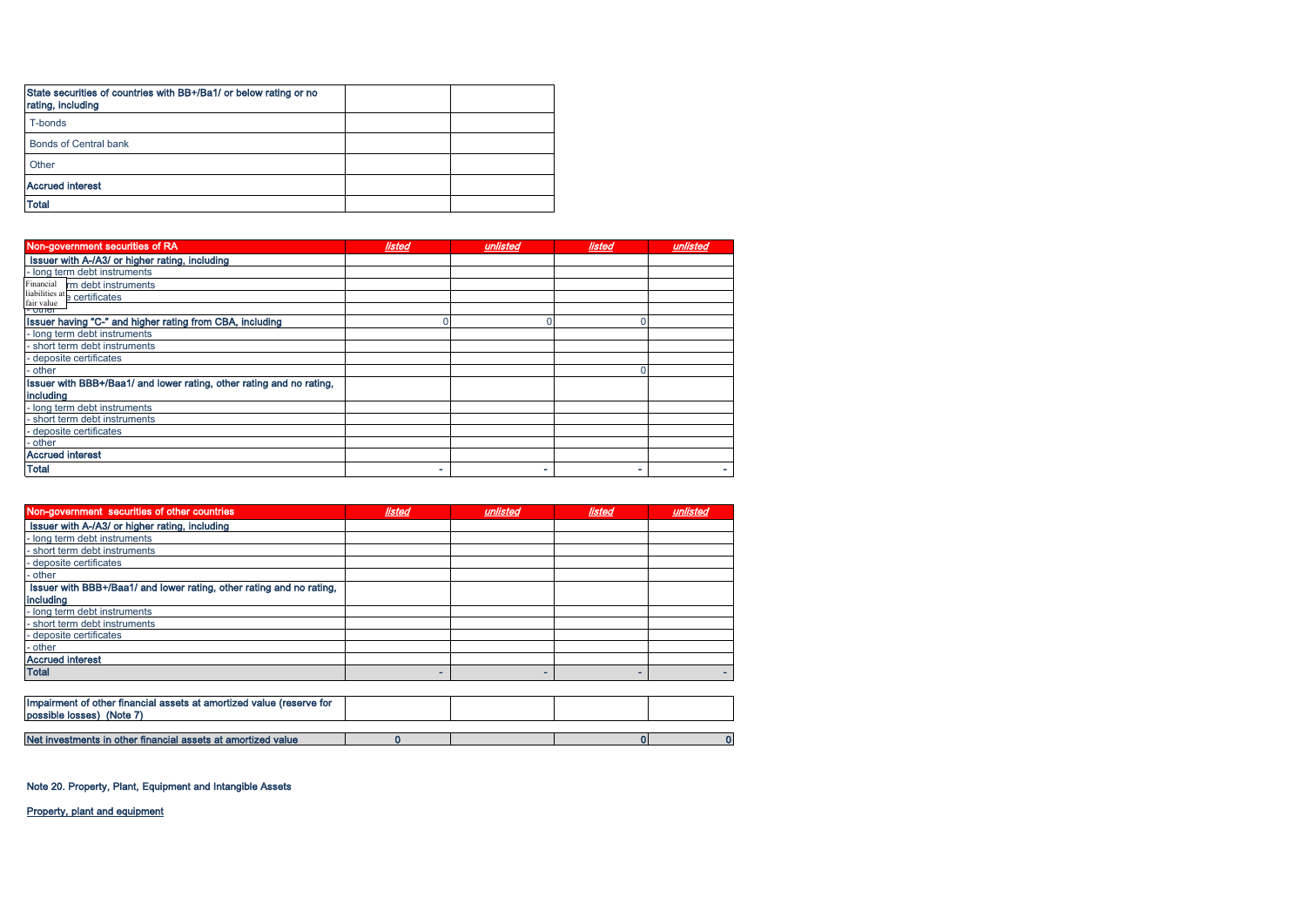| State securities of countries with BB+/Ba1/ or below rating or no<br>rating, including |  |
|----------------------------------------------------------------------------------------|--|
| T-bonds                                                                                |  |
| <b>Bonds of Central bank</b>                                                           |  |
| Other                                                                                  |  |
| <b>Accrued interest</b>                                                                |  |
| <b>Total</b>                                                                           |  |

| Non-government securities of RA                                      | listed | unlisted | listed | unlisted |
|----------------------------------------------------------------------|--------|----------|--------|----------|
| Issuer with A-/A3/ or higher rating, including                       |        |          |        |          |
| - long term debt instruments                                         |        |          |        |          |
| Financial<br>rm debt instruments                                     |        |          |        |          |
| liabilities at e certificates<br>fair value                          |        |          |        |          |
| <u>- other</u>                                                       |        |          |        |          |
| Issuer having "C-" and higher rating from CBA, including             |        |          |        |          |
| - long term debt instruments                                         |        |          |        |          |
| short term debt instruments                                          |        |          |        |          |
| - deposite certificates                                              |        |          |        |          |
| - other                                                              |        |          |        |          |
| Issuer with BBB+/Baa1/ and lower rating, other rating and no rating, |        |          |        |          |
| including                                                            |        |          |        |          |
| - long term debt instruments                                         |        |          |        |          |
| short term debt instruments                                          |        |          |        |          |
| - deposite certificates                                              |        |          |        |          |
| - other                                                              |        |          |        |          |
| <b>Accrued interest</b>                                              |        |          |        |          |
| <b>Total</b>                                                         | ۰      |          |        |          |

| Non-government securities of other countries                                                      | listed | unlisted | listed | unlisted |
|---------------------------------------------------------------------------------------------------|--------|----------|--------|----------|
| Issuer with A-/A3/ or higher rating, including                                                    |        |          |        |          |
| - long term debt instruments                                                                      |        |          |        |          |
| short term debt instruments                                                                       |        |          |        |          |
| deposite certificates                                                                             |        |          |        |          |
| ∙other                                                                                            |        |          |        |          |
| Issuer with BBB+/Baa1/ and lower rating, other rating and no rating,                              |        |          |        |          |
| including                                                                                         |        |          |        |          |
| - long term debt instruments                                                                      |        |          |        |          |
| short term debt instruments                                                                       |        |          |        |          |
| - deposite certificates                                                                           |        |          |        |          |
| - other                                                                                           |        |          |        |          |
| <b>Accrued interest</b>                                                                           |        |          |        |          |
| <b>Total</b>                                                                                      | -      |          |        |          |
|                                                                                                   |        |          |        |          |
| Impairment of other financial assets at amortized value (reserve for<br>possible losses) (Note 7) |        |          |        |          |
|                                                                                                   |        |          |        |          |
| Net investments in other financial assets at amortized value                                      |        |          |        |          |

Note 20. Property, Plant, Equipment and Intangible Assets

Property, plant and equipment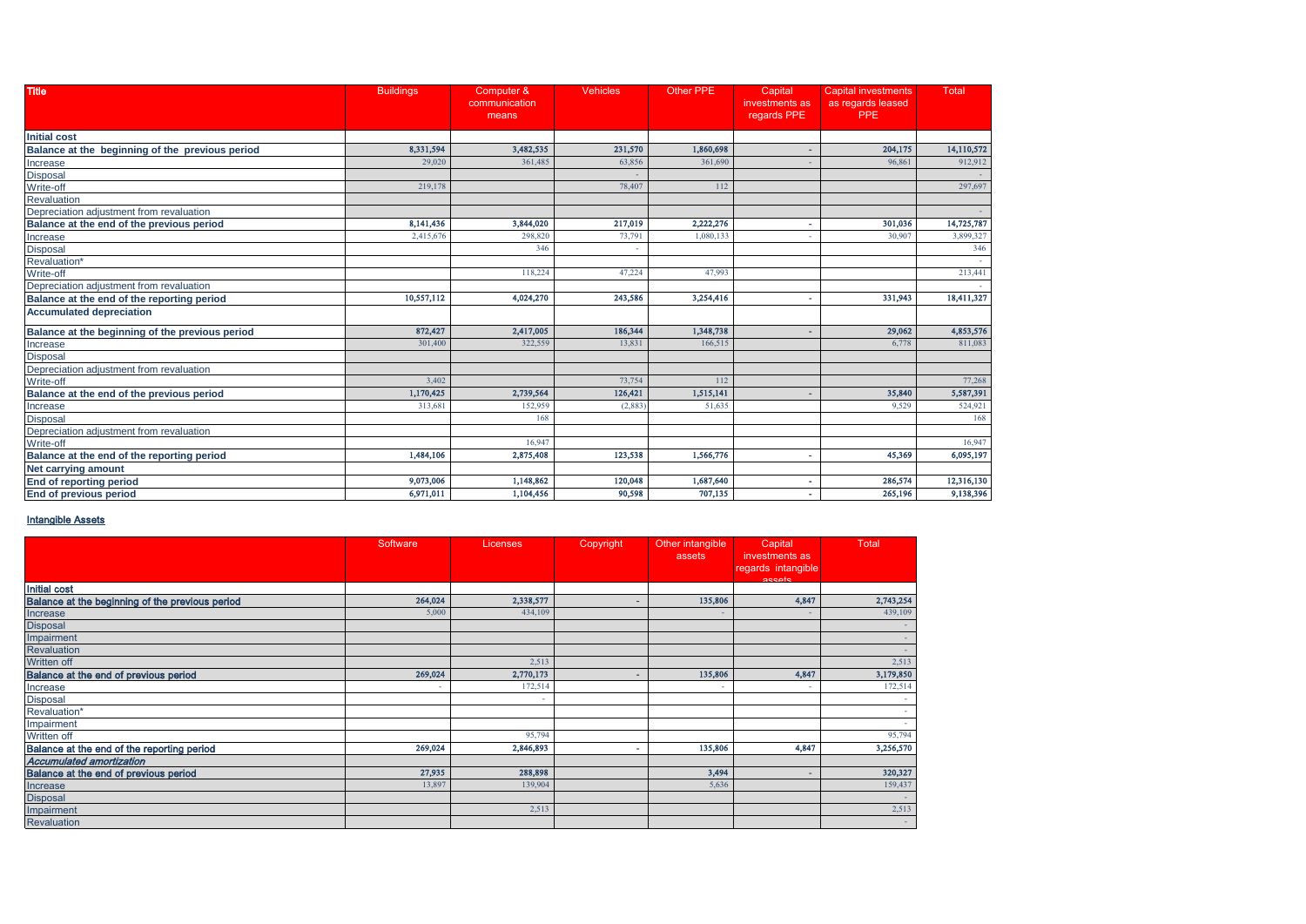| <b>Title</b>                                    | <b>Buildings</b> | Computer &<br>communication<br>means | <b>Vehicles</b> | <b>Other PPE</b> | Capital<br>investments as<br>regards PPE | <b>Capital investments</b><br>as regards leased<br><b>PPE</b> | Total      |
|-------------------------------------------------|------------------|--------------------------------------|-----------------|------------------|------------------------------------------|---------------------------------------------------------------|------------|
| <b>Initial cost</b>                             |                  |                                      |                 |                  |                                          |                                                               |            |
| Balance at the beginning of the previous period | 8,331,594        | 3,482,535                            | 231,570         | 1,860,698        |                                          | 204,175                                                       | 14,110,572 |
| Increase                                        | 29,020           | 361,485                              | 63,856          | 361,690          |                                          | 96,861                                                        | 912,912    |
| <b>Disposal</b>                                 |                  |                                      |                 |                  |                                          |                                                               |            |
| Write-off                                       | 219,178          |                                      | 78,407          | 112              |                                          |                                                               | 297,697    |
| Revaluation                                     |                  |                                      |                 |                  |                                          |                                                               |            |
| Depreciation adjustment from revaluation        |                  |                                      |                 |                  |                                          |                                                               |            |
| Balance at the end of the previous period       | 8,141,436        | 3,844,020                            | 217,019         | 2,222,276        |                                          | 301,036                                                       | 14,725,787 |
| Increase                                        | 2,415,676        | 298,820                              | 73,791          | 1,080,133        |                                          | 30,907                                                        | 3,899,327  |
| <b>Disposal</b>                                 |                  | 346                                  |                 |                  |                                          |                                                               | 346        |
| Revaluation'                                    |                  |                                      |                 |                  |                                          |                                                               |            |
| Write-off                                       |                  | 118,224                              | 47,224          | 47.993           |                                          |                                                               | 213,441    |
| Depreciation adjustment from revaluation        |                  |                                      |                 |                  |                                          |                                                               |            |
| Balance at the end of the reporting period      | 10,557,112       | 4,024,270                            | 243,586         | 3,254,416        | $\blacksquare$                           | 331,943                                                       | 18,411,327 |
| <b>Accumulated depreciation</b>                 |                  |                                      |                 |                  |                                          |                                                               |            |
| Balance at the beginning of the previous period | 872,427          | 2,417,005                            | 186,344         | 1,348,738        |                                          | 29,062                                                        | 4,853,576  |
| Increase                                        | 301,400          | 322,559                              | 13,831          | 166,515          |                                          | 6,778                                                         | 811,083    |
| <b>Disposal</b>                                 |                  |                                      |                 |                  |                                          |                                                               |            |
| Depreciation adjustment from revaluation        |                  |                                      |                 |                  |                                          |                                                               |            |
| Write-off                                       | 3,402            |                                      | 73,754          | 112              |                                          |                                                               | 77,268     |
| Balance at the end of the previous period       | 1,170,425        | 2,739,564                            | 126,421         | 1,515,141        |                                          | 35,840                                                        | 5,587,391  |
| Increase                                        | 313,681          | 152,959                              | (2,883)         | 51,635           |                                          | 9.529                                                         | 524,921    |
| <b>Disposal</b>                                 |                  | 168                                  |                 |                  |                                          |                                                               | 168        |
| Depreciation adjustment from revaluation        |                  |                                      |                 |                  |                                          |                                                               |            |
| Write-off                                       |                  | 16,947                               |                 |                  |                                          |                                                               | 16,947     |
| Balance at the end of the reporting period      | 1,484,106        | 2,875,408                            | 123,538         | 1,566,776        | $\overline{\phantom{a}}$                 | 45,369                                                        | 6,095,197  |
| Net carrying amount                             |                  |                                      |                 |                  |                                          |                                                               |            |
| <b>End of reporting period</b>                  | 9,073,006        | 1,148,862                            | 120,048         | 1,687,640        |                                          | 286,574                                                       | 12,316,130 |
| <b>End of previous period</b>                   | 6,971,011        | 1,104,456                            | 90.598          | 707,135          |                                          | 265,196                                                       | 9,138,396  |

#### Intangible Assets

|                                                 | Software                 | Licenses, | Copyright | Other intangible<br>assets | Capital<br>investments as<br>regards intangible<br>accate | <b>Total</b> |
|-------------------------------------------------|--------------------------|-----------|-----------|----------------------------|-----------------------------------------------------------|--------------|
| <b>Initial cost</b>                             |                          |           |           |                            |                                                           |              |
| Balance at the beginning of the previous period | 264,024                  | 2,338,577 | ۰         | 135,806                    | 4,847                                                     | 2,743,254    |
| Increase                                        | 5,000                    | 434,109   |           | $\sim$                     | $\overline{\phantom{a}}$                                  | 439,109      |
| <b>Disposal</b>                                 |                          |           |           |                            |                                                           |              |
| Impairment                                      |                          |           |           |                            |                                                           |              |
| Revaluation                                     |                          |           |           |                            |                                                           |              |
| Written off                                     |                          | 2,513     |           |                            |                                                           | 2,513        |
| Balance at the end of previous period           | 269,024                  | 2,770,173 |           | 135,806                    | 4,847                                                     | 3,179,850    |
| Increase                                        | $\overline{\phantom{a}}$ | 172,514   |           |                            |                                                           | 172,514      |
| Disposal                                        |                          |           |           |                            |                                                           |              |
| Revaluation*                                    |                          |           |           |                            |                                                           |              |
| Impairment                                      |                          |           |           |                            |                                                           |              |
| Written off                                     |                          | 95,794    |           |                            |                                                           | 95,794       |
| Balance at the end of the reporting period      | 269,024                  | 2,846,893 | ۰         | 135,806                    | 4,847                                                     | 3,256,570    |
| <b>Accumulated amortization</b>                 |                          |           |           |                            |                                                           |              |
| Balance at the end of previous period           | 27,935                   | 288,898   |           | 3,494                      | $\overline{\phantom{a}}$                                  | 320,327      |
| Increase                                        | 13,897                   | 139,904   |           | 5,636                      |                                                           | 159,437      |
| <b>Disposal</b>                                 |                          |           |           |                            |                                                           |              |
| Impairment                                      |                          | 2,513     |           |                            |                                                           | 2,513        |
| Revaluation                                     |                          |           |           |                            |                                                           | $\sim$       |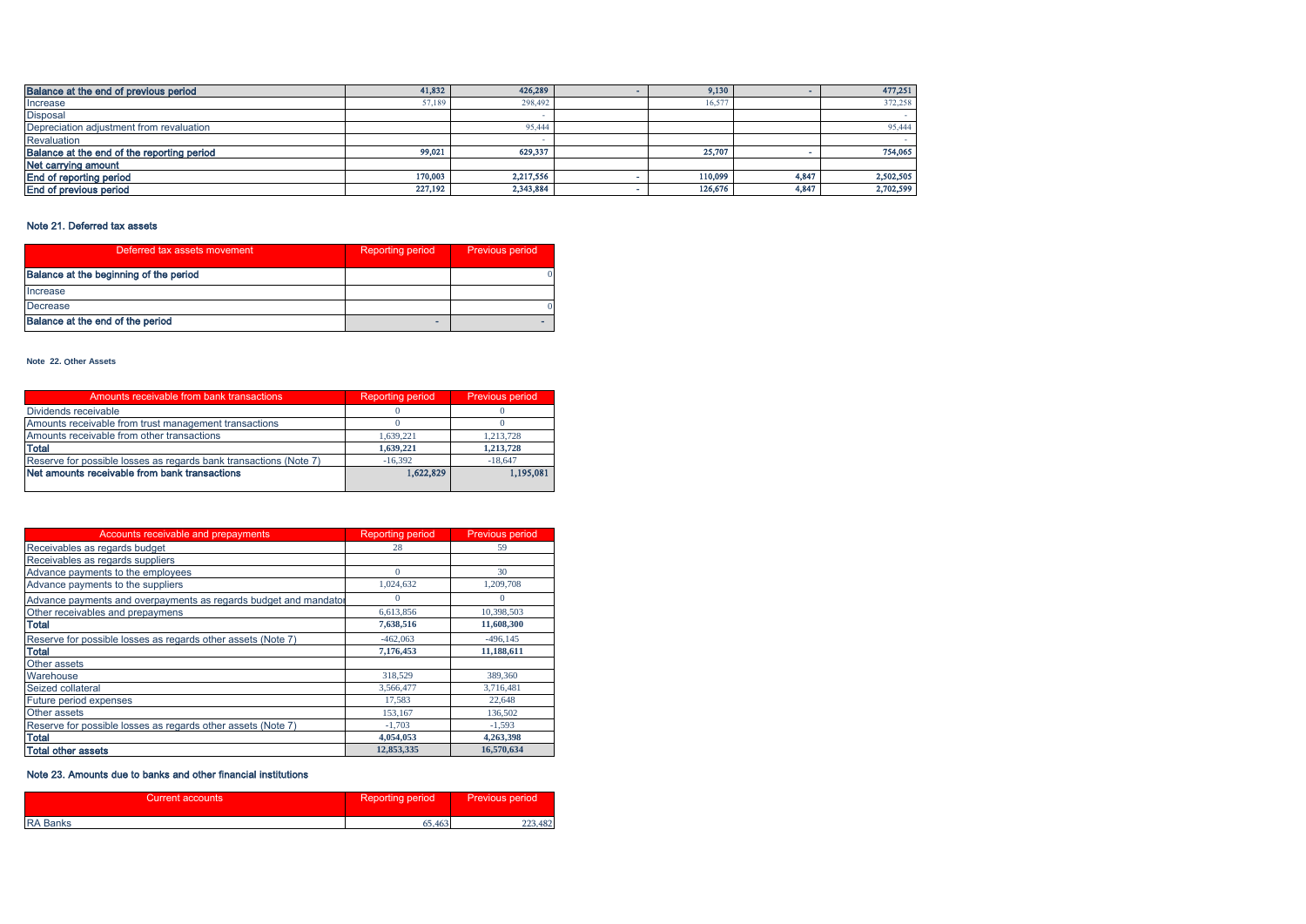| Balance at the end of previous period      | 41,832  | 426,289   | 9,130   |       | 477,251   |
|--------------------------------------------|---------|-----------|---------|-------|-----------|
| Increase                                   | 57,189  | 298,492   | 16.577  |       | 372,258   |
| <b>Disposal</b>                            |         |           |         |       |           |
| Depreciation adjustment from revaluation   |         | 95.444    |         |       | 95,444    |
| Revaluation                                |         |           |         |       |           |
| Balance at the end of the reporting period | 99,021  | 629,337   | 25.707  |       | 754,065   |
| Net carrying amount                        |         |           |         |       |           |
| End of reporting period                    | 170,003 | 2,217,556 | 110,099 | 4,847 | 2,502,505 |
| End of previous period                     | 227,192 | 2,343,884 | 126,676 | 4,847 | 2,702,599 |

## Note 21. Deferred tax assets

| Deferred tax assets movement           | <b>Reporting period</b> | Previous period |
|----------------------------------------|-------------------------|-----------------|
| Balance at the beginning of the period |                         |                 |
| Increase                               |                         |                 |
| Decrease                               |                         |                 |
| Balance at the end of the period       |                         |                 |

#### **Note 22.** Օ**ther Assets**

| Amounts receivable from bank transactions                         | <b>Reporting period</b> | Previous period |
|-------------------------------------------------------------------|-------------------------|-----------------|
| Dividends receivable                                              |                         |                 |
| Amounts receivable from trust management transactions             |                         |                 |
| Amounts receivable from other transactions                        | 1.639.221               | 1.213.728       |
| <b>Total</b>                                                      | 1,639,221               | 1.213.728       |
| Reserve for possible losses as regards bank transactions (Note 7) | $-16.392$               | $-18,647$       |
| Net amounts receivable from bank transactions                     | 1,622,829               | 1,195,081       |
|                                                                   |                         |                 |

| Accounts receivable and prepayments                              | <b>Reporting period</b> | <b>Previous period</b> |
|------------------------------------------------------------------|-------------------------|------------------------|
| Receivables as regards budget                                    | 28                      | 59                     |
| Receivables as regards suppliers                                 |                         |                        |
| Advance payments to the employees                                | $\Omega$                | 30                     |
| Advance payments to the suppliers                                | 1,024,632               | 1,209,708              |
| Advance payments and overpayments as regards budget and mandator | $\Omega$                | $\Omega$               |
| Other receivables and prepaymens                                 | 6,613,856               | 10,398,503             |
| <b>Total</b>                                                     | 7,638,516               | 11,608,300             |
| Reserve for possible losses as regards other assets (Note 7)     | $-462,063$              | $-496, 145$            |
| <b>Total</b>                                                     | 7,176,453               | 11,188,611             |
| Other assets                                                     |                         |                        |
| Warehouse                                                        | 318,529                 | 389,360                |
| Seized collateral                                                | 3,566,477               | 3,716,481              |
| Future period expenses                                           | 17.583                  | 22,648                 |
| Other assets                                                     | 153.167                 | 136,502                |
| Reserve for possible losses as regards other assets (Note 7)     | $-1,703$                | $-1,593$               |
| <b>Total</b>                                                     | 4,054,053               | 4,263,398              |
| <b>Total other assets</b>                                        | 12,853,335              | 16,570,634             |

## Note 23. Amounts due to banks and other financial institutions

| Current accounts | <b>Reporting period</b> | <b>Previous period</b> |
|------------------|-------------------------|------------------------|
| <b>RA Banks</b>  | 65,463                  | 223,482                |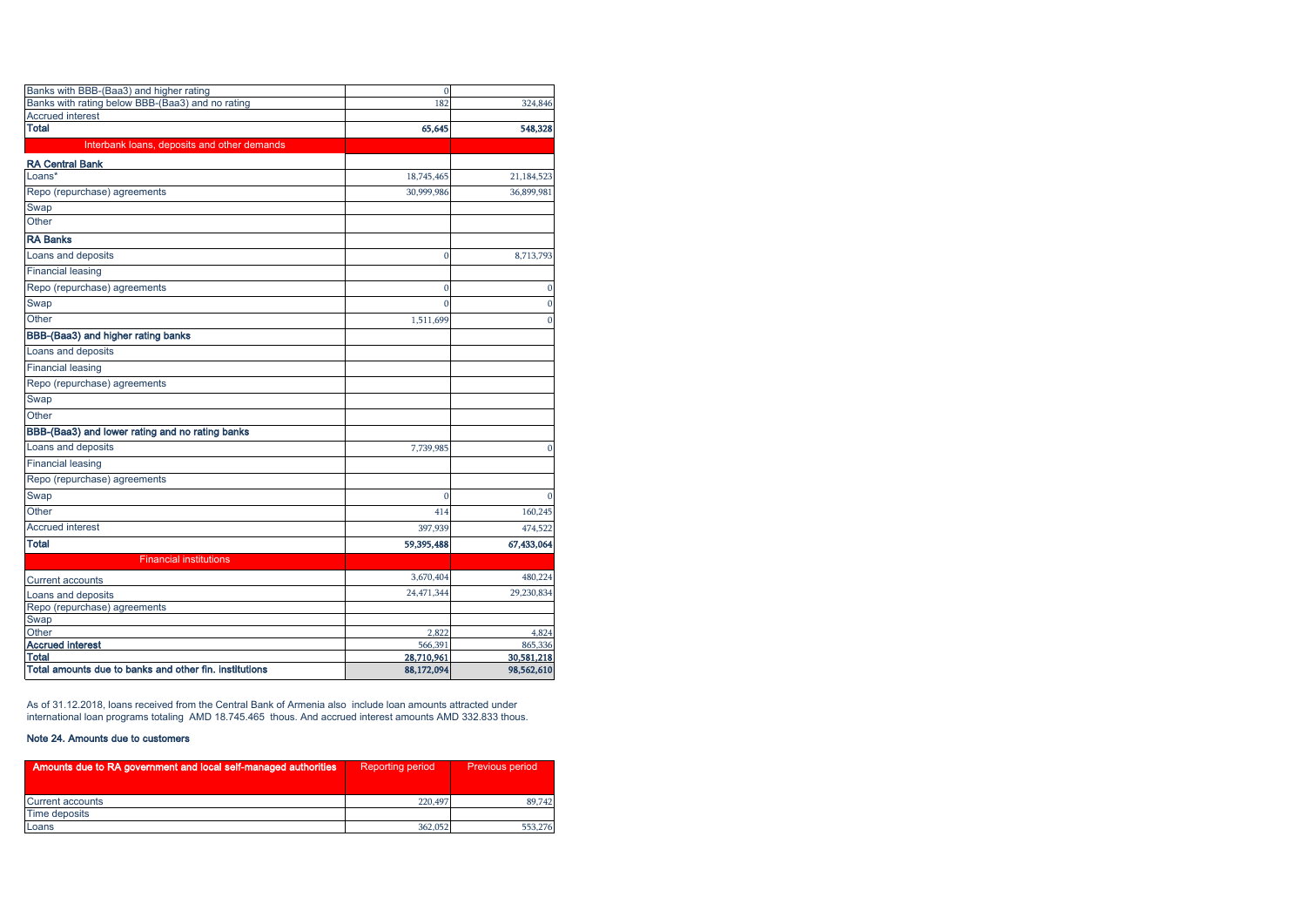| Banks with BBB-(Baa3) and higher rating                                | $\mathbf{0}$ |              |
|------------------------------------------------------------------------|--------------|--------------|
| Banks with rating below BBB-(Baa3) and no rating                       | 182          | 324,846      |
| <b>Accrued interest</b>                                                |              |              |
| <b>Total</b>                                                           | 65,645       | 548,328      |
| Interbank loans, deposits and other demands                            |              |              |
| <b>RA Central Bank</b>                                                 |              |              |
| Loans*                                                                 | 18,745,465   | 21,184,523   |
| Repo (repurchase) agreements                                           | 30,999,986   | 36,899,981   |
| Swap                                                                   |              |              |
| Other                                                                  |              |              |
| <b>RA Banks</b>                                                        |              |              |
| Loans and deposits                                                     | $\mathbf{0}$ | 8,713,793    |
| <b>Financial leasing</b>                                               |              |              |
| Repo (repurchase) agreements                                           | $\mathbf{0}$ | $\mathbf{0}$ |
| Swap                                                                   | $\theta$     | $\mathbf{0}$ |
| Other                                                                  | 1,511,699    | $\bf{0}$     |
| BBB-(Baa3) and higher rating banks                                     |              |              |
| Loans and deposits                                                     |              |              |
| <b>Financial leasing</b>                                               |              |              |
| Repo (repurchase) agreements                                           |              |              |
| Swap                                                                   |              |              |
| Other                                                                  |              |              |
| BBB-(Baa3) and lower rating and no rating banks                        |              |              |
| Loans and deposits                                                     | 7,739,985    | $\mathbf{0}$ |
| <b>Financial leasing</b>                                               |              |              |
| Repo (repurchase) agreements                                           |              |              |
| Swap                                                                   | $\mathbf{0}$ | $\Omega$     |
| Other                                                                  | 414          | 160,245      |
| <b>Accrued interest</b>                                                | 397,939      | 474,522      |
| <b>Total</b>                                                           | 59,395,488   | 67,433,064   |
| <b>Financial institutions</b>                                          |              |              |
| <b>Current accounts</b>                                                | 3,670,404    | 480,224      |
| Loans and deposits                                                     | 24,471,344   | 29,230,834   |
| Repo (repurchase) agreements                                           |              |              |
| Swap                                                                   |              |              |
| Other                                                                  | 2,822        | 4,824        |
| <b>Accrued interest</b>                                                | 566,391      | 865,336      |
| <b>Total</b><br>Total amounts due to banks and other fin, institutions | 28,710,961   | 30,581,218   |
|                                                                        | 88,172,094   | 98,562,610   |

As of 31.12.2018, loans received from the Central Bank of Armenia also include loan amounts attracted under international loan programs totaling AMD 18.745.465 thous. And accrued interest amounts AMD 332.833 thous.

## Note 24. Amounts due to customers

| Amounts due to RA government and local self-managed authorities | <b>Reporting period</b> | <b>Previous period</b> |
|-----------------------------------------------------------------|-------------------------|------------------------|
| Current accounts                                                | 220,497                 | 89.742                 |
| Time deposits                                                   |                         |                        |
| Loans                                                           | 362,052                 | 553,276                |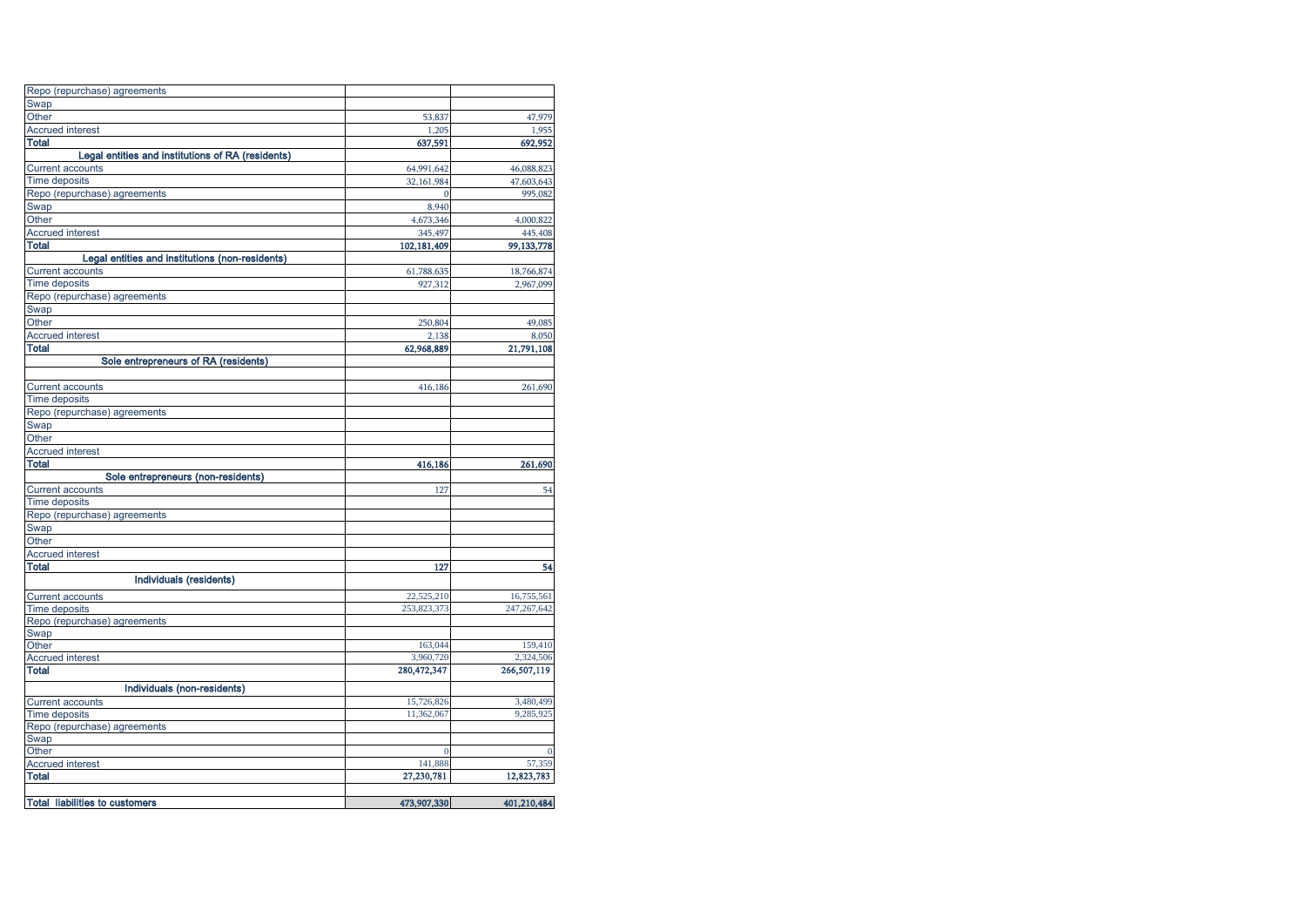| Repo (repurchase) agreements                      |             |               |
|---------------------------------------------------|-------------|---------------|
| Swap                                              |             |               |
| Other                                             | 53,837      | 47,979        |
| <b>Accrued interest</b>                           | 1,205       | 1,955         |
| Total                                             | 637,591     | 692,952       |
| Legal entities and institutions of RA (residents) |             |               |
| <b>Current accounts</b>                           | 64,991,642  | 46,088,823    |
| <b>Time deposits</b>                              | 32,161,984  | 47,603,643    |
| Repo (repurchase) agreements                      |             | 995,082       |
| Swap                                              | 8,940       |               |
| Other                                             | 4,673,346   | 4,000,822     |
| <b>Accrued interest</b>                           | 345,497     | 445,408       |
| Total                                             | 102,181,409 | 99,133,778    |
| Legal entities and institutions (non-residents)   |             |               |
| <b>Current accounts</b>                           | 61,788,635  | 18,766,874    |
| <b>Time deposits</b>                              | 927,312     | 2,967,099     |
| Repo (repurchase) agreements                      |             |               |
| Swap                                              |             |               |
| Other                                             | 250,804     | 49,085        |
| <b>Accrued interest</b>                           | 2,138       | 8,050         |
| <b>Total</b>                                      | 62,968,889  | 21,791,108    |
| Sole entrepreneurs of RA (residents)              |             |               |
|                                                   |             |               |
| <b>Current accounts</b>                           | 416,186     | 261,690       |
| <b>Time deposits</b>                              |             |               |
| Repo (repurchase) agreements                      |             |               |
| Swap                                              |             |               |
| Other                                             |             |               |
| <b>Accrued interest</b>                           |             |               |
| <b>Total</b>                                      | 416,186     | 261,690       |
| Sole entrepreneurs (non-residents)                |             |               |
| <b>Current accounts</b>                           | 127         | 54            |
| <b>Time deposits</b>                              |             |               |
| Repo (repurchase) agreements                      |             |               |
| Swap                                              |             |               |
| Other                                             |             |               |
| <b>Accrued interest</b>                           |             |               |
| Total                                             | 127         | 54            |
| Individuals (residents)                           |             |               |
| <b>Current accounts</b>                           | 22,525,210  | 16,755,561    |
| <b>Time deposits</b>                              | 253,823,373 | 247, 267, 642 |
| Repo (repurchase) agreements                      |             |               |
| Swap                                              |             |               |
| Other                                             | 163,044     | 159,410       |
| <b>Accrued interest</b>                           | 3,960,720   | 2,324,506     |
| Total                                             | 280,472,347 | 266,507,119   |
| Individuals (non-residents)                       |             |               |
| <b>Current accounts</b>                           | 15,726,826  | 3,480,499     |
| <b>Time deposits</b>                              | 11,362,067  | 9,285,925     |
| Repo (repurchase) agreements                      |             |               |
| Swap                                              |             |               |
| Other                                             |             |               |
| <b>Accrued interest</b>                           | 141,888     | 57,359        |
| Total                                             | 27,230,781  | 12,823,783    |
|                                                   |             |               |
| <b>Total liabilities to customers</b>             | 473,907,330 | 401,210,484   |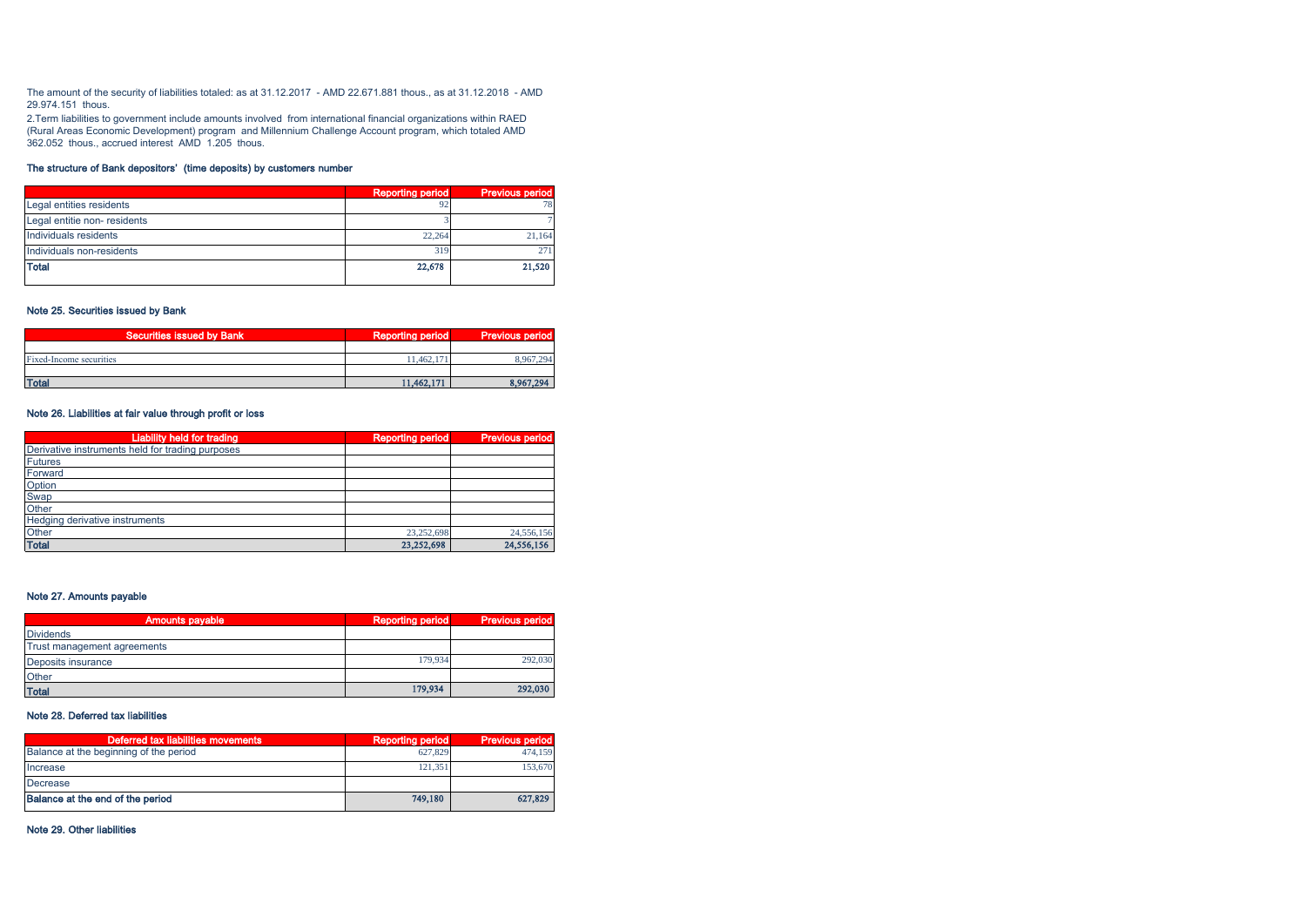The amount of the security of liabilities totaled: as at 31.12.2017 - AMD 22.671.881 thous., as at 31.12.2018 - AMD 29.974.151 thous.

2.Term liabilities to government include amounts involved from international financial organizations within RAED (Rural Areas Economic Development) program and Millennium Challenge Account program, which totaled AMD 362.052 thous., accrued interest AMD 1.205 thous.

## The structure of Bank depositors' (time deposits) by customers number

|                             | <b>Reporting period</b> | <b>Previous period</b> |
|-----------------------------|-------------------------|------------------------|
| Legal entities residents    |                         | 78                     |
| Legal entitie non-residents |                         |                        |
| Individuals residents       | 22.264                  | 21.164                 |
| Individuals non-residents   | 319                     | 271                    |
| <b>Total</b>                | 22,678                  | 21,520                 |

#### Note 25. Securities issued by Bank

| Securities issued by Bank | <b>Reporting period</b> | <b>Previous period</b> |
|---------------------------|-------------------------|------------------------|
|                           |                         |                        |
| Fixed-Income securities   | 11.462.171              | 8.967.294              |
|                           |                         |                        |
| <b>Total</b>              | 11,462,171              | 8.967.294              |

#### Note 26. Liabilities at fair value through profit or loss

| <b>Liability held for trading</b>                | <b>Reporting period</b> | <b>Previous period</b> |
|--------------------------------------------------|-------------------------|------------------------|
| Derivative instruments held for trading purposes |                         |                        |
| <b>Futures</b>                                   |                         |                        |
| Forward                                          |                         |                        |
| Option                                           |                         |                        |
| Swap                                             |                         |                        |
| Other                                            |                         |                        |
| Hedging derivative instruments                   |                         |                        |
| Other                                            | 23.252.698              | 24,556,156             |
| <b>Total</b>                                     | 23,252,698              | 24,556,156             |

## Note 27. Amounts payable

| <b>Amounts payable</b>      | <b>Reporting period</b> | <b>Previous period</b> |
|-----------------------------|-------------------------|------------------------|
| <b>Dividends</b>            |                         |                        |
| Trust management agreements |                         |                        |
| Deposits insurance          | 179.934                 | 292,030                |
| Other                       |                         |                        |
| <b>Total</b>                | 179,934                 | 292,030                |

## Note 28. Deferred tax liabilities

| Deferred tax liabilities movements     | Reporting period | <b>Previous period</b> |
|----------------------------------------|------------------|------------------------|
| Balance at the beginning of the period | 627.829          | 474.159                |
| Increase                               | 121.351          | 153,670                |
| Decrease                               |                  |                        |
| Balance at the end of the period       | 749.180          | 627,829                |

Note 29. Other liabilities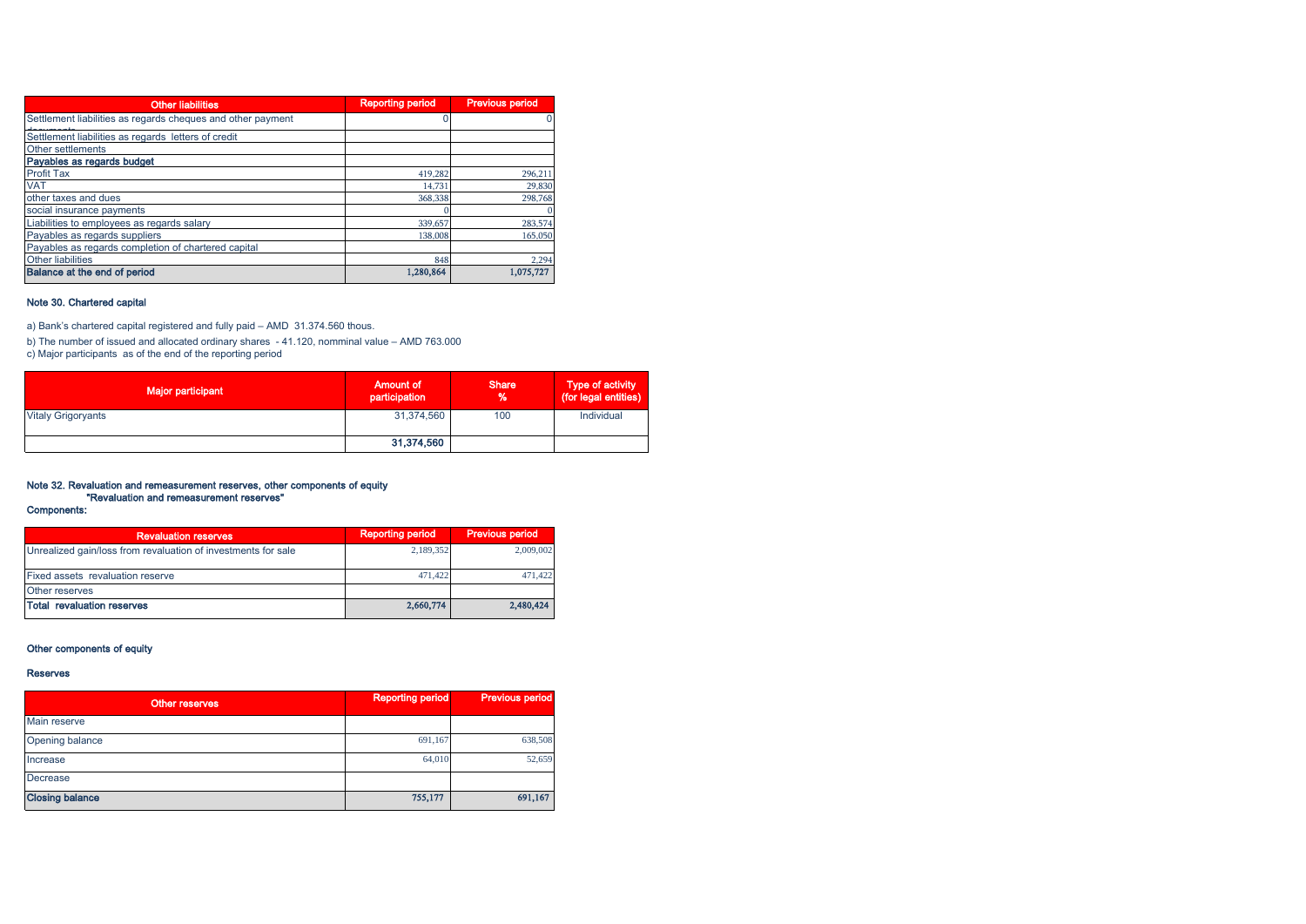| <b>Other liabilities</b>                                    | <b>Reporting period</b> | <b>Previous period</b> |
|-------------------------------------------------------------|-------------------------|------------------------|
| Settlement liabilities as regards cheques and other payment |                         |                        |
| Settlement liabilities as regards letters of credit         |                         |                        |
| Other settlements                                           |                         |                        |
| Payables as regards budget                                  |                         |                        |
| <b>Profit Tax</b>                                           | 419.282                 | 296,211                |
| <b>VAT</b>                                                  | 14.731                  | 29,830                 |
| other taxes and dues                                        | 368,338                 | 298,768                |
| social insurance payments                                   |                         |                        |
| Liabilities to employees as regards salary                  | 339,657                 | 283,574                |
| Payables as regards suppliers                               | 138,008                 | 165,050                |
| Payables as regards completion of chartered capital         |                         |                        |
| Other liabilities                                           | 848                     | 2,294                  |
| Balance at the end of period                                | 1,280,864               | 1,075,727              |

#### Note 30. Chartered capital

a) Bank's chartered capital registered and fully paid – AMD 31.374.560 thous.

b) The number of issued and allocated ordinary shares - 41.120, nomminal value – AMD 763.000 c) Major participants as of the end of the reporting period

| <b>Major participant</b>  | <b>Amount of</b><br>participation | <b>Share</b><br>% | <b>Type of activity</b><br>(for legal entities) |
|---------------------------|-----------------------------------|-------------------|-------------------------------------------------|
| <b>Vitaly Grigoryants</b> | 31,374,560                        | 100               | Individual                                      |
|                           | 31,374,560                        |                   |                                                 |

# Note 32. Revaluation and remeasurement reserves, other components of equity "Revaluation and remeasurement reserves"

## Components:

| <b>Revaluation reserves</b>                                   | <b>Reporting period</b> | Previous period |
|---------------------------------------------------------------|-------------------------|-----------------|
| Unrealized gain/loss from revaluation of investments for sale | 2,189,352               | 2,009,002       |
| <b>Fixed assets revaluation reserve</b>                       | 471.422                 | 471,422         |
| <b>Other reserves</b>                                         |                         |                 |
| Total revaluation reserves                                    | 2,660,774               | 2,480,424       |

## Other components of equity

#### Reserves

| Other reserves         | <b>Reporting period</b> | <b>Previous period</b> |
|------------------------|-------------------------|------------------------|
| Main reserve           |                         |                        |
| Opening balance        | 691,167                 | 638,508                |
| Increase               | 64,010                  | 52,659                 |
| Decrease               |                         |                        |
| <b>Closing balance</b> | 755,177                 | 691,167                |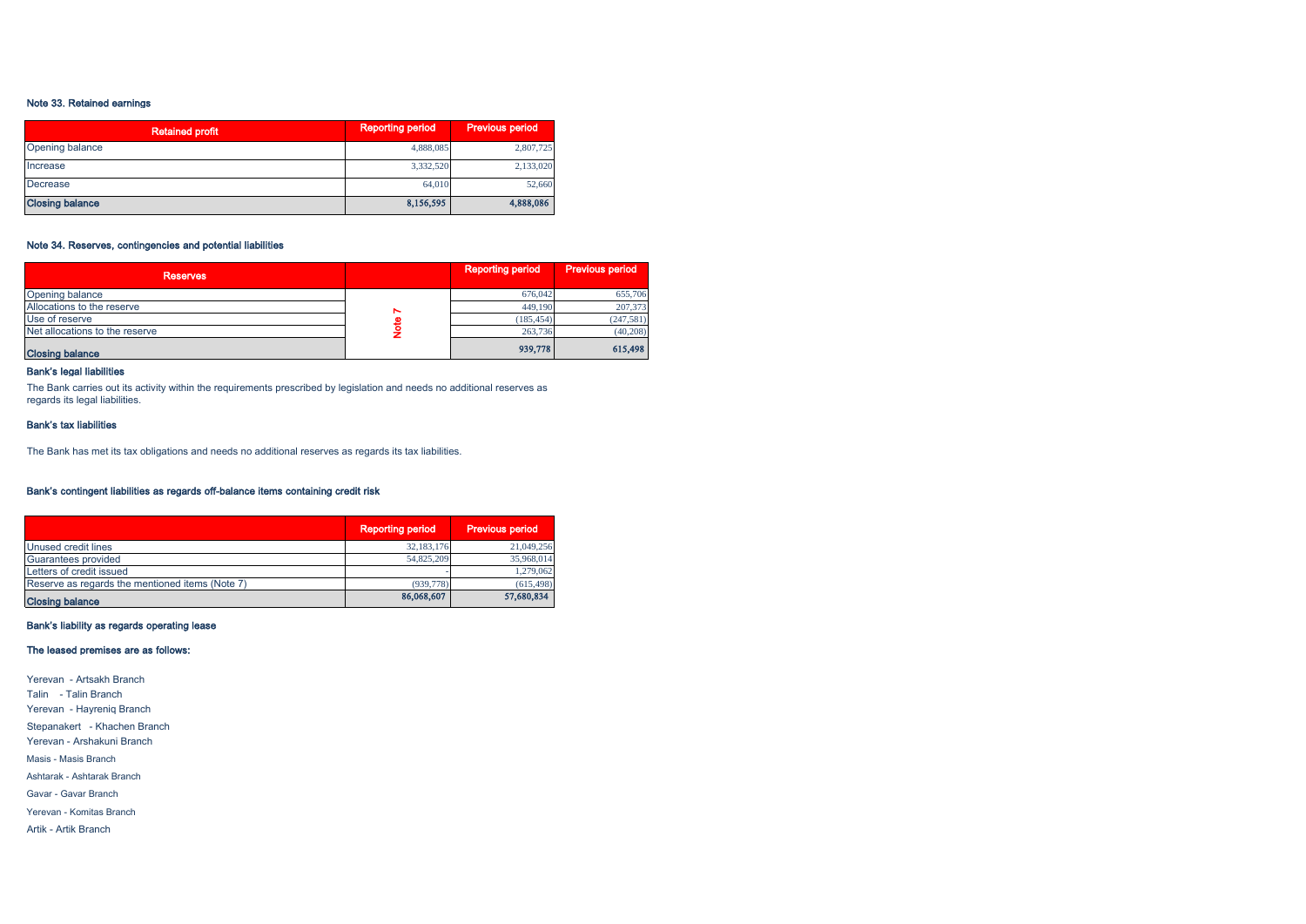#### Note 33. Retained earnings

| <b>Retained profit</b> | <b>Reporting period</b> | <b>Previous period</b> |
|------------------------|-------------------------|------------------------|
| Opening balance        | 4,888,085               | 2,807,725              |
| Increase               | 3,332,520               | 2,133,020              |
| Decrease               | 64,010                  | 52,660                 |
| <b>Closing balance</b> | 8,156,595               | 4,888,086              |

#### Note 34. Reserves, contingencies and potential liabilities

| <b>Reserves</b>                |   | <b>Reporting period</b> | <b>Previous period</b> |
|--------------------------------|---|-------------------------|------------------------|
| Opening balance                |   | 676,042                 | 655,706                |
| Allocations to the reserve     | ∼ | 449,190                 | 207,373                |
| Use of reserve                 |   | (185, 454)              | (247,581)              |
| Net allocations to the reserve |   | 263,736                 | (40, 208)              |
| <b>Closing balance</b>         |   | 939,778                 | 615,498                |

## Bank's legal liabilities

The Bank carries out its activity within the requirements prescribed by legislation and needs no additional reserves as regards its legal liabilities.

#### Bank's tax liabilities

The Bank has met its tax obligations and needs no additional reserves as regards its tax liabilities.

## Bank's contingent liabilities as regards off-balance items containing credit risk

|                                                 | <b>Reporting period</b> | <b>Previous period</b> |
|-------------------------------------------------|-------------------------|------------------------|
| Unused credit lines                             | 32,183,176              | 21,049,256             |
| Guarantees provided                             | 54,825,209              | 35,968,014             |
| Letters of credit issued                        |                         | 1,279,062              |
| Reserve as regards the mentioned items (Note 7) | (939, 778)              | (615, 498)             |
| <b>Closing balance</b>                          | 86,068,607              | 57,680,834             |

#### Bank's liability as regards operating lease

#### The leased premises are as follows:

Yerevan - Artsakh Branch Talin - Talin Branch Yerevan - Hayreniq Branch Stepanakert - Khachen Branch Yerevan - Arshakuni Branch Masis - Masis Branch Ashtarak - Ashtarak Branch Gavar - Gavar Branch Yerevan - Komitas Branch Artik - Artik Branch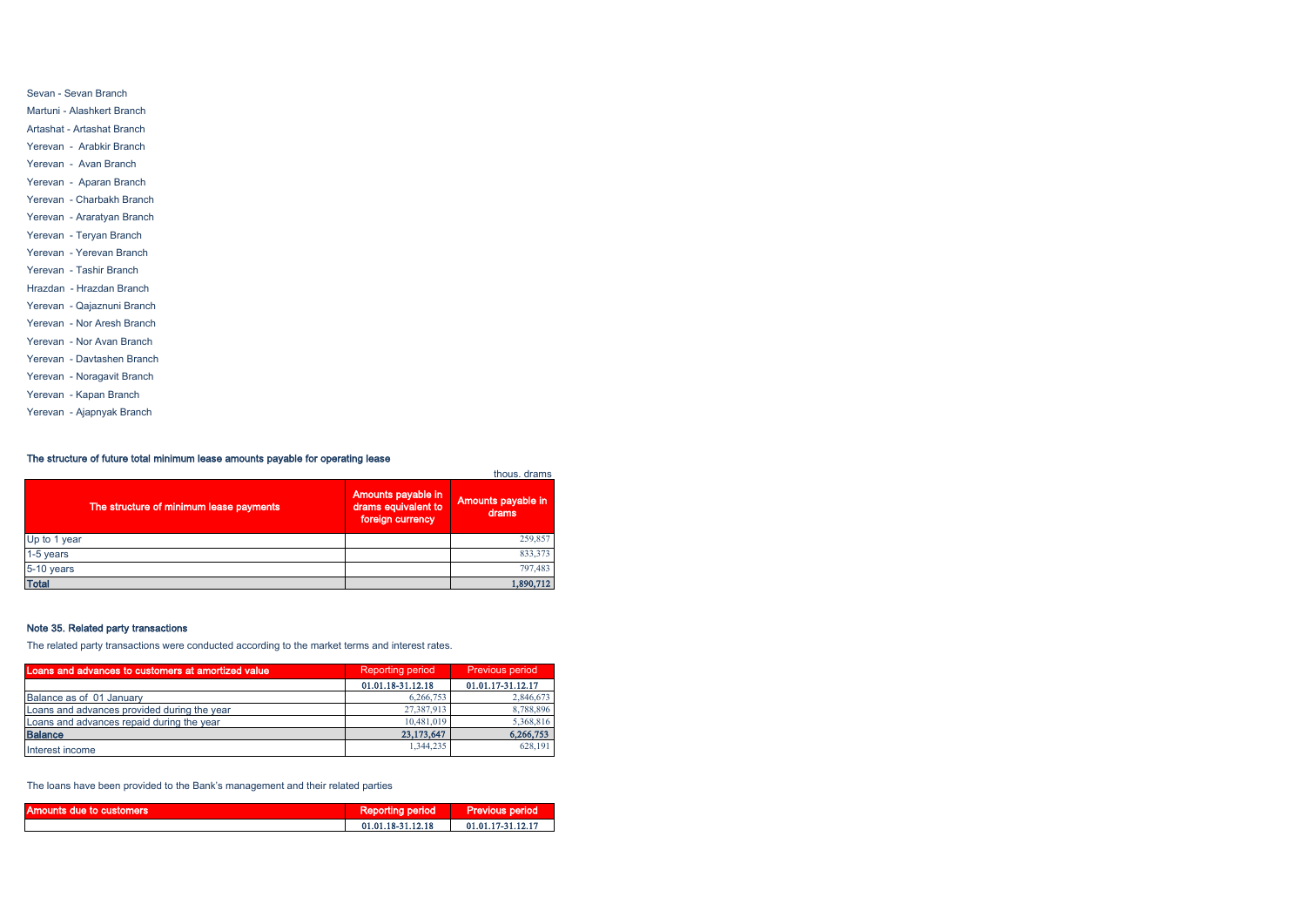| Martuni - Alashkert Branch |
|----------------------------|
| Artashat - Artashat Branch |
| Yerevan - Arabkir Branch   |
| Yerevan - Avan Branch      |
| Yerevan - Aparan Branch    |
| Yerevan - Charbakh Branch  |
| Yerevan - Araratyan Branch |
| Yerevan - Teryan Branch    |
| Yerevan - Yerevan Branch   |
| Yerevan - Tashir Branch    |
| Hrazdan - Hrazdan Branch   |
| Yerevan - Qajaznuni Branch |
| Yerevan - Nor Aresh Branch |
| Yerevan - Nor Avan Branch  |
| Yerevan - Davtashen Branch |
| Yerevan - Noragavit Branch |
| Yerevan - Kapan Branch     |

Sevan - Sevan Branch

Yerevan - Ajapnyak Branch

## The structure of future total minimum lease amounts payable for operating lease

| The structure of minimum lease payments | Amounts payable in<br>drams equivalent to<br>foreign currency | thous, drams<br>Amounts payable in<br>drams |
|-----------------------------------------|---------------------------------------------------------------|---------------------------------------------|
| Up to 1 year                            |                                                               | 259,857                                     |
| 1-5 years                               |                                                               | 833,373                                     |
| 5-10 years                              |                                                               | 797,483                                     |
| <b>Total</b>                            |                                                               | 1,890,712                                   |

## Note 35. Related party transactions

The related party transactions were conducted according to the market terms and interest rates.

| Loans and advances to customers at amortized value | <b>Reporting period</b> | <b>Previous period</b> |  |
|----------------------------------------------------|-------------------------|------------------------|--|
|                                                    | 01.01.18-31.12.18       | 01.01.17-31.12.17      |  |
| Balance as of 01 January                           | 6,266,753               | 2,846,673              |  |
| Loans and advances provided during the year        | 27.387.913              | 8,788,896              |  |
| Loans and advances repaid during the year          | 10.481,019              | 5,368,816              |  |
| <b>Balance</b>                                     | 23,173,647              | 6,266,753              |  |
| Interest income                                    | 1,344,235               | 628,191                |  |

The loans have been provided to the Bank's management and their related parties

| Amounts due to customers | <b>Reporting period</b> | <b>Previous period</b> |
|--------------------------|-------------------------|------------------------|
|                          | 01.01.18-31.12.18       | 01.01.17-31.12.17      |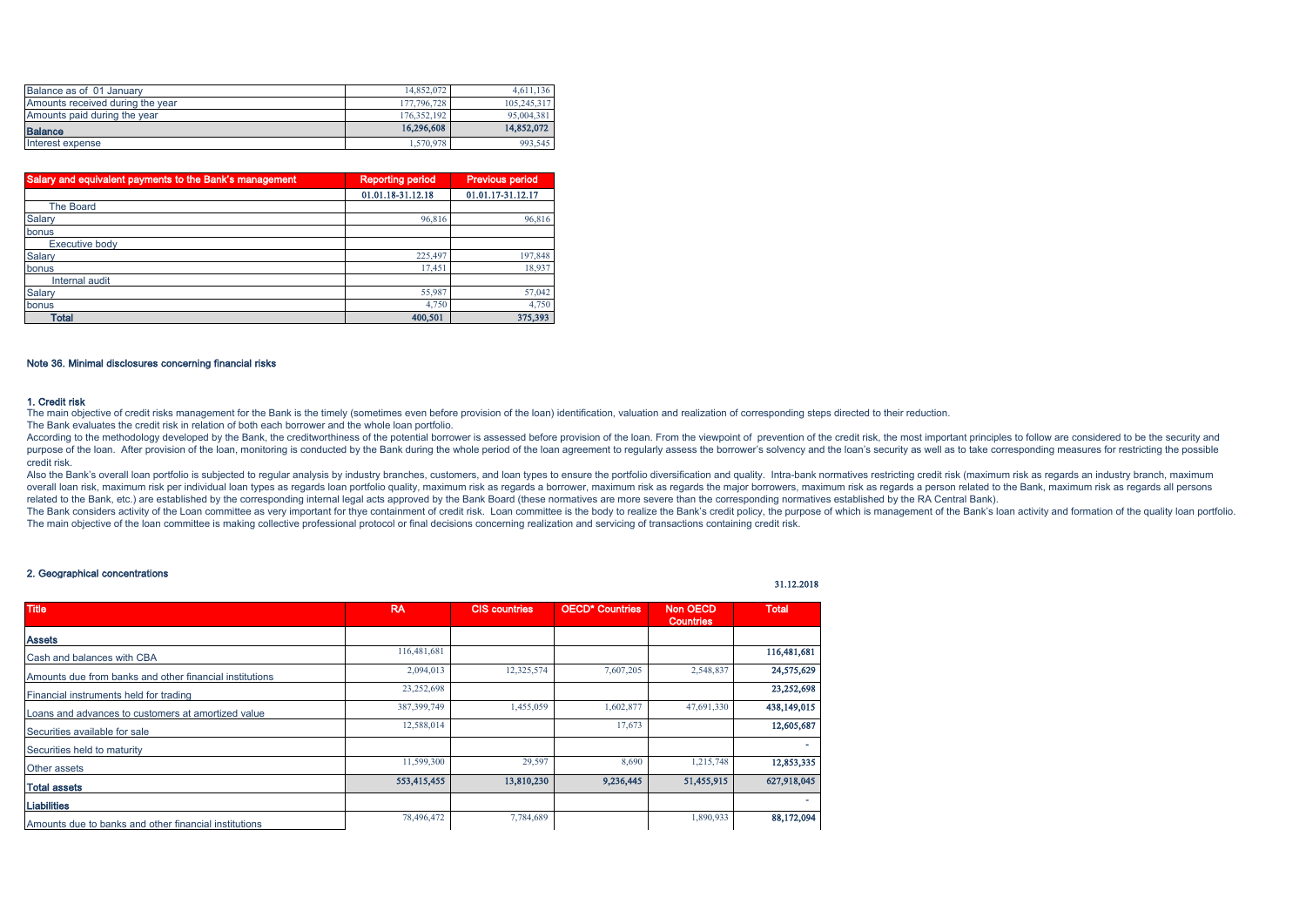| Balance as of 01 January         | 14,852,072  | 4.611.136   |
|----------------------------------|-------------|-------------|
| Amounts received during the year | 177,796,728 | 105,245,317 |
| Amounts paid during the year     | 176.352.192 | 95,004,381  |
| <b>Balance</b>                   | 16,296,608  | 14,852,072  |
| Interest expense                 | 1.570.978   | 993.545     |

| Salary and equivalent payments to the Bank's management | <b>Reporting period</b> | <b>Previous period</b> |  |
|---------------------------------------------------------|-------------------------|------------------------|--|
|                                                         | 01.01.18-31.12.18       | 01.01.17-31.12.17      |  |
| <b>The Board</b>                                        |                         |                        |  |
| Salary                                                  | 96,816                  | 96,816                 |  |
| bonus                                                   |                         |                        |  |
| <b>Executive body</b>                                   |                         |                        |  |
| Salary                                                  | 225.497                 | 197,848                |  |
| bonus                                                   | 17,451                  | 18,937                 |  |
| Internal audit                                          |                         |                        |  |
| Salary                                                  | 55,987                  | 57,042                 |  |
| bonus                                                   | 4,750                   | 4,750                  |  |
| <b>Total</b>                                            | 400,501                 | 375,393                |  |

#### Note 36. Minimal disclosures concerning financial risks

#### 1. Credit risk

The main objective of credit risks management for the Bank is the timely (sometimes even before provision of the loan) identification, valuation and realization of corresponding steps directed to their reduction.

The Bank evaluates the credit risk in relation of both each borrower and the whole loan portfolio.

According to the methodology developed by the Bank, the creditworthiness of the potential borrower is assessed before provision of the loan. From the viewpoint of, prevention of the credit risk, the most important principl purpose of the loan. After provision of the loan, monitoring is conducted by the Bank during the whole period of the loan agreement to regularly assess the borrower's solvency and the loan's security as well as to take cor credit risk.

Also the Bank's overall loan portfolio is subjected to regular analysis by industry branches, customers, and loan types to ensure the portfolio diversification and quality. Intra-bank normatives restricting credit risk (ma overall loan risk, maximum risk per individual loan types as regards loan portfolio quality, maximum risk as regards a borrower, maximum risk as regards the maior borrowers, maximum risk as regards a person related to the related to the Bank, etc.) are established by the corresponding internal legal acts approved by the Bank Board (these normatives are more severe than the corresponding normatives established by the RA Central Bank).

The Bank considers activity of the Loan committee as very important for thye containment of credit risk. Loan committee is the body to realize the Bank's credit policy, the purpose of which is management of the Bank's loan The main objective of the loan committee is making collective professional protocol or final decisions concerning realization and servicing of transactions containing credit risk.

31.12.2018

#### 2. Geographical concentrations

| <b>Title</b>                                            | <b>RA</b>     | <b>CIS countries</b> | <b>OECD* Countries</b> | <b>Non OECD</b><br><b>Countries</b> | <b>Total</b> |
|---------------------------------------------------------|---------------|----------------------|------------------------|-------------------------------------|--------------|
| <b>Assets</b>                                           |               |                      |                        |                                     |              |
| Cash and balances with CBA                              | 116,481,681   |                      |                        |                                     | 116,481,681  |
| Amounts due from banks and other financial institutions | 2,094,013     | 12,325,574           | 7,607,205              | 2,548,837                           | 24,575,629   |
| Financial instruments held for trading                  | 23,252,698    |                      |                        |                                     | 23,252,698   |
| Loans and advances to customers at amortized value      | 387, 399, 749 | 1,455,059            | 1,602,877              | 47,691,330                          | 438,149,015  |
| Securities available for sale                           | 12,588,014    |                      | 17,673                 |                                     | 12,605,687   |
| Securities held to maturity                             |               |                      |                        |                                     |              |
| Other assets                                            | 11,599,300    | 29,597               | 8,690                  | 1,215,748                           | 12,853,335   |
| <b>Total assets</b>                                     | 553,415,455   | 13,810,230           | 9,236,445              | 51,455,915                          | 627,918,045  |
| <b>Liabilities</b>                                      |               |                      |                        |                                     |              |
| Amounts due to banks and other financial institutions   | 78,496,472    | 7,784,689            |                        | 1,890,933                           | 88,172,094   |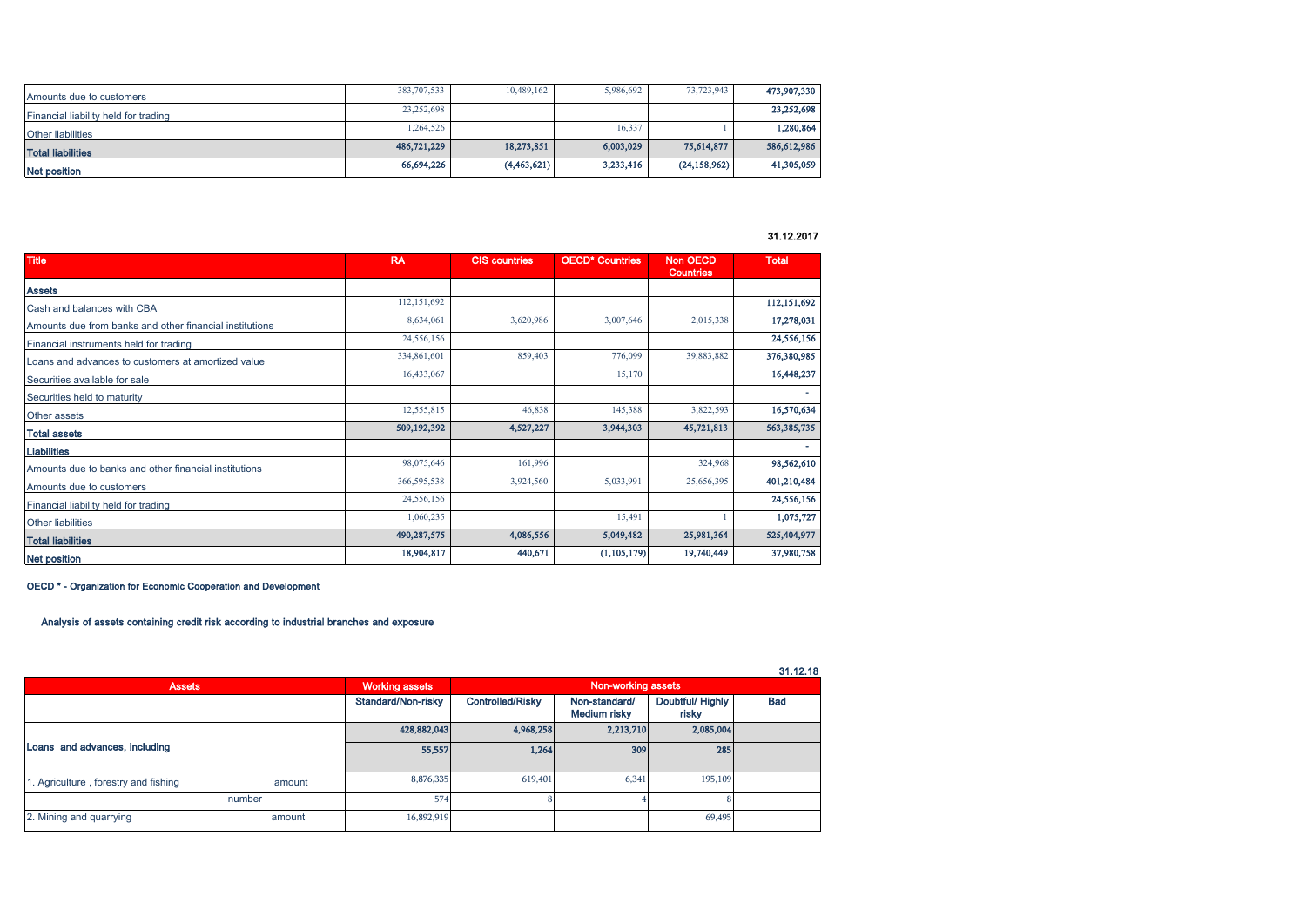| Amounts due to customers             | 383,707,533 | 10,489,162  | 5,986,692 | 73,723,943     | 473,907,330 |
|--------------------------------------|-------------|-------------|-----------|----------------|-------------|
| Financial liability held for trading | 23,252,698  |             |           |                | 23,252,698  |
| <b>Other liabilities</b>             | 1,264,526   |             | 16,337    |                | 1,280,864   |
| <b>Total liabilities</b>             | 486,721,229 | 18,273,851  | 6,003,029 | 75,614,877     | 586,612,986 |
| Net position                         | 66,694,226  | (4,463,621) | 3,233,416 | (24, 158, 962) | 41,305,059  |

## 31.12.2017

| <b>Title</b>                                            | <b>RA</b>   | <b>CIS countries</b> | <b>OECD* Countries</b> | <b>Non OECD</b><br><b>Countries</b> | <b>Total</b> |
|---------------------------------------------------------|-------------|----------------------|------------------------|-------------------------------------|--------------|
| <b>Assets</b>                                           |             |                      |                        |                                     |              |
| Cash and balances with CBA                              | 112,151,692 |                      |                        |                                     | 112,151,692  |
| Amounts due from banks and other financial institutions | 8,634,061   | 3,620,986            | 3,007,646              | 2,015,338                           | 17,278,031   |
| Financial instruments held for trading                  | 24,556,156  |                      |                        |                                     | 24,556,156   |
| Loans and advances to customers at amortized value      | 334,861,601 | 859,403              | 776,099                | 39,883,882                          | 376,380,985  |
| Securities available for sale                           | 16,433,067  |                      | 15,170                 |                                     | 16,448,237   |
| Securities held to maturity                             |             |                      |                        |                                     |              |
| Other assets                                            | 12,555,815  | 46,838               | 145,388                | 3,822,593                           | 16,570,634   |
| <b>Total assets</b>                                     | 509,192,392 | 4,527,227            | 3,944,303              | 45,721,813                          | 563,385,735  |
| <b>Liabilities</b>                                      |             |                      |                        |                                     |              |
| Amounts due to banks and other financial institutions   | 98,075,646  | 161,996              |                        | 324,968                             | 98,562,610   |
| Amounts due to customers                                | 366,595,538 | 3,924,560            | 5,033,991              | 25,656,395                          | 401,210,484  |
| Financial liability held for trading                    | 24,556,156  |                      |                        |                                     | 24,556,156   |
| <b>Other liabilities</b>                                | 1,060,235   |                      | 15,491                 |                                     | 1,075,727    |
| <b>Total liabilities</b>                                | 490,287,575 | 4,086,556            | 5,049,482              | 25,981,364                          | 525,404,977  |
| <b>Net position</b>                                     | 18,904,817  | 440,671              | (1, 105, 179)          | 19,740,449                          | 37,980,758   |

#### OECD \* - Organization for Economic Cooperation and Development

# Analysis of assets containing credit risk according to industrial branches and exposure

|                                      |                                                                                  |                       |                    |           |           | 31.12.18 |
|--------------------------------------|----------------------------------------------------------------------------------|-----------------------|--------------------|-----------|-----------|----------|
| <b>Assets</b>                        |                                                                                  | <b>Working assets</b> | Non-working assets |           |           |          |
|                                      | Standard/Non-risky<br>Controlled/Risky<br>Non-standard/<br>Medium risky<br>risky |                       | Doubtful/Highly    | Bad       |           |          |
|                                      |                                                                                  | 428,882,043           | 4,968,258          | 2,213,710 | 2,085,004 |          |
| Loans and advances, including        |                                                                                  | 55,557                | 1,264              | 309       | 285       |          |
| 1. Agriculture, forestry and fishing | amount                                                                           | 8,876,335             | 619,401            | 6,341     | 195,109   |          |
|                                      | number                                                                           | 574                   |                    |           |           |          |
| 2. Mining and quarrying              | amount                                                                           | 16,892,919            |                    |           | 69,495    |          |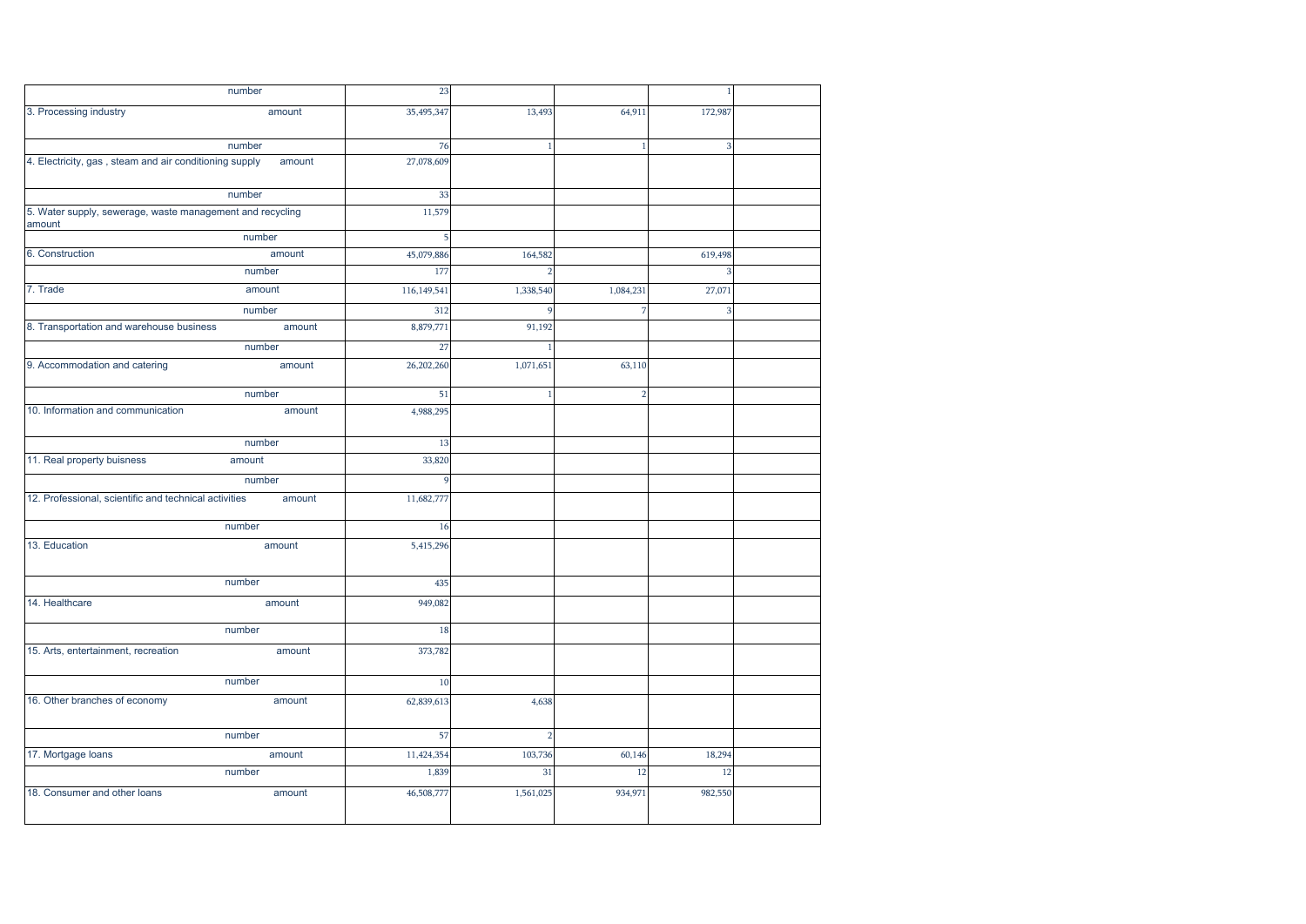|                                                                     | number | 23          |                |                | $\overline{1}$          |  |
|---------------------------------------------------------------------|--------|-------------|----------------|----------------|-------------------------|--|
| 3. Processing industry                                              | amount | 35,495,347  | 13,493         | 64,911         | 172,987                 |  |
|                                                                     |        |             |                |                |                         |  |
|                                                                     | number | 76          | $\mathbf{1}$   | $\overline{1}$ | $\overline{\mathbf{3}}$ |  |
| 4. Electricity, gas, steam and air conditioning supply              | amount | 27,078,609  |                |                |                         |  |
|                                                                     | number | 33          |                |                |                         |  |
| 5. Water supply, sewerage, waste management and recycling<br>amount |        | 11,579      |                |                |                         |  |
|                                                                     | number | 5           |                |                |                         |  |
| 6. Construction                                                     | amount | 45,079,886  | 164,582        |                | 619,498                 |  |
|                                                                     | number | 177         |                |                | я                       |  |
| 7. Trade                                                            | amount | 116,149,541 | 1,338,540      | 1,084,231      | 27,071                  |  |
|                                                                     | number | 312         |                |                |                         |  |
| 8. Transportation and warehouse business                            | amount | 8,879,771   | 91,192         |                |                         |  |
|                                                                     | number | 27          |                |                |                         |  |
| 9. Accommodation and catering                                       | amount | 26,202,260  | 1,071,651      | 63,110         |                         |  |
|                                                                     | number | 51          | -1             | $\overline{2}$ |                         |  |
| 10. Information and communication                                   | amount | 4,988,295   |                |                |                         |  |
|                                                                     | number | 13          |                |                |                         |  |
| 11. Real property buisness                                          | amount | 33,820      |                |                |                         |  |
|                                                                     | number | 9           |                |                |                         |  |
| 12. Professional, scientific and technical activities               | amount | 11,682,777  |                |                |                         |  |
|                                                                     | number | 16          |                |                |                         |  |
| 13. Education                                                       | amount | 5,415,296   |                |                |                         |  |
|                                                                     | number | 435         |                |                |                         |  |
| 14. Healthcare                                                      | amount | 949,082     |                |                |                         |  |
|                                                                     | number | 18          |                |                |                         |  |
| 15. Arts, entertainment, recreation                                 | amount | 373,782     |                |                |                         |  |
|                                                                     | number | 10          |                |                |                         |  |
| 16. Other branches of economy                                       | amount | 62,839,613  | 4,638          |                |                         |  |
|                                                                     | number | 57          | $\overline{2}$ |                |                         |  |
| 17. Mortgage loans                                                  | amount | 11,424,354  | 103,736        | 60,146         | 18,294                  |  |
|                                                                     | number | 1,839       | 31             | 12             | 12                      |  |
| 18. Consumer and other loans                                        | amount | 46,508,777  | 1,561,025      | 934,971        | 982,550                 |  |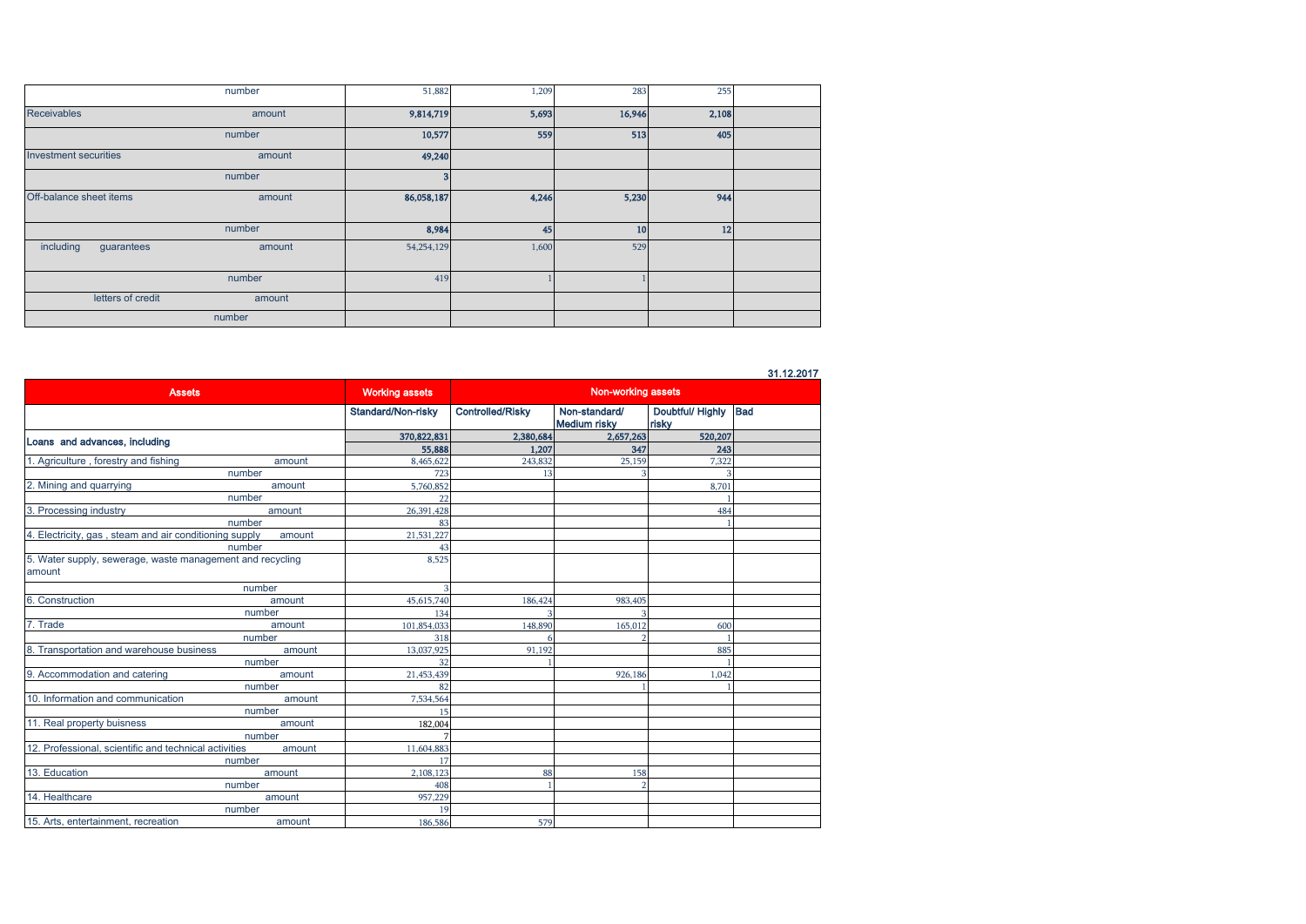|                              | number | 51,882     | 1,209 | 283    | 255   |  |
|------------------------------|--------|------------|-------|--------|-------|--|
| <b>Receivables</b>           | amount | 9,814,719  | 5,693 | 16,946 | 2,108 |  |
|                              | number | 10,577     | 559   | 513    | 405   |  |
| <b>Investment securities</b> | amount | 49,240     |       |        |       |  |
|                              | number | 3          |       |        |       |  |
| Off-balance sheet items      | amount | 86,058,187 | 4,246 | 5,230  | 944   |  |
|                              | number | 8,984      | 45    | 10     | 12    |  |
| including<br>guarantees      | amount | 54,254,129 | 1,600 | 529    |       |  |
|                              | number | 419        |       |        |       |  |
| letters of credit            | amount |            |       |        |       |  |
|                              | number |            |       |        |       |  |

31.12.2017

| <b>Assets</b>                                                       |        | <b>Working assets</b>     | Non-working assets      |                                      |                           |     |
|---------------------------------------------------------------------|--------|---------------------------|-------------------------|--------------------------------------|---------------------------|-----|
|                                                                     |        | <b>Standard/Non-risky</b> | <b>Controlled/Risky</b> | Non-standard/<br><b>Medium risky</b> | Doubtful/ Highly<br>risky | Bad |
|                                                                     |        | 370,822,831               | 2,380,684               | 2,657,263                            | 520,207                   |     |
| Loans and advances, including                                       |        | 55,888                    | 1,207                   | 347                                  | 243                       |     |
| 1. Agriculture, forestry and fishing                                | amount | 8,465,622                 | 243,832                 | 25,159                               | 7,322                     |     |
|                                                                     | number | 723                       | 13                      |                                      | 3                         |     |
| 2. Mining and quarrying                                             | amount | 5,760,852                 |                         |                                      | 8,701                     |     |
|                                                                     | number | 22                        |                         |                                      |                           |     |
| 3. Processing industry                                              | amount | 26,391,428                |                         |                                      | 484                       |     |
|                                                                     | number | 83                        |                         |                                      |                           |     |
| 4. Electricity, gas, steam and air conditioning supply              | amount | 21,531,227                |                         |                                      |                           |     |
|                                                                     | number | 43                        |                         |                                      |                           |     |
| 5. Water supply, sewerage, waste management and recycling<br>amount |        | 8,525                     |                         |                                      |                           |     |
|                                                                     | number |                           |                         |                                      |                           |     |
| 6. Construction                                                     | amount | 45,615,740                | 186,424                 | 983,405                              |                           |     |
|                                                                     | number | 134                       | 3                       |                                      |                           |     |
| 7. Trade                                                            | amount | 101,854,033               | 148,890                 | 165,012                              | 600                       |     |
|                                                                     | number | 318                       |                         |                                      |                           |     |
| 8. Transportation and warehouse business                            | amount | 13,037,925                | 91,192                  |                                      | 885                       |     |
|                                                                     | number | 32                        |                         |                                      |                           |     |
| 9. Accommodation and catering                                       | amount | 21,453,439                |                         | 926,186                              | 1.042                     |     |
|                                                                     | number | 82                        |                         |                                      |                           |     |
| 10. Information and communication                                   | amount | 7.534.564                 |                         |                                      |                           |     |
|                                                                     | number | 15                        |                         |                                      |                           |     |
| 11. Real property buisness                                          | amount | 182,004                   |                         |                                      |                           |     |
|                                                                     | number |                           |                         |                                      |                           |     |
| 12. Professional, scientific and technical activities               | amount | 11,604,883                |                         |                                      |                           |     |
|                                                                     | number | 17                        |                         |                                      |                           |     |
| 13. Education                                                       | amount | 2,108,123                 | 88                      | 158                                  |                           |     |
|                                                                     | number | 408                       |                         |                                      |                           |     |
| 14. Healthcare                                                      | amount | 957,229                   |                         |                                      |                           |     |
|                                                                     | number | 19                        |                         |                                      |                           |     |
| 15. Arts, entertainment, recreation                                 | amount | 186,586                   | 579                     |                                      |                           |     |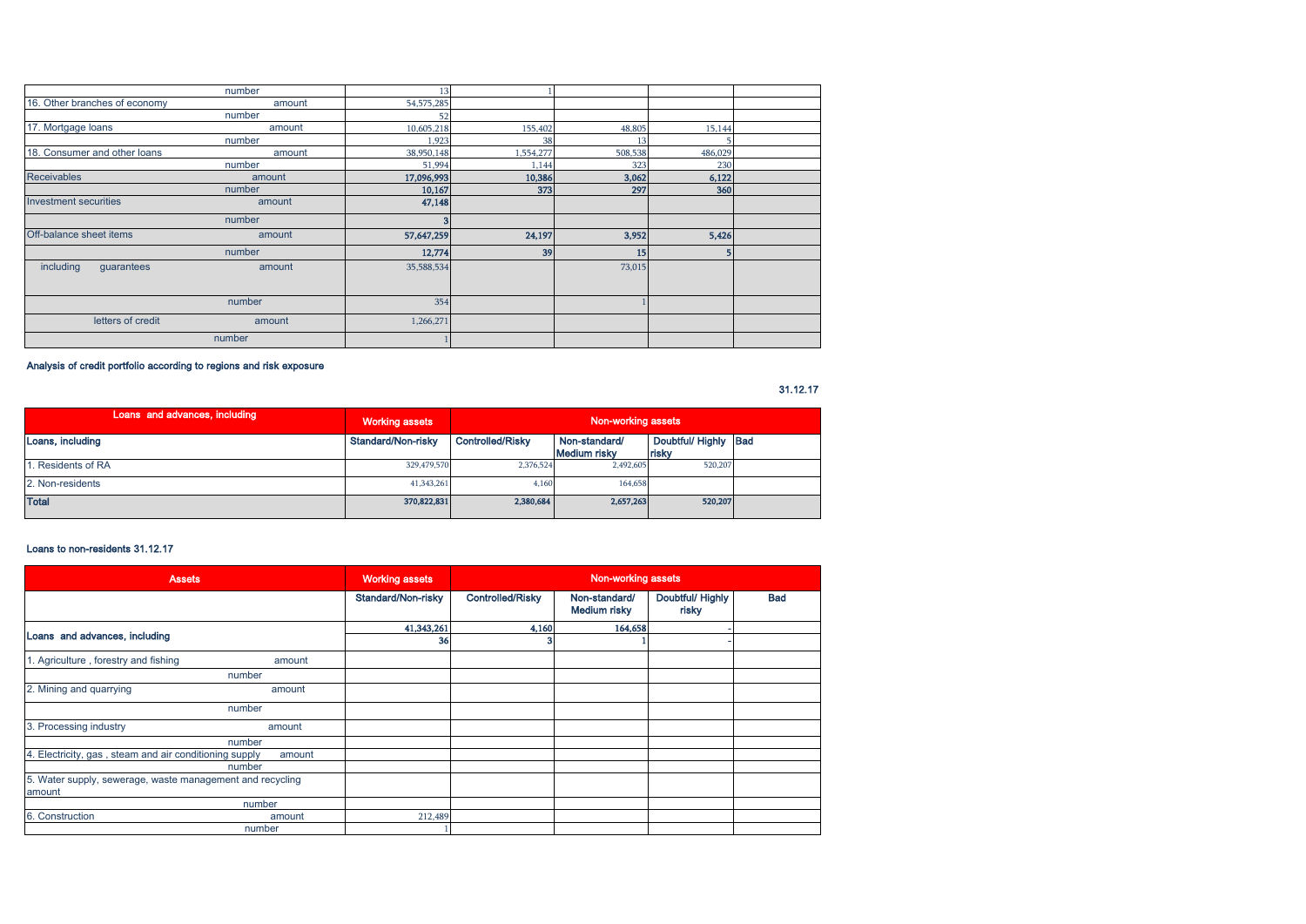|                               | number | 13         |           |         |         |  |
|-------------------------------|--------|------------|-----------|---------|---------|--|
| 16. Other branches of economy | amount | 54,575,285 |           |         |         |  |
|                               | number | 52         |           |         |         |  |
| 17. Mortgage loans            | amount | 10,605,218 | 155,402   | 48,805  | 15,144  |  |
|                               | number | 1,923      | 38        | 13      |         |  |
| 18. Consumer and other loans  | amount | 38,950,148 | 1,554,277 | 508,538 | 486,029 |  |
|                               | number | 51,994     | 1,144     | 323     | 230     |  |
| <b>Receivables</b>            | amount | 17,096,993 | 10,386    | 3,062   | 6,122   |  |
|                               | number | 10,167     | 373       | 297     | 360     |  |
| Investment securities         | amount | 47,148     |           |         |         |  |
|                               | number | 3          |           |         |         |  |
| Off-balance sheet items       | amount | 57,647,259 | 24,197    | 3,952   | 5,426   |  |
|                               | number | 12,774     | 39        | 15      |         |  |
| including<br>guarantees       | amount | 35,588,534 |           | 73,015  |         |  |
|                               | number | 354        |           |         |         |  |
| letters of credit             | amount | 1,266,271  |           |         |         |  |
|                               | number |            |           |         |         |  |

Analysis of credit portfolio according to regions and risk exposure

31.12.17

| Loans and advances, including | <b>Working assets</b> | Non-working assets      |                                      |                               |  |
|-------------------------------|-----------------------|-------------------------|--------------------------------------|-------------------------------|--|
| Loans, including              | Standard/Non-risky    | <b>Controlled/Risky</b> | Non-standard/<br><b>Medium risky</b> | Doubtful/ Highly Bad<br>risky |  |
| . Residents of RA             | 329,479,570           | 2.376.524               | 2.492,605                            | 520,207                       |  |
| 2. Non-residents              | 41,343,261            | 4.160                   | 164,658                              |                               |  |
| <b>Total</b>                  | 370,822,831           | 2,380,684               | 2,657,263                            | 520,207                       |  |

#### Loans to non-residents 31.12.17

| <b>Assets</b>                                             |        | <b>Working assets</b> |                         | Non-working assets            |                           |            |
|-----------------------------------------------------------|--------|-----------------------|-------------------------|-------------------------------|---------------------------|------------|
|                                                           |        | Standard/Non-risky    | <b>Controlled/Risky</b> | Non-standard/<br>Medium risky | Doubtful/ Highly<br>risky | <b>Bad</b> |
|                                                           |        | 41,343,261            | 4,160                   | 164,658                       |                           |            |
| Loans and advances, including                             |        | 36                    |                         |                               |                           |            |
| 1. Agriculture, forestry and fishing                      | amount |                       |                         |                               |                           |            |
|                                                           | number |                       |                         |                               |                           |            |
| 2. Mining and quarrying                                   | amount |                       |                         |                               |                           |            |
|                                                           | number |                       |                         |                               |                           |            |
| 3. Processing industry                                    | amount |                       |                         |                               |                           |            |
|                                                           | number |                       |                         |                               |                           |            |
| 4. Electricity, gas, steam and air conditioning supply    | amount |                       |                         |                               |                           |            |
|                                                           | number |                       |                         |                               |                           |            |
| 5. Water supply, sewerage, waste management and recycling |        |                       |                         |                               |                           |            |
| amount                                                    |        |                       |                         |                               |                           |            |
|                                                           | number |                       |                         |                               |                           |            |
| 6. Construction                                           | amount | 212,489               |                         |                               |                           |            |
|                                                           | number |                       |                         |                               |                           |            |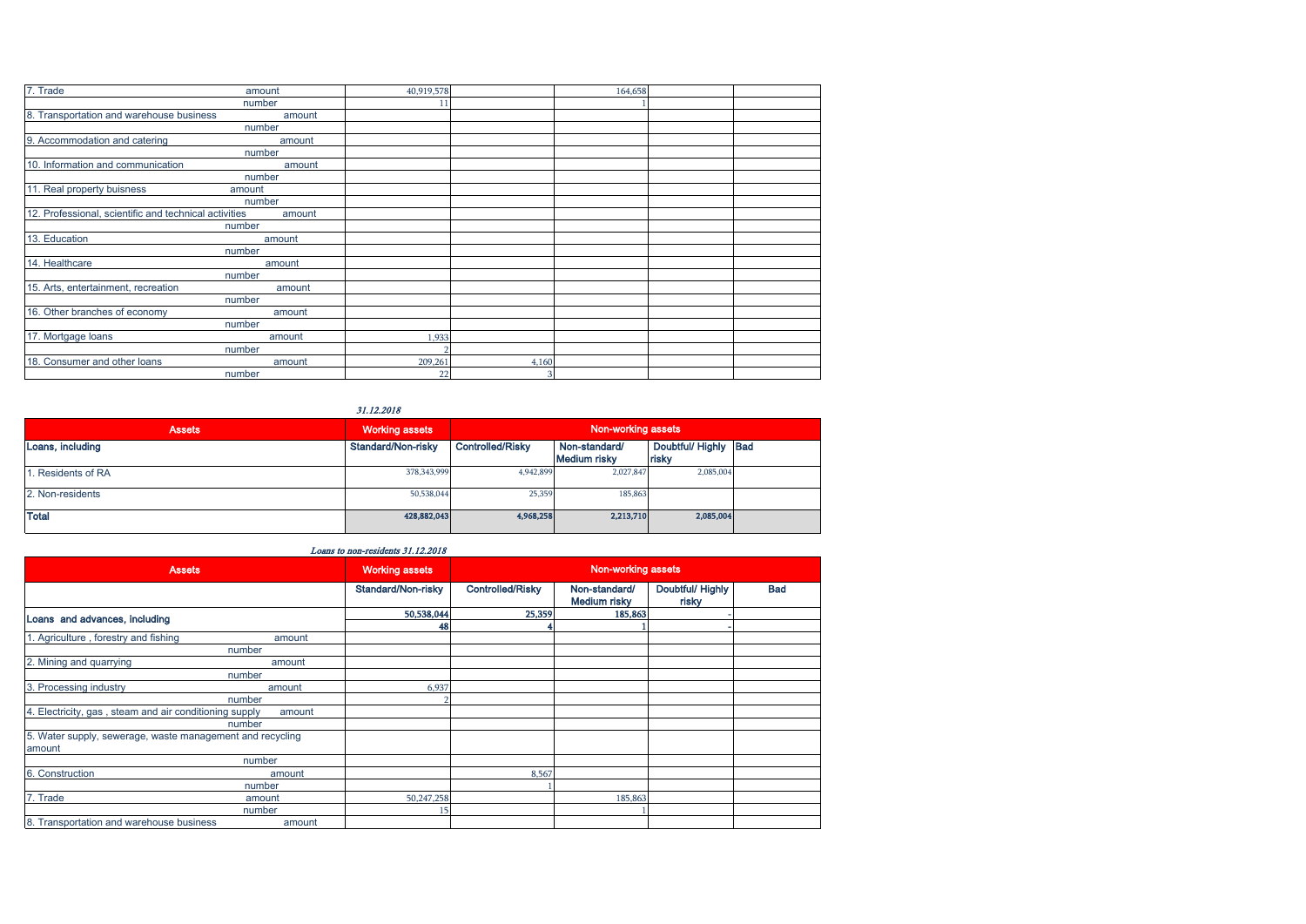| 7. Trade                                              | amount | 40,919,578 |       | 164,658 |  |
|-------------------------------------------------------|--------|------------|-------|---------|--|
|                                                       | number |            |       |         |  |
| 8. Transportation and warehouse business              | amount |            |       |         |  |
|                                                       | number |            |       |         |  |
| 9. Accommodation and catering                         | amount |            |       |         |  |
|                                                       | number |            |       |         |  |
| 10. Information and communication                     | amount |            |       |         |  |
|                                                       | number |            |       |         |  |
| 11. Real property buisness                            | amount |            |       |         |  |
|                                                       | number |            |       |         |  |
| 12. Professional, scientific and technical activities | amount |            |       |         |  |
|                                                       | number |            |       |         |  |
| 13. Education                                         | amount |            |       |         |  |
|                                                       | number |            |       |         |  |
| 14. Healthcare                                        | amount |            |       |         |  |
|                                                       | number |            |       |         |  |
| 15. Arts, entertainment, recreation                   | amount |            |       |         |  |
|                                                       | number |            |       |         |  |
| 16. Other branches of economy                         | amount |            |       |         |  |
|                                                       | number |            |       |         |  |
| 17. Mortgage loans                                    | amount | 1,933      |       |         |  |
|                                                       | number |            |       |         |  |
| 18. Consumer and other loans                          | amount | 209,261    | 4,160 |         |  |
|                                                       | number | 22         | 3     |         |  |

31.12.2018

| <b>Assets</b>     | <b>Working assets</b> | Non-working assets      |                                      |                               |  |
|-------------------|-----------------------|-------------------------|--------------------------------------|-------------------------------|--|
| Loans, including  | Standard/Non-risky    | <b>Controlled/Risky</b> | Non-standard/<br><b>Medium risky</b> | Doubtful/ Highly Bad<br>risky |  |
| . Residents of RA | 378,343,999           | 4,942,899               | 2,027,847                            | 2,085,004                     |  |
| 2. Non-residents  | 50,538,044            | 25,359                  | 185,863                              |                               |  |
| <b>Total</b>      | 428,882,043           | 4,968,258               | 2,213,710                            | 2,085,004                     |  |

## Loans to non-residents 31.12.2018

| <b>Assets</b>                                                       |        | <b>Working assets</b> | Non-working assets      |                                      |                           |            |
|---------------------------------------------------------------------|--------|-----------------------|-------------------------|--------------------------------------|---------------------------|------------|
|                                                                     |        | Standard/Non-risky    | <b>Controlled/Risky</b> | Non-standard/<br><b>Medium risky</b> | Doubtful/ Highly<br>risky | <b>Bad</b> |
| Loans and advances, including                                       |        | 50,538,044            | 25,359                  | 185,863                              |                           |            |
|                                                                     |        | 48                    |                         |                                      |                           |            |
| 1. Agriculture, forestry and fishing                                | amount |                       |                         |                                      |                           |            |
|                                                                     | number |                       |                         |                                      |                           |            |
| 2. Mining and quarrying                                             | amount |                       |                         |                                      |                           |            |
|                                                                     | number |                       |                         |                                      |                           |            |
| 3. Processing industry                                              | amount | 6,937                 |                         |                                      |                           |            |
|                                                                     | number |                       |                         |                                      |                           |            |
| 4. Electricity, gas, steam and air conditioning supply              | amount |                       |                         |                                      |                           |            |
|                                                                     | number |                       |                         |                                      |                           |            |
| 5. Water supply, sewerage, waste management and recycling<br>amount |        |                       |                         |                                      |                           |            |
|                                                                     | number |                       |                         |                                      |                           |            |
| 6. Construction                                                     | amount |                       | 8,567                   |                                      |                           |            |
|                                                                     | number |                       |                         |                                      |                           |            |
| 7. Trade                                                            | amount | 50,247,258            |                         | 185,863                              |                           |            |
|                                                                     | number |                       |                         |                                      |                           |            |
| 8. Transportation and warehouse business                            | amount |                       |                         |                                      |                           |            |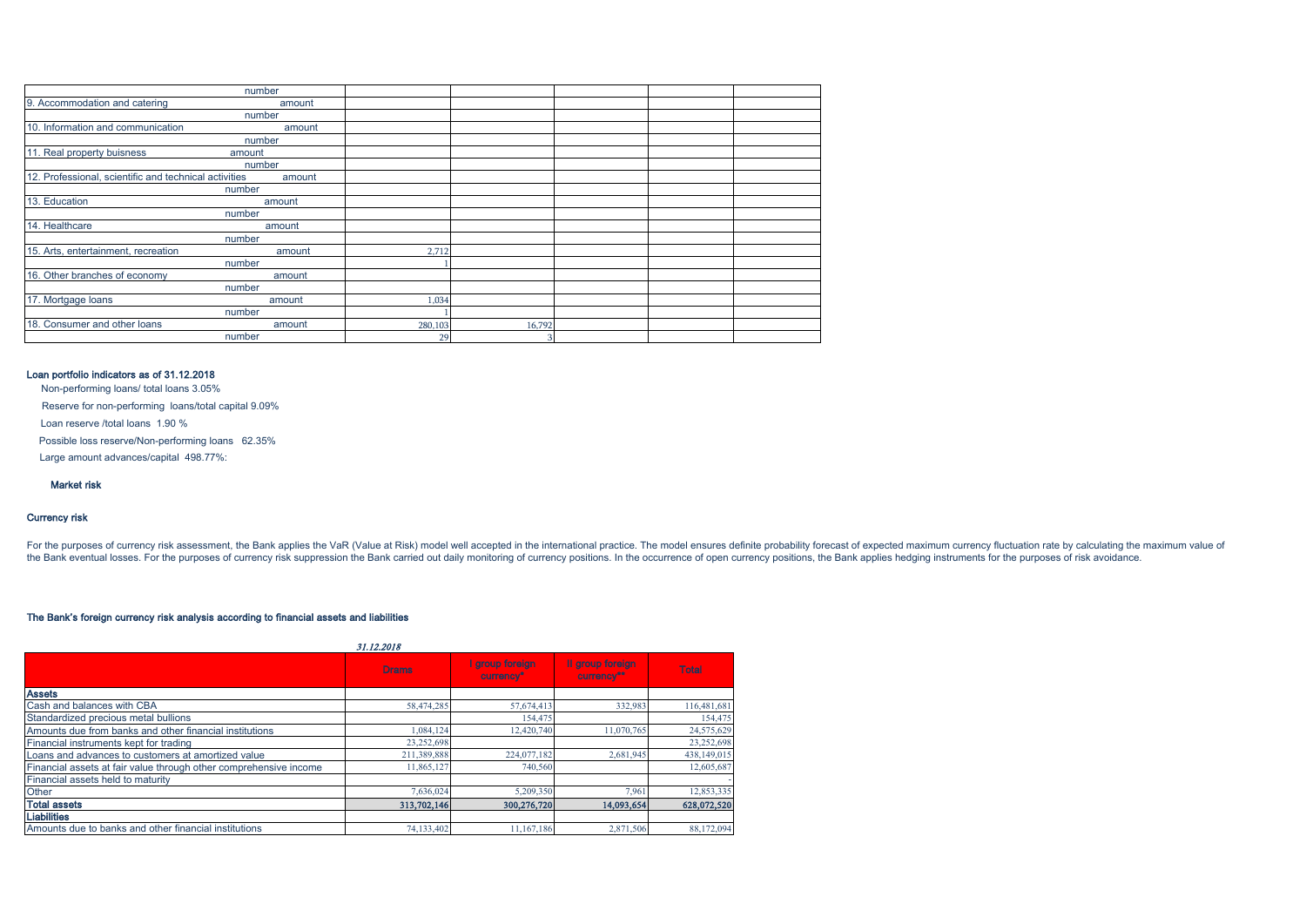| number                                                          |         |        |  |  |
|-----------------------------------------------------------------|---------|--------|--|--|
| 9. Accommodation and catering<br>amount                         |         |        |  |  |
| number                                                          |         |        |  |  |
| 10. Information and communication<br>amount                     |         |        |  |  |
| number                                                          |         |        |  |  |
| 11. Real property buisness<br>amount                            |         |        |  |  |
| number                                                          |         |        |  |  |
| 12. Professional, scientific and technical activities<br>amount |         |        |  |  |
| number                                                          |         |        |  |  |
| 13. Education<br>amount                                         |         |        |  |  |
| number                                                          |         |        |  |  |
| 14. Healthcare<br>amount                                        |         |        |  |  |
| number                                                          |         |        |  |  |
| 15. Arts, entertainment, recreation<br>amount                   | 2,712   |        |  |  |
| number                                                          |         |        |  |  |
| 16. Other branches of economy<br>amount                         |         |        |  |  |
| number                                                          |         |        |  |  |
| 17. Mortgage loans<br>amount                                    | 1,034   |        |  |  |
| number                                                          |         |        |  |  |
| 18. Consumer and other loans<br>amount                          | 280,103 | 16,792 |  |  |
| number                                                          | 29      | 3      |  |  |

## Loan portfolio indicators as of 31.12.2018

Non-performing loans/ total loans 3.05%

Reserve for non-performing loans/total capital 9.09%

Loan reserve /total loans 1.90 %

Possible loss reserve/Non-performing loans 62.35%

Large amount advances/capital 498.77%:

Market risk

## Currency risk

For the purposes of currency risk assessment, the Bank applies the VaR (Value at Risk) model well accepted in the international practice. The model ensures definite probability forecast of expected maximum currency fluctua the Bank eventual losses. For the purposes of currency risk suppression the Bank carried out daily monitoring of currency positions. In the occurrence of open currency positions, the Bank applies hedging instruments for th

#### The Bank's foreign currency risk analysis according to financial assets and liabilities

|                                                                   | <i><b>31.12.2018</b></i> |                              |                                |              |
|-------------------------------------------------------------------|--------------------------|------------------------------|--------------------------------|--------------|
|                                                                   | <b>Drams</b>             | I group foreign<br>currency* | Il group foreign<br>currency** | <b>Total</b> |
| <b>Assets</b>                                                     |                          |                              |                                |              |
| Cash and balances with CBA                                        | 58,474,285               | 57,674,413                   | 332,983                        | 116,481,681  |
| Standardized precious metal bullions                              |                          | 154,475                      |                                | 154,475      |
| Amounts due from banks and other financial institutions           | 1,084,124                | 12,420,740                   | 11,070,765                     | 24,575,629   |
| Financial instruments kept for trading                            | 23,252,698               |                              |                                | 23,252,698   |
| Loans and advances to customers at amortized value                | 211,389,888              | 224,077,182                  | 2,681,945                      | 438,149,015  |
| Financial assets at fair value through other comprehensive income | 11.865.127               | 740,560                      |                                | 12,605,687   |
| Financial assets held to maturity                                 |                          |                              |                                |              |
| Other                                                             | 7,636,024                | 5,209,350                    | 7,961                          | 12,853,335   |
| <b>Total assets</b>                                               | 313,702,146              | 300,276,720                  | 14,093,654                     | 628,072,520  |
| <b>Liabilities</b>                                                |                          |                              |                                |              |
| Amounts due to banks and other financial institutions             | 74,133,402               | 11.167.186                   | 2,871,506                      | 88,172,094   |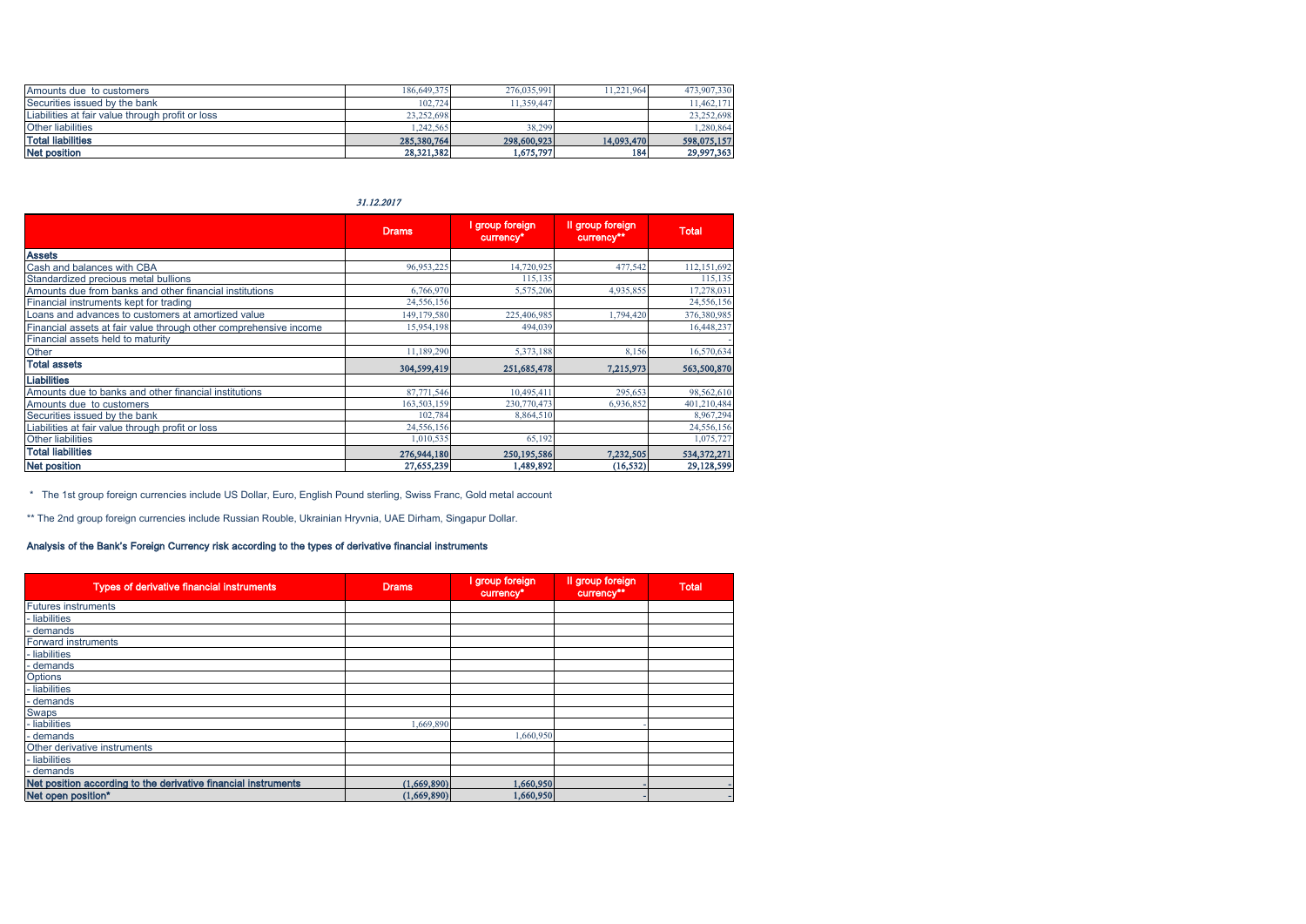| Amounts due to customers                         | 186,649,375 | 276,035,991 | 11.221.964 | 473,907,330 |
|--------------------------------------------------|-------------|-------------|------------|-------------|
| Securities issued by the bank                    | 102,724     | 11.359.447  |            | 11,462,171  |
| Liabilities at fair value through profit or loss | 23,252,698  |             |            | 23,252,698  |
| <b>Other liabilities</b>                         | 1.242.565   | 38.299      |            | 1,280,864   |
| <b>Total liabilities</b>                         | 285,380,764 | 298,600,923 | 14.093.470 | 598,075,157 |
| Net position                                     | 28,321,382  | 1,675,797   | 184        | 29.997.363  |

31.12.2017

|                                                                   | <b>Drams</b> | I group foreign<br>currency* | Il group foreign<br>currency** | <b>Total</b> |
|-------------------------------------------------------------------|--------------|------------------------------|--------------------------------|--------------|
| <b>Assets</b>                                                     |              |                              |                                |              |
| Cash and balances with CBA                                        | 96,953,225   | 14,720,925                   | 477,542                        | 112,151,692  |
| Standardized precious metal bullions                              |              | 115.135                      |                                | 115,135      |
| Amounts due from banks and other financial institutions           | 6,766,970    | 5,575,206                    | 4,935,855                      | 17,278,031   |
| Financial instruments kept for trading                            | 24,556,156   |                              |                                | 24,556,156   |
| Loans and advances to customers at amortized value                | 149,179,580  | 225,406,985                  | 1,794,420                      | 376,380,985  |
| Financial assets at fair value through other comprehensive income | 15,954,198   | 494,039                      |                                | 16,448,237   |
| Financial assets held to maturity                                 |              |                              |                                |              |
| Other                                                             | 11,189,290   | 5,373,188                    | 8,156                          | 16,570,634   |
| <b>Total assets</b>                                               | 304,599,419  | 251,685,478                  | 7,215,973                      | 563,500,870  |
| <b>Liabilities</b>                                                |              |                              |                                |              |
| Amounts due to banks and other financial institutions             | 87,771,546   | 10,495,411                   | 295,653                        | 98,562,610   |
| Amounts due to customers                                          | 163,503,159  | 230,770,473                  | 6,936,852                      | 401,210,484  |
| Securities issued by the bank                                     | 102,784      | 8,864,510                    |                                | 8,967,294    |
| Liabilities at fair value through profit or loss                  | 24,556,156   |                              |                                | 24,556,156   |
| Other liabilities                                                 | 1,010,535    | 65,192                       |                                | 1,075,727    |
| <b>Total liabilities</b>                                          | 276,944,180  | 250,195,586                  | 7,232,505                      | 534,372,271  |
| <b>Net position</b>                                               | 27,655,239   | 1,489,892                    | (16, 532)                      | 29,128,599   |

\* The 1st group foreign currencies include US Dollar, Euro, English Pound sterling, Swiss Franc, Gold metal account

\*\* The 2nd group foreign currencies include Russian Rouble, Ukrainian Hryvnia, UAE Dirham, Singapur Dollar.

## Analysis of the Bank's Foreign Currency risk according to the types of derivative financial instruments

| Types of derivative financial instruments                      | Drams.      | I group foreign<br>currency* | Il group foreign<br>currency** | <b>Total</b> |
|----------------------------------------------------------------|-------------|------------------------------|--------------------------------|--------------|
| <b>Futures instruments</b>                                     |             |                              |                                |              |
| - liabilities                                                  |             |                              |                                |              |
| - demands                                                      |             |                              |                                |              |
| <b>Forward instruments</b>                                     |             |                              |                                |              |
| - liabilities                                                  |             |                              |                                |              |
| - demands                                                      |             |                              |                                |              |
| Options                                                        |             |                              |                                |              |
| - liabilities                                                  |             |                              |                                |              |
| demands                                                        |             |                              |                                |              |
| Swaps                                                          |             |                              |                                |              |
| - liabilities                                                  | 1,669,890   |                              |                                |              |
| demands                                                        |             | 1,660,950                    |                                |              |
| Other derivative instruments                                   |             |                              |                                |              |
| - liabilities                                                  |             |                              |                                |              |
| - demands                                                      |             |                              |                                |              |
| Net position according to the derivative financial instruments | (1,669,890) | 1,660,950                    |                                |              |
| Net open position*                                             | (1,669,890) | 1,660,950                    |                                |              |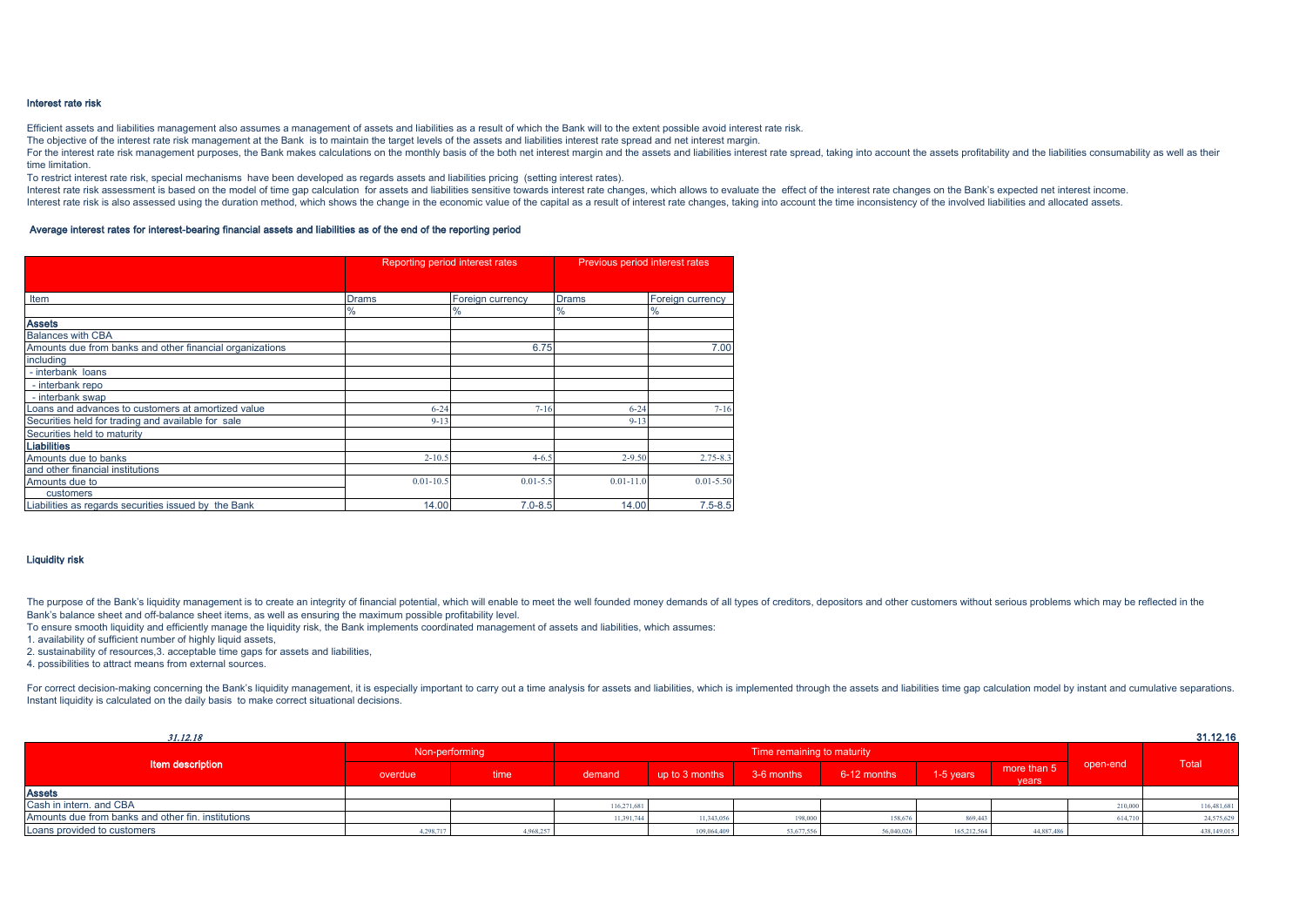#### Interest rate risk

Efficient assets and liabilities management also assumes a management of assets and liabilities as a result of which the Bank will to the extent possible avoid interest rate risk.

The objective of the interest rate risk management at the Bank is to maintain the target levels of the assets and liabilities interest rate spread and net interest margin.

For the interest rate risk management purposes, the Bank makes calculations on the monthly basis of the both net interest margin and the assets and liabilities interest rate spread, taking into account the assets profitabi time limitation.

To restrict interest rate risk, special mechanisms have been developed as regards assets and liabilities pricing (setting interest rates).

Interest rate risk assessment is based on the model of time gap calculation for assets and liabilities sensitive towards interest rate changes, which allows to evaluate the effect of the interest rate changes on the Bank's Interest rate risk is also assessed using the duration method, which shows the change in the economic value of the capital as a result of interest rate changes, taking into account the time inconsistency of the involved li

#### Average interest rates for interest-bearing financial assets and liabilities as of the end of the reporting period

|                                                          | Reporting period interest rates |                  | Previous period interest rates |                  |  |
|----------------------------------------------------------|---------------------------------|------------------|--------------------------------|------------------|--|
|                                                          |                                 |                  |                                |                  |  |
|                                                          |                                 |                  |                                |                  |  |
| Item                                                     | Drams                           | Foreign currency | Drams                          | Foreign currency |  |
|                                                          | %                               | %                | %                              | %                |  |
| <b>Assets</b>                                            |                                 |                  |                                |                  |  |
| <b>Balances with CBA</b>                                 |                                 |                  |                                |                  |  |
| Amounts due from banks and other financial organizations |                                 | 6.75             |                                | 7.00             |  |
| including                                                |                                 |                  |                                |                  |  |
| - interbank loans                                        |                                 |                  |                                |                  |  |
| - interbank repo                                         |                                 |                  |                                |                  |  |
| - interbank swap                                         |                                 |                  |                                |                  |  |
| Loans and advances to customers at amortized value       | $6 - 24$                        | $7 - 16$         | $6 - 24$                       | $7 - 16$         |  |
| Securities held for trading and available for sale       | $9 - 13$                        |                  | $9 - 13$                       |                  |  |
| Securities held to maturity                              |                                 |                  |                                |                  |  |
| Liabilities                                              |                                 |                  |                                |                  |  |
| Amounts due to banks                                     | $2 - 10.5$                      | $4 - 6.5$        | $2 - 9.50$                     | $2.75 - 8.3$     |  |
| and other financial institutions                         |                                 |                  |                                |                  |  |
| Amounts due to                                           | $0.01 - 10.5$                   | $0.01 - 5.5$     | $0.01 - 11.0$                  | $0.01 - 5.50$    |  |
| customers                                                |                                 |                  |                                |                  |  |
| Liabilities as regards securities issued by the Bank     | 14.00                           | $7.0 - 8.5$      | 14.00                          | $7.5 - 8.5$      |  |

#### Liquidity risk

The purpose of the Bank's liquidity management is to create an integrity of financial potential, which will enable to meet the well founded money demands of all types of creditors, depositors and other customers without se Bank's balance sheet and off-balance sheet items, as well as ensuring the maximum possible profitability level.

To ensure smooth liquidity and efficiently manage the liquidity risk, the Bank implements coordinated management of assets and liabilities, which assumes:

1. availability of sufficient number of highly liquid assets,

2. sustainability of resources,3. acceptable time gaps for assets and liabilities,

4. possibilities to attract means from external sources.

For correct decision-making concerning the Bank's liquidity management, it is especially important to carry out a time analysis for assets and liabilities, which is implemented through the assets and liabilities time gap c Instant liquidity is calculated on the daily basis to make correct situational decisions.

| 31.12.18                                           |                |           |             |                            |            |             |             |                      |          | 31.12.16    |
|----------------------------------------------------|----------------|-----------|-------------|----------------------------|------------|-------------|-------------|----------------------|----------|-------------|
|                                                    | Non-performing |           |             | Time remaining to maturity |            |             |             |                      |          |             |
| <b>Item description</b>                            | overdue        | time      | demand      | up to 3 months             | 3-6 months | 6-12 months | 1-5 years   | more than 5<br>years | open-end | Total       |
| <b>Assets</b>                                      |                |           |             |                            |            |             |             |                      |          |             |
| Cash in intern. and CBA                            |                |           | 116.271.681 |                            |            |             |             |                      | 210,000  | 116,481,681 |
| Amounts due from banks and other fin. institutions |                |           | 11.391.744  | 11.343.056                 | 198 000    | 158,676     | 869,443     |                      | 614.71   | 24,575,629  |
| Loans provided to customers                        | 4.298.717      | 4.968.257 |             | 109,064,409                | 53,677,556 | 56,040,026  | 165.212.564 | 44,887,486           |          | 438,149,015 |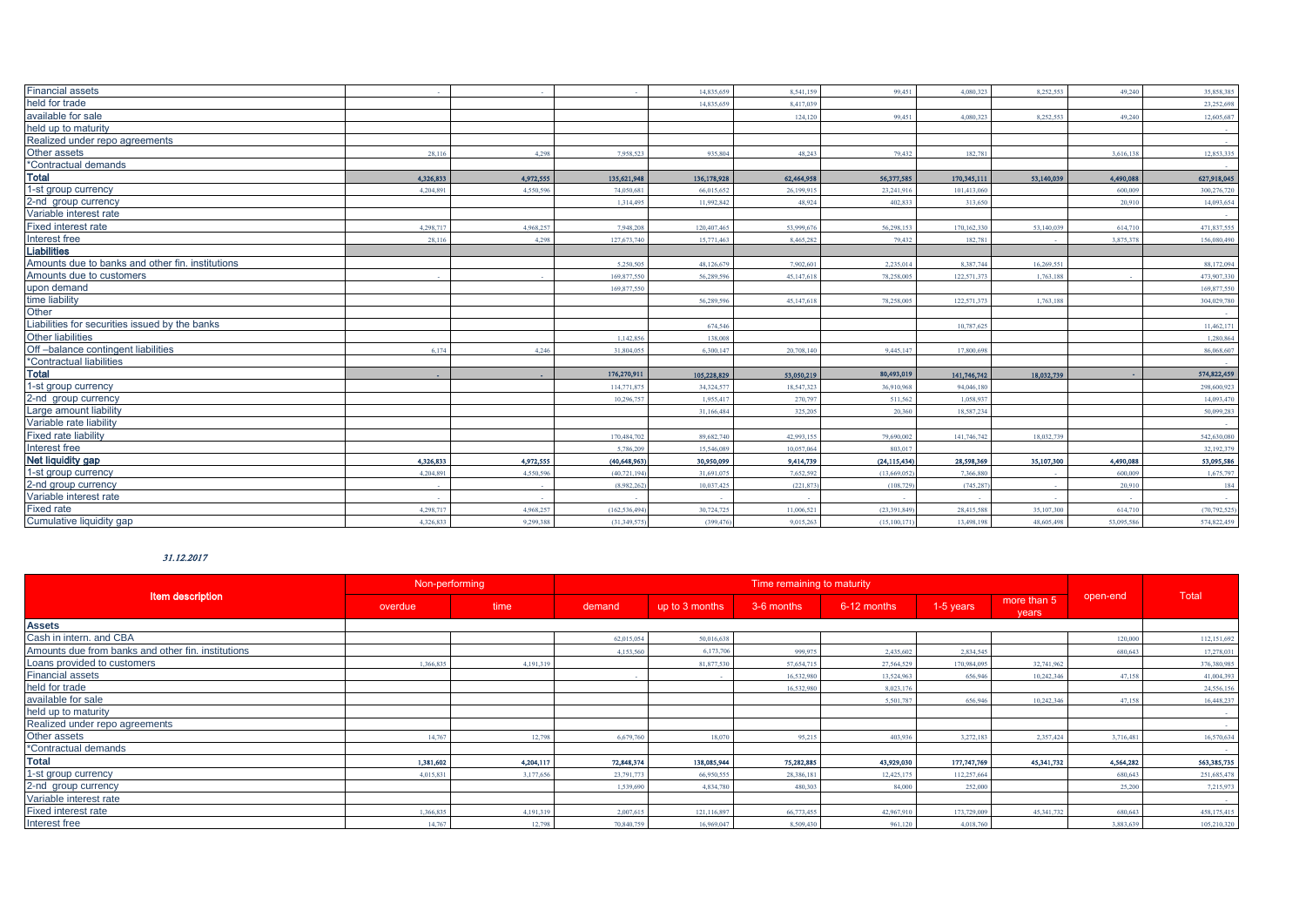| <b>Financial assets</b>                          |           |           |               | 14 835 659  | 8.541.159  | 99.451         | 4.080.323   | 8.252.553  | 49.240     | 35,858,385     |
|--------------------------------------------------|-----------|-----------|---------------|-------------|------------|----------------|-------------|------------|------------|----------------|
| held for trade                                   |           |           |               | 14.835.65   | 8.417.039  |                |             |            |            | 23,252,698     |
| available for sale                               |           |           |               |             | 124,120    | 99.451         | 4.080.323   | 8.252.553  | 49,240     | 12,605,687     |
| held up to maturity                              |           |           |               |             |            |                |             |            |            |                |
| Realized under repo agreements                   |           |           |               |             |            |                |             |            |            |                |
| Other assets                                     | 28.116    | 4.298     | 7.958.523     | 935,804     | 48.243     | 79.432         | 182.781     |            | 3.616.138  | 12,853,335     |
| *Contractual demands                             |           |           |               |             |            |                |             |            |            |                |
| <b>Total</b>                                     | 4,326,833 | 4,972,555 | 135,621,948   | 136,178,928 | 62,464,958 | 56,377,585     | 170,345,111 | 53,140,039 | 4,490,088  | 627,918,045    |
| 1-st group currency                              | 4,204,891 | 4.550.59  | 74.050.68     | 66,015,652  | 26,199,915 | 23,241,91      | 101,413,060 |            | 600,009    | 300,276,720    |
| 2-nd group currency                              |           |           | 1.314.495     | 11,992,842  | 48.924     | 402.833        | 313,650     |            | 20.910     | 14.093.654     |
| Variable interest rate                           |           |           |               |             |            |                |             |            |            |                |
| Fixed interest rate                              | 4,298,71  | 4,968,257 | 7.948.20      | 120,407,465 | 53,999,67  | 56,298,15      | 170,162,330 | 53,140,039 | 614,71     | 471,837,555    |
| Interest free                                    | 28.116    | 4.298     | 127.673.74    | 15,771,463  | 8.465.282  | 79,432         | 182.781     |            | 3,875,37   | 156,080,490    |
| <b>Liabilities</b>                               |           |           |               |             |            |                |             |            |            |                |
| Amounts due to banks and other fin. institutions |           |           | 5.250.505     | 48,126,679  | 7.902.601  | 2,235,01       | 8.387.744   | 16,269,551 |            | 88,172,094     |
| Amounts due to customers                         |           |           | 169 877 55    | 56.289.596  | 45.147.618 | 78,258,00      | 122.571.373 | 1.763.188  |            | 473,907,330    |
| upon demand                                      |           |           | 169,877,550   |             |            |                |             |            |            | 169,877,550    |
| time liability                                   |           |           |               | 56.289.596  | 45.147.618 | 78,258,00      | 122,571,373 | 1.763.188  |            | 304,029,78     |
| Other                                            |           |           |               |             |            |                |             |            |            |                |
| Liabilities for securities issued by the banks   |           |           |               | 674.546     |            |                | 10.787.625  |            |            | 11,462,17      |
| <b>Other liabilities</b>                         |           |           | 1.142.856     | 138,008     |            |                |             |            |            | 1,280,864      |
| Off-balance contingent liabilities               | 6.174     | 4.246     | 31,804.05     | 6,300,147   | 20,708.140 | 9.445.14       | 17,800,698  |            |            | 86,068,607     |
| *Contractual liabilities                         |           |           |               |             |            |                |             |            |            |                |
| <b>Total</b>                                     |           |           | 176,270,911   | 105,228,829 | 53,050,219 | 80,493,019     | 141,746,742 | 18,032,739 |            | 574,822,459    |
| 1-st group currency                              |           |           | 114,771,87    | 34.324.57   | 18,547,323 | 36,910,96      | 94,046,18   |            |            | 298,600,923    |
| 2-nd group currency                              |           |           | 10,296,75     | 1,955,41    | 270,797    | 511,562        | 1,058,93    |            |            | 14,093,47      |
| Large amount liability                           |           |           |               | 31,166,484  | 325,205    | 20,360         | 18,587,234  |            |            | 50,099,283     |
| Variable rate liability                          |           |           |               |             |            |                |             |            |            |                |
| <b>Fixed rate liability</b>                      |           |           | 170,484.70    | 89.682.740  | 42.993.155 | 79,690,002     | 141,746,742 | 18,032,739 |            | 542,630,080    |
| Interest free                                    |           |           | 5.786.20      | 15,546,089  | 10,057,064 | 803.01         |             |            |            | 32,192,379     |
| Net liquidity gap                                | 4,326,833 | 4,972,555 | (40,648,963)  | 30,950,099  | 9,414,739  | (24, 115, 434) | 28,598,369  | 35,107,300 | 4,490,088  | 53,095,586     |
| 1-st group currency                              | 4,204,891 | 4,550,59  | (40, 721, 19  | 31,691,075  | 7,652,592  | (13,669,05)    | 7,366,880   |            | 600,009    | 1,675,797      |
| 2-nd group currency                              |           |           | (8.982.26     | 10.037.425  | (221, 873) | (108.7)        | (745, 287)  |            | 20.910     | 184            |
| Variable interest rate                           |           |           |               |             |            |                |             |            |            |                |
| <b>Fixed rate</b>                                | 4,298,71  | 4.968.257 | (162, 536, 49 | 30,724,725  | 11,006.52  | (23, 391, 84)  | 28,415,588  | 35,107,300 | 614.71     | (70, 792, 525) |
| Cumulative liquidity gap                         | 4.326.833 | 9.299.388 | (31.349.57)   | (399,476)   | 9.015.263  | (15.100.1)     | 13,498,198  | 48,605,498 | 53.095.586 | 574,822,459    |

## 31.12.2017

|                                                    | Non-performing |           | Time remaining to maturity |                |            |             |             |                      |           |             |
|----------------------------------------------------|----------------|-----------|----------------------------|----------------|------------|-------------|-------------|----------------------|-----------|-------------|
| <b>Item description</b>                            | overdue        | time      | demand                     | up to 3 months | 3-6 months | 6-12 months | 1-5 years   | more than 5<br>years | open-end  | Total       |
| <b>Assets</b>                                      |                |           |                            |                |            |             |             |                      |           |             |
| Cash in intern, and CBA                            |                |           | 62,015,054                 | 50,016,638     |            |             |             |                      | 120,000   | 112,151,692 |
| Amounts due from banks and other fin. institutions |                |           | 4.153.560                  | 6,173,70       | 999.975    | 2.435,602   | 2,834,545   |                      | 680.643   | 17,278,031  |
| Loans provided to customers                        | 1 366 835      | 4.191.31  |                            | 81,877,530     | 57.654.715 | 27,564,529  | 170,984,095 | 32,741,962           |           | 376,380,985 |
| <b>Financial assets</b>                            |                |           |                            |                | 16,532,980 | 13,524,963  | 656,946     | 10,242,346           | 47.158    | 41,004,393  |
| held for trade                                     |                |           |                            |                | 16,532,980 | 8.023.176   |             |                      |           | 24,556,156  |
| available for sale                                 |                |           |                            |                |            | 5.501.787   | 656,946     | 10,242,346           | 47158     | 16,448,237  |
| held up to maturity                                |                |           |                            |                |            |             |             |                      |           |             |
| Realized under repo agreements                     |                |           |                            |                |            |             |             |                      |           |             |
| Other assets                                       | 14.767         | 12,798    | 6,679,760                  | 18.07          | 95,215     | 403.936     | 3,272,183   | 2,357,424            | 3,716,481 | 16,570,634  |
| *Contractual demands                               |                |           |                            |                |            |             |             |                      |           |             |
| <b>Total</b>                                       | 1,381,602      | 4,204,117 | 72,848,374                 | 138,085,944    | 75,282,885 | 43,929,030  | 177,747,769 | 45,341,732           | 4,564,282 | 563,385,735 |
| 1-st group currency                                | 4.015.831      | 3,177,656 | 23,791.77                  | 66,950,555     | 28.386.181 | 12,425,175  | 112.257.664 |                      | 680.643   | 251,685,478 |
| 2-nd group currency                                |                |           | 1,539,690                  | 4,834,780      | 480.303    | 84 000      | 252,000     |                      | 25.200    | 7,215,973   |
| Variable interest rate                             |                |           |                            |                |            |             |             |                      |           |             |
| Fixed interest rate                                | 1.366.835      | 4.191.31  | 2.007.61                   | 121.116.89     | 66,773,455 | 42,967,91   | 173,729,009 | 45.341.73            | 680.643   | 458,175,415 |
| Interest free                                      | 14.767         | 12,798    | 70,840,759                 | 16,969,04      | 8.509.430  | 961.120     | 4.018.760   |                      | 3.883.63  | 105,210,320 |